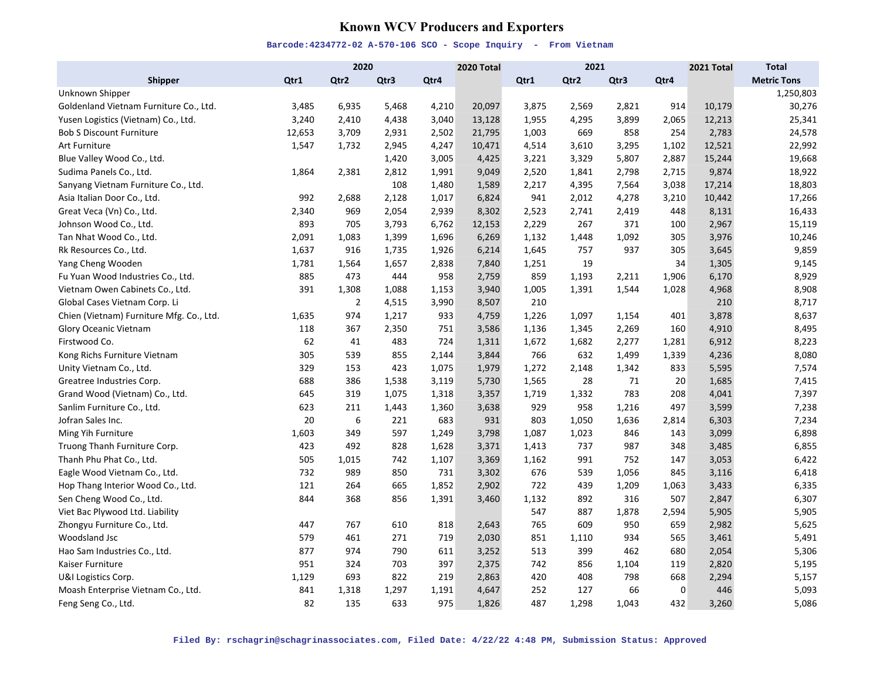# **Known WCV Producers and Exporters**

|                                          |        | 2020           |       |       | 2020 Total |       | 2021  |       |       | 2021 Total | <b>Total</b>       |
|------------------------------------------|--------|----------------|-------|-------|------------|-------|-------|-------|-------|------------|--------------------|
| <b>Shipper</b>                           | Qtr1   | Qtr2           | Qtr3  | Qtr4  |            | Qtr1  | Qtr2  | Qtr3  | Qtr4  |            | <b>Metric Tons</b> |
| Unknown Shipper                          |        |                |       |       |            |       |       |       |       |            | 1,250,803          |
| Goldenland Vietnam Furniture Co., Ltd.   | 3,485  | 6,935          | 5,468 | 4,210 | 20,097     | 3,875 | 2,569 | 2,821 | 914   | 10,179     | 30,276             |
| Yusen Logistics (Vietnam) Co., Ltd.      | 3,240  | 2,410          | 4,438 | 3,040 | 13,128     | 1,955 | 4,295 | 3,899 | 2,065 | 12,213     | 25,341             |
| <b>Bob S Discount Furniture</b>          | 12,653 | 3,709          | 2,931 | 2,502 | 21,795     | 1,003 | 669   | 858   | 254   | 2,783      | 24,578             |
| Art Furniture                            | 1,547  | 1,732          | 2,945 | 4,247 | 10,471     | 4,514 | 3,610 | 3,295 | 1,102 | 12,521     | 22,992             |
| Blue Valley Wood Co., Ltd.               |        |                | 1,420 | 3,005 | 4,425      | 3,221 | 3,329 | 5,807 | 2,887 | 15,244     | 19,668             |
| Sudima Panels Co., Ltd.                  | 1,864  | 2,381          | 2,812 | 1,991 | 9,049      | 2,520 | 1,841 | 2,798 | 2,715 | 9,874      | 18,922             |
| Sanyang Vietnam Furniture Co., Ltd.      |        |                | 108   | 1,480 | 1,589      | 2,217 | 4,395 | 7,564 | 3,038 | 17,214     | 18,803             |
| Asia Italian Door Co., Ltd.              | 992    | 2,688          | 2,128 | 1,017 | 6,824      | 941   | 2,012 | 4,278 | 3,210 | 10,442     | 17,266             |
| Great Veca (Vn) Co., Ltd.                | 2,340  | 969            | 2,054 | 2,939 | 8,302      | 2,523 | 2,741 | 2,419 | 448   | 8,131      | 16,433             |
| Johnson Wood Co., Ltd.                   | 893    | 705            | 3,793 | 6,762 | 12,153     | 2,229 | 267   | 371   | 100   | 2,967      | 15,119             |
| Tan Nhat Wood Co., Ltd.                  | 2,091  | 1,083          | 1,399 | 1,696 | 6,269      | 1,132 | 1,448 | 1,092 | 305   | 3,976      | 10,246             |
| Rk Resources Co., Ltd.                   | 1,637  | 916            | 1,735 | 1,926 | 6,214      | 1,645 | 757   | 937   | 305   | 3,645      | 9,859              |
| Yang Cheng Wooden                        | 1,781  | 1,564          | 1,657 | 2,838 | 7,840      | 1,251 | 19    |       | 34    | 1,305      | 9,145              |
| Fu Yuan Wood Industries Co., Ltd.        | 885    | 473            | 444   | 958   | 2,759      | 859   | 1,193 | 2,211 | 1,906 | 6,170      | 8,929              |
| Vietnam Owen Cabinets Co., Ltd.          | 391    | 1,308          | 1,088 | 1,153 | 3,940      | 1,005 | 1,391 | 1,544 | 1,028 | 4,968      | 8,908              |
| Global Cases Vietnam Corp. Li            |        | $\overline{2}$ | 4,515 | 3,990 | 8,507      | 210   |       |       |       | 210        | 8,717              |
| Chien (Vietnam) Furniture Mfg. Co., Ltd. | 1,635  | 974            | 1,217 | 933   | 4,759      | 1,226 | 1,097 | 1,154 | 401   | 3,878      | 8,637              |
| Glory Oceanic Vietnam                    | 118    | 367            | 2,350 | 751   | 3,586      | 1,136 | 1,345 | 2,269 | 160   | 4,910      | 8,495              |
| Firstwood Co.                            | 62     | 41             | 483   | 724   | 1,311      | 1,672 | 1,682 | 2,277 | 1,281 | 6,912      | 8,223              |
| Kong Richs Furniture Vietnam             | 305    | 539            | 855   | 2,144 | 3,844      | 766   | 632   | 1,499 | 1,339 | 4,236      | 8,080              |
| Unity Vietnam Co., Ltd.                  | 329    | 153            | 423   | 1,075 | 1,979      | 1,272 | 2,148 | 1,342 | 833   | 5,595      | 7,574              |
| Greatree Industries Corp.                | 688    | 386            | 1,538 | 3,119 | 5,730      | 1,565 | 28    | 71    | 20    | 1,685      | 7,415              |
| Grand Wood (Vietnam) Co., Ltd.           | 645    | 319            | 1,075 | 1,318 | 3,357      | 1,719 | 1,332 | 783   | 208   | 4,041      | 7,397              |
| Sanlim Furniture Co., Ltd.               | 623    | 211            | 1,443 | 1,360 | 3,638      | 929   | 958   | 1,216 | 497   | 3,599      | 7,238              |
| Jofran Sales Inc.                        | 20     | 6              | 221   | 683   | 931        | 803   | 1,050 | 1,636 | 2,814 | 6,303      | 7,234              |
| Ming Yih Furniture                       | 1,603  | 349            | 597   | 1,249 | 3,798      | 1,087 | 1,023 | 846   | 143   | 3,099      | 6,898              |
| Truong Thanh Furniture Corp.             | 423    | 492            | 828   | 1,628 | 3,371      | 1,413 | 737   | 987   | 348   | 3,485      | 6,855              |
| Thanh Phu Phat Co., Ltd.                 | 505    | 1,015          | 742   | 1,107 | 3,369      | 1,162 | 991   | 752   | 147   | 3,053      | 6,422              |
| Eagle Wood Vietnam Co., Ltd.             | 732    | 989            | 850   | 731   | 3,302      | 676   | 539   | 1,056 | 845   | 3,116      | 6,418              |
| Hop Thang Interior Wood Co., Ltd.        | 121    | 264            | 665   | 1,852 | 2,902      | 722   | 439   | 1,209 | 1,063 | 3,433      | 6,335              |
| Sen Cheng Wood Co., Ltd.                 | 844    | 368            | 856   | 1,391 | 3,460      | 1,132 | 892   | 316   | 507   | 2,847      | 6,307              |
| Viet Bac Plywood Ltd. Liability          |        |                |       |       |            | 547   | 887   | 1,878 | 2,594 | 5,905      | 5,905              |
| Zhongyu Furniture Co., Ltd.              | 447    | 767            | 610   | 818   | 2,643      | 765   | 609   | 950   | 659   | 2,982      | 5,625              |
| Woodsland Jsc                            | 579    | 461            | 271   | 719   | 2,030      | 851   | 1,110 | 934   | 565   | 3,461      | 5,491              |
| Hao Sam Industries Co., Ltd.             | 877    | 974            | 790   | 611   | 3,252      | 513   | 399   | 462   | 680   | 2,054      | 5,306              |
| Kaiser Furniture                         | 951    | 324            | 703   | 397   | 2,375      | 742   | 856   | 1,104 | 119   | 2,820      | 5,195              |
| U&I Logistics Corp.                      | 1,129  | 693            | 822   | 219   | 2,863      | 420   | 408   | 798   | 668   | 2,294      | 5,157              |
| Moash Enterprise Vietnam Co., Ltd.       | 841    | 1,318          | 1,297 | 1,191 | 4,647      | 252   | 127   | 66    | 0     | 446        | 5,093              |
| Feng Seng Co., Ltd.                      | 82     | 135            | 633   | 975   | 1,826      | 487   | 1,298 | 1,043 | 432   | 3,260      | 5,086              |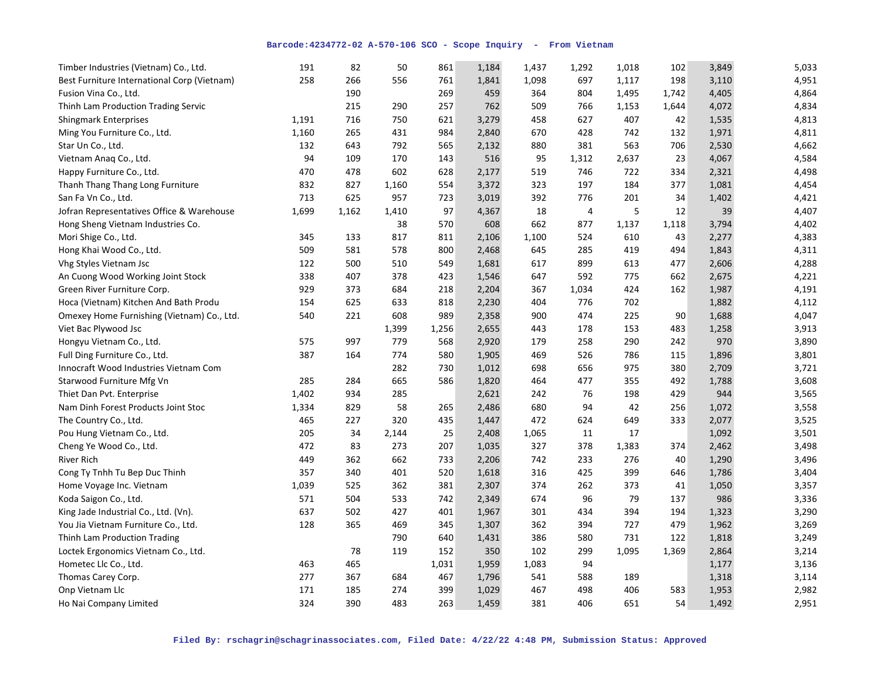| Timber Industries (Vietnam) Co., Ltd.       | 191   | 82    | 50    | 861   | 1,184 | 1,437 | 1,292 | 1,018 | 102   | 3,849 | 5,033 |
|---------------------------------------------|-------|-------|-------|-------|-------|-------|-------|-------|-------|-------|-------|
| Best Furniture International Corp (Vietnam) | 258   | 266   | 556   | 761   | 1,841 | 1,098 | 697   | 1,117 | 198   | 3,110 | 4,951 |
| Fusion Vina Co., Ltd.                       |       | 190   |       | 269   | 459   | 364   | 804   | 1,495 | 1,742 | 4,405 | 4,864 |
| Thinh Lam Production Trading Servic         |       | 215   | 290   | 257   | 762   | 509   | 766   | 1,153 | 1,644 | 4,072 | 4,834 |
| <b>Shingmark Enterprises</b>                | 1,191 | 716   | 750   | 621   | 3,279 | 458   | 627   | 407   | 42    | 1,535 | 4,813 |
| Ming You Furniture Co., Ltd.                | 1,160 | 265   | 431   | 984   | 2,840 | 670   | 428   | 742   | 132   | 1,971 | 4,811 |
| Star Un Co., Ltd.                           | 132   | 643   | 792   | 565   | 2,132 | 880   | 381   | 563   | 706   | 2,530 | 4,662 |
| Vietnam Anaq Co., Ltd.                      | 94    | 109   | 170   | 143   | 516   | 95    | 1,312 | 2,637 | 23    | 4,067 | 4,584 |
| Happy Furniture Co., Ltd.                   | 470   | 478   | 602   | 628   | 2,177 | 519   | 746   | 722   | 334   | 2,321 | 4,498 |
| Thanh Thang Thang Long Furniture            | 832   | 827   | 1,160 | 554   | 3,372 | 323   | 197   | 184   | 377   | 1,081 | 4,454 |
| San Fa Vn Co., Ltd.                         | 713   | 625   | 957   | 723   | 3,019 | 392   | 776   | 201   | 34    | 1,402 | 4,421 |
| Jofran Representatives Office & Warehouse   | 1,699 | 1,162 | 1,410 | 97    | 4,367 | 18    | 4     | 5     | 12    | 39    | 4,407 |
| Hong Sheng Vietnam Industries Co.           |       |       | 38    | 570   | 608   | 662   | 877   | 1,137 | 1,118 | 3,794 | 4,402 |
| Mori Shige Co., Ltd.                        | 345   | 133   | 817   | 811   | 2,106 | 1,100 | 524   | 610   | 43    | 2,277 | 4,383 |
| Hong Khai Wood Co., Ltd.                    | 509   | 581   | 578   | 800   | 2,468 | 645   | 285   | 419   | 494   | 1,843 | 4,311 |
| Vhg Styles Vietnam Jsc                      | 122   | 500   | 510   | 549   | 1,681 | 617   | 899   | 613   | 477   | 2,606 | 4,288 |
| An Cuong Wood Working Joint Stock           | 338   | 407   | 378   | 423   | 1,546 | 647   | 592   | 775   | 662   | 2,675 | 4,221 |
| Green River Furniture Corp.                 | 929   | 373   | 684   | 218   | 2,204 | 367   | 1,034 | 424   | 162   | 1,987 | 4,191 |
| Hoca (Vietnam) Kitchen And Bath Produ       | 154   | 625   | 633   | 818   | 2,230 | 404   | 776   | 702   |       | 1,882 | 4,112 |
| Omexey Home Furnishing (Vietnam) Co., Ltd.  | 540   | 221   | 608   | 989   | 2,358 | 900   | 474   | 225   | 90    | 1,688 | 4,047 |
| Viet Bac Plywood Jsc                        |       |       | 1,399 | 1,256 | 2,655 | 443   | 178   | 153   | 483   | 1,258 | 3,913 |
| Hongyu Vietnam Co., Ltd.                    | 575   | 997   | 779   | 568   | 2,920 | 179   | 258   | 290   | 242   | 970   | 3,890 |
| Full Ding Furniture Co., Ltd.               | 387   | 164   | 774   | 580   | 1,905 | 469   | 526   | 786   | 115   | 1,896 | 3,801 |
| Innocraft Wood Industries Vietnam Com       |       |       | 282   | 730   | 1,012 | 698   | 656   | 975   | 380   | 2,709 | 3,721 |
| Starwood Furniture Mfg Vn                   | 285   | 284   | 665   | 586   | 1,820 | 464   | 477   | 355   | 492   | 1,788 | 3,608 |
| Thiet Dan Pvt. Enterprise                   | 1,402 | 934   | 285   |       | 2,621 | 242   | 76    | 198   | 429   | 944   | 3,565 |
| Nam Dinh Forest Products Joint Stoc         | 1,334 | 829   | 58    | 265   | 2,486 | 680   | 94    | 42    | 256   | 1,072 | 3,558 |
| The Country Co., Ltd.                       | 465   | 227   | 320   | 435   | 1,447 | 472   | 624   | 649   | 333   | 2,077 | 3,525 |
| Pou Hung Vietnam Co., Ltd.                  | 205   | 34    | 2,144 | 25    | 2,408 | 1,065 | 11    | 17    |       | 1,092 | 3,501 |
| Cheng Ye Wood Co., Ltd.                     | 472   | 83    | 273   | 207   | 1,035 | 327   | 378   | 1,383 | 374   | 2,462 | 3,498 |
| <b>River Rich</b>                           | 449   | 362   | 662   | 733   | 2,206 | 742   | 233   | 276   | 40    | 1,290 | 3,496 |
| Cong Ty Tnhh Tu Bep Duc Thinh               | 357   | 340   | 401   | 520   | 1,618 | 316   | 425   | 399   | 646   | 1,786 | 3,404 |
| Home Voyage Inc. Vietnam                    | 1,039 | 525   | 362   | 381   | 2,307 | 374   | 262   | 373   | 41    | 1,050 | 3,357 |
| Koda Saigon Co., Ltd.                       | 571   | 504   | 533   | 742   | 2,349 | 674   | 96    | 79    | 137   | 986   | 3,336 |
| King Jade Industrial Co., Ltd. (Vn).        | 637   | 502   | 427   | 401   | 1,967 | 301   | 434   | 394   | 194   | 1,323 | 3,290 |
| You Jia Vietnam Furniture Co., Ltd.         | 128   | 365   | 469   | 345   | 1,307 | 362   | 394   | 727   | 479   | 1,962 | 3,269 |
| Thinh Lam Production Trading                |       |       | 790   | 640   | 1,431 | 386   | 580   | 731   | 122   | 1,818 | 3,249 |
| Loctek Ergonomics Vietnam Co., Ltd.         |       | 78    | 119   | 152   | 350   | 102   | 299   | 1,095 | 1,369 | 2,864 | 3,214 |
| Hometec Llc Co., Ltd.                       | 463   | 465   |       | 1,031 | 1,959 | 1,083 | 94    |       |       | 1,177 | 3,136 |
| Thomas Carey Corp.                          | 277   | 367   | 684   | 467   | 1,796 | 541   | 588   | 189   |       | 1,318 | 3,114 |
| Onp Vietnam Llc                             | 171   | 185   | 274   | 399   | 1,029 | 467   | 498   | 406   | 583   | 1,953 | 2,982 |
| Ho Nai Company Limited                      | 324   | 390   | 483   | 263   | 1,459 | 381   | 406   | 651   | 54    | 1,492 | 2,951 |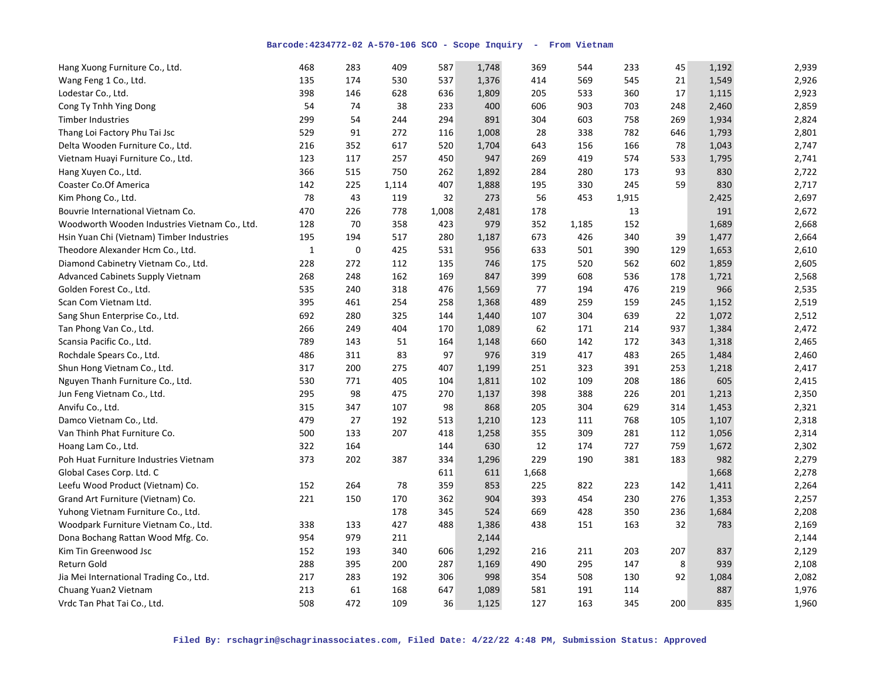| Hang Xuong Furniture Co., Ltd.                | 468          | 283         | 409   | 587   | 1,748 | 369   | 544   | 233   | 45  | 1,192 | 2,939 |
|-----------------------------------------------|--------------|-------------|-------|-------|-------|-------|-------|-------|-----|-------|-------|
| Wang Feng 1 Co., Ltd.                         | 135          | 174         | 530   | 537   | 1,376 | 414   | 569   | 545   | 21  | 1,549 | 2,926 |
| Lodestar Co., Ltd.                            | 398          | 146         | 628   | 636   | 1,809 | 205   | 533   | 360   | 17  | 1,115 | 2,923 |
| Cong Ty Tnhh Ying Dong                        | 54           | 74          | 38    | 233   | 400   | 606   | 903   | 703   | 248 | 2,460 | 2,859 |
| <b>Timber Industries</b>                      | 299          | 54          | 244   | 294   | 891   | 304   | 603   | 758   | 269 | 1,934 | 2,824 |
| Thang Loi Factory Phu Tai Jsc                 | 529          | 91          | 272   | 116   | 1,008 | 28    | 338   | 782   | 646 | 1,793 | 2,801 |
| Delta Wooden Furniture Co., Ltd.              | 216          | 352         | 617   | 520   | 1,704 | 643   | 156   | 166   | 78  | 1,043 | 2,747 |
| Vietnam Huayi Furniture Co., Ltd.             | 123          | 117         | 257   | 450   | 947   | 269   | 419   | 574   | 533 | 1,795 | 2,741 |
| Hang Xuyen Co., Ltd.                          | 366          | 515         | 750   | 262   | 1,892 | 284   | 280   | 173   | 93  | 830   | 2,722 |
| Coaster Co.Of America                         | 142          | 225         | 1,114 | 407   | 1,888 | 195   | 330   | 245   | 59  | 830   | 2,717 |
| Kim Phong Co., Ltd.                           | 78           | 43          | 119   | 32    | 273   | 56    | 453   | 1,915 |     | 2,425 | 2,697 |
| Bouvrie International Vietnam Co.             | 470          | 226         | 778   | 1,008 | 2,481 | 178   |       | 13    |     | 191   | 2,672 |
| Woodworth Wooden Industries Vietnam Co., Ltd. | 128          | 70          | 358   | 423   | 979   | 352   | 1,185 | 152   |     | 1,689 | 2,668 |
| Hsin Yuan Chi (Vietnam) Timber Industries     | 195          | 194         | 517   | 280   | 1,187 | 673   | 426   | 340   | 39  | 1,477 | 2,664 |
| Theodore Alexander Hcm Co., Ltd.              | $\mathbf{1}$ | $\mathbf 0$ | 425   | 531   | 956   | 633   | 501   | 390   | 129 | 1,653 | 2,610 |
| Diamond Cabinetry Vietnam Co., Ltd.           | 228          | 272         | 112   | 135   | 746   | 175   | 520   | 562   | 602 | 1,859 | 2,605 |
| <b>Advanced Cabinets Supply Vietnam</b>       | 268          | 248         | 162   | 169   | 847   | 399   | 608   | 536   | 178 | 1,721 | 2,568 |
| Golden Forest Co., Ltd.                       | 535          | 240         | 318   | 476   | 1,569 | 77    | 194   | 476   | 219 | 966   | 2,535 |
| Scan Com Vietnam Ltd.                         | 395          | 461         | 254   | 258   | 1,368 | 489   | 259   | 159   | 245 | 1,152 | 2,519 |
| Sang Shun Enterprise Co., Ltd.                | 692          | 280         | 325   | 144   | 1,440 | 107   | 304   | 639   | 22  | 1,072 | 2,512 |
| Tan Phong Van Co., Ltd.                       | 266          | 249         | 404   | 170   | 1,089 | 62    | 171   | 214   | 937 | 1,384 | 2,472 |
| Scansia Pacific Co., Ltd.                     | 789          | 143         | 51    | 164   | 1,148 | 660   | 142   | 172   | 343 | 1,318 | 2,465 |
| Rochdale Spears Co., Ltd.                     | 486          | 311         | 83    | 97    | 976   | 319   | 417   | 483   | 265 | 1,484 | 2,460 |
| Shun Hong Vietnam Co., Ltd.                   | 317          | 200         | 275   | 407   | 1,199 | 251   | 323   | 391   | 253 | 1,218 | 2,417 |
| Nguyen Thanh Furniture Co., Ltd.              | 530          | 771         | 405   | 104   | 1,811 | 102   | 109   | 208   | 186 | 605   | 2,415 |
| Jun Feng Vietnam Co., Ltd.                    | 295          | 98          | 475   | 270   | 1,137 | 398   | 388   | 226   | 201 | 1,213 | 2,350 |
| Anvifu Co., Ltd.                              | 315          | 347         | 107   | 98    | 868   | 205   | 304   | 629   | 314 | 1,453 | 2,321 |
| Damco Vietnam Co., Ltd.                       | 479          | 27          | 192   | 513   | 1,210 | 123   | 111   | 768   | 105 | 1,107 | 2,318 |
| Van Thinh Phat Furniture Co.                  | 500          | 133         | 207   | 418   | 1,258 | 355   | 309   | 281   | 112 | 1,056 | 2,314 |
| Hoang Lam Co., Ltd.                           | 322          | 164         |       | 144   | 630   | 12    | 174   | 727   | 759 | 1,672 | 2,302 |
| Poh Huat Furniture Industries Vietnam         | 373          | 202         | 387   | 334   | 1,296 | 229   | 190   | 381   | 183 | 982   | 2,279 |
| Global Cases Corp. Ltd. C                     |              |             |       | 611   | 611   | 1,668 |       |       |     | 1,668 | 2,278 |
| Leefu Wood Product (Vietnam) Co.              | 152          | 264         | 78    | 359   | 853   | 225   | 822   | 223   | 142 | 1,411 | 2,264 |
| Grand Art Furniture (Vietnam) Co.             | 221          | 150         | 170   | 362   | 904   | 393   | 454   | 230   | 276 | 1,353 | 2,257 |
| Yuhong Vietnam Furniture Co., Ltd.            |              |             | 178   | 345   | 524   | 669   | 428   | 350   | 236 | 1,684 | 2,208 |
| Woodpark Furniture Vietnam Co., Ltd.          | 338          | 133         | 427   | 488   | 1,386 | 438   | 151   | 163   | 32  | 783   | 2,169 |
| Dona Bochang Rattan Wood Mfg. Co.             | 954          | 979         | 211   |       | 2,144 |       |       |       |     |       | 2,144 |
| Kim Tin Greenwood Jsc                         | 152          | 193         | 340   | 606   | 1,292 | 216   | 211   | 203   | 207 | 837   | 2,129 |
| Return Gold                                   | 288          | 395         | 200   | 287   | 1,169 | 490   | 295   | 147   | 8   | 939   | 2,108 |
| Jia Mei International Trading Co., Ltd.       | 217          | 283         | 192   | 306   | 998   | 354   | 508   | 130   | 92  | 1,084 | 2,082 |
| Chuang Yuan2 Vietnam                          | 213          | 61          | 168   | 647   | 1,089 | 581   | 191   | 114   |     | 887   | 1,976 |
| Vrdc Tan Phat Tai Co., Ltd.                   | 508          | 472         | 109   | 36    | 1,125 | 127   | 163   | 345   | 200 | 835   | 1,960 |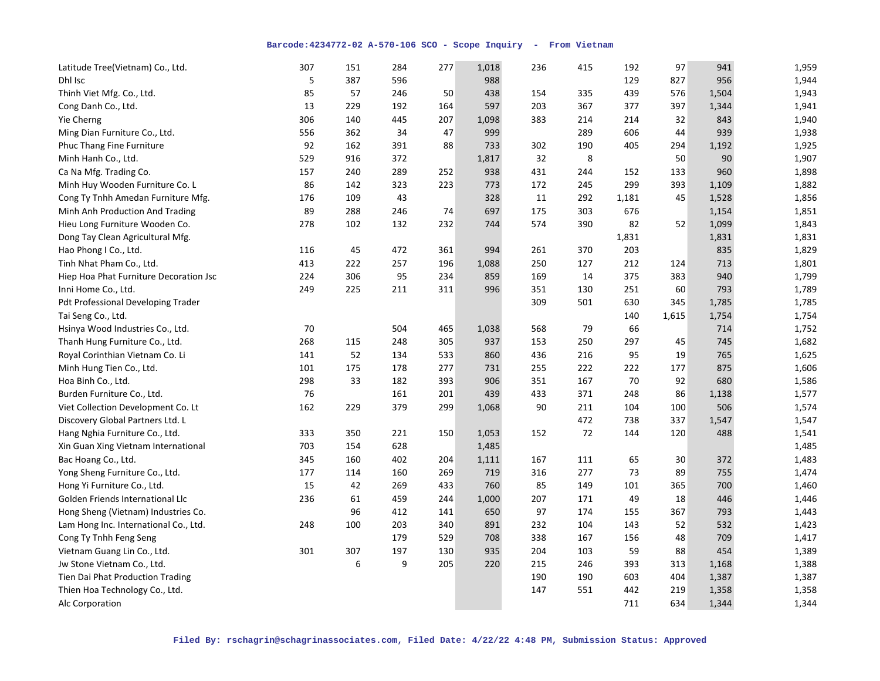| Latitude Tree(Vietnam) Co., Ltd.          | 307 | 151 | 284 | 277 | 1,018 | 236 | 415 | 192   | 97    | 941   | 1,959 |
|-------------------------------------------|-----|-----|-----|-----|-------|-----|-----|-------|-------|-------|-------|
| Dhl Isc                                   | 5   | 387 | 596 |     | 988   |     |     | 129   | 827   | 956   | 1,944 |
| Thinh Viet Mfg. Co., Ltd.                 | 85  | 57  | 246 | 50  | 438   | 154 | 335 | 439   | 576   | 1,504 | 1,943 |
| Cong Danh Co., Ltd.                       | 13  | 229 | 192 | 164 | 597   | 203 | 367 | 377   | 397   | 1,344 | 1,941 |
| Yie Cherng                                | 306 | 140 | 445 | 207 | 1,098 | 383 | 214 | 214   | 32    | 843   | 1,940 |
| Ming Dian Furniture Co., Ltd.             | 556 | 362 | 34  | 47  | 999   |     | 289 | 606   | 44    | 939   | 1,938 |
| Phuc Thang Fine Furniture                 | 92  | 162 | 391 | 88  | 733   | 302 | 190 | 405   | 294   | 1,192 | 1,925 |
| Minh Hanh Co., Ltd.                       | 529 | 916 | 372 |     | 1,817 | 32  | 8   |       | 50    | 90    | 1,907 |
| Ca Na Mfg. Trading Co.                    | 157 | 240 | 289 | 252 | 938   | 431 | 244 | 152   | 133   | 960   | 1,898 |
| Minh Huy Wooden Furniture Co. L           | 86  | 142 | 323 | 223 | 773   | 172 | 245 | 299   | 393   | 1,109 | 1,882 |
| Cong Ty Tnhh Amedan Furniture Mfg.        | 176 | 109 | 43  |     | 328   | 11  | 292 | 1,181 | 45    | 1,528 | 1,856 |
| Minh Anh Production And Trading           | 89  | 288 | 246 | 74  | 697   | 175 | 303 | 676   |       | 1,154 | 1,851 |
| Hieu Long Furniture Wooden Co.            | 278 | 102 | 132 | 232 | 744   | 574 | 390 | 82    | 52    | 1,099 | 1,843 |
| Dong Tay Clean Agricultural Mfg.          |     |     |     |     |       |     |     | 1,831 |       | 1,831 | 1,831 |
| Hao Phong I Co., Ltd.                     | 116 | 45  | 472 | 361 | 994   | 261 | 370 | 203   |       | 835   | 1,829 |
| Tinh Nhat Pham Co., Ltd.                  | 413 | 222 | 257 | 196 | 1,088 | 250 | 127 | 212   | 124   | 713   | 1,801 |
| Hiep Hoa Phat Furniture Decoration Jsc    | 224 | 306 | 95  | 234 | 859   | 169 | 14  | 375   | 383   | 940   | 1,799 |
| Inni Home Co., Ltd.                       | 249 | 225 | 211 | 311 | 996   | 351 | 130 | 251   | 60    | 793   | 1,789 |
| <b>Pdt Professional Developing Trader</b> |     |     |     |     |       | 309 | 501 | 630   | 345   | 1,785 | 1,785 |
| Tai Seng Co., Ltd.                        |     |     |     |     |       |     |     | 140   | 1,615 | 1,754 | 1,754 |
| Hsinya Wood Industries Co., Ltd.          | 70  |     | 504 | 465 | 1,038 | 568 | 79  | 66    |       | 714   | 1,752 |
| Thanh Hung Furniture Co., Ltd.            | 268 | 115 | 248 | 305 | 937   | 153 | 250 | 297   | 45    | 745   | 1,682 |
| Royal Corinthian Vietnam Co. Li           | 141 | 52  | 134 | 533 | 860   | 436 | 216 | 95    | 19    | 765   | 1,625 |
| Minh Hung Tien Co., Ltd.                  | 101 | 175 | 178 | 277 | 731   | 255 | 222 | 222   | 177   | 875   | 1,606 |
| Hoa Binh Co., Ltd.                        | 298 | 33  | 182 | 393 | 906   | 351 | 167 | 70    | 92    | 680   | 1,586 |
| Burden Furniture Co., Ltd.                | 76  |     | 161 | 201 | 439   | 433 | 371 | 248   | 86    | 1,138 | 1,577 |
| Viet Collection Development Co. Lt        | 162 | 229 | 379 | 299 | 1,068 | 90  | 211 | 104   | 100   | 506   | 1,574 |
| Discovery Global Partners Ltd. L          |     |     |     |     |       |     | 472 | 738   | 337   | 1,547 | 1,547 |
| Hang Nghia Furniture Co., Ltd.            | 333 | 350 | 221 | 150 | 1,053 | 152 | 72  | 144   | 120   | 488   | 1,541 |
| Xin Guan Xing Vietnam International       | 703 | 154 | 628 |     | 1,485 |     |     |       |       |       | 1,485 |
| Bac Hoang Co., Ltd.                       | 345 | 160 | 402 | 204 | 1,111 | 167 | 111 | 65    | 30    | 372   | 1,483 |
| Yong Sheng Furniture Co., Ltd.            | 177 | 114 | 160 | 269 | 719   | 316 | 277 | 73    | 89    | 755   | 1,474 |
| Hong Yi Furniture Co., Ltd.               | 15  | 42  | 269 | 433 | 760   | 85  | 149 | 101   | 365   | 700   | 1,460 |
| Golden Friends International Llc          | 236 | 61  | 459 | 244 | 1,000 | 207 | 171 | 49    | 18    | 446   | 1,446 |
| Hong Sheng (Vietnam) Industries Co.       |     | 96  | 412 | 141 | 650   | 97  | 174 | 155   | 367   | 793   | 1,443 |
| Lam Hong Inc. International Co., Ltd.     | 248 | 100 | 203 | 340 | 891   | 232 | 104 | 143   | 52    | 532   | 1,423 |
| Cong Ty Tnhh Feng Seng                    |     |     | 179 | 529 | 708   | 338 | 167 | 156   | 48    | 709   | 1,417 |
| Vietnam Guang Lin Co., Ltd.               | 301 | 307 | 197 | 130 | 935   | 204 | 103 | 59    | 88    | 454   | 1,389 |
| Jw Stone Vietnam Co., Ltd.                |     | 6   | 9   | 205 | 220   | 215 | 246 | 393   | 313   | 1,168 | 1,388 |
| Tien Dai Phat Production Trading          |     |     |     |     |       | 190 | 190 | 603   | 404   | 1,387 | 1,387 |
| Thien Hoa Technology Co., Ltd.            |     |     |     |     |       | 147 | 551 | 442   | 219   | 1,358 | 1,358 |
| Alc Corporation                           |     |     |     |     |       |     |     | 711   | 634   | 1,344 | 1,344 |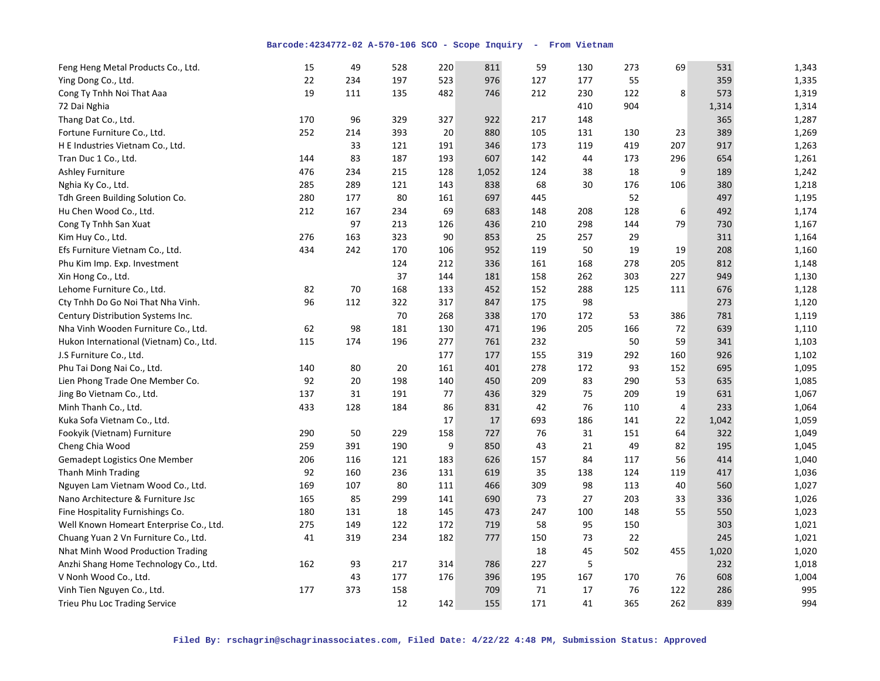| Feng Heng Metal Products Co., Ltd.      | 15  | 49  | 528 | 220 | 811   | 59  | 130 | 273 | 69             | 531   | 1,343 |
|-----------------------------------------|-----|-----|-----|-----|-------|-----|-----|-----|----------------|-------|-------|
| Ying Dong Co., Ltd.                     | 22  | 234 | 197 | 523 | 976   | 127 | 177 | 55  |                | 359   | 1,335 |
| Cong Ty Tnhh Noi That Aaa               | 19  | 111 | 135 | 482 | 746   | 212 | 230 | 122 | 8              | 573   | 1,319 |
| 72 Dai Nghia                            |     |     |     |     |       |     | 410 | 904 |                | 1,314 | 1,314 |
| Thang Dat Co., Ltd.                     | 170 | 96  | 329 | 327 | 922   | 217 | 148 |     |                | 365   | 1,287 |
| Fortune Furniture Co., Ltd.             | 252 | 214 | 393 | 20  | 880   | 105 | 131 | 130 | 23             | 389   | 1,269 |
| H E Industries Vietnam Co., Ltd.        |     | 33  | 121 | 191 | 346   | 173 | 119 | 419 | 207            | 917   | 1,263 |
| Tran Duc 1 Co., Ltd.                    | 144 | 83  | 187 | 193 | 607   | 142 | 44  | 173 | 296            | 654   | 1,261 |
| <b>Ashley Furniture</b>                 | 476 | 234 | 215 | 128 | 1,052 | 124 | 38  | 18  | 9              | 189   | 1,242 |
| Nghia Ky Co., Ltd.                      | 285 | 289 | 121 | 143 | 838   | 68  | 30  | 176 | 106            | 380   | 1,218 |
| Tdh Green Building Solution Co.         | 280 | 177 | 80  | 161 | 697   | 445 |     | 52  |                | 497   | 1,195 |
| Hu Chen Wood Co., Ltd.                  | 212 | 167 | 234 | 69  | 683   | 148 | 208 | 128 | 6              | 492   | 1,174 |
| Cong Ty Tnhh San Xuat                   |     | 97  | 213 | 126 | 436   | 210 | 298 | 144 | 79             | 730   | 1,167 |
| Kim Huy Co., Ltd.                       | 276 | 163 | 323 | 90  | 853   | 25  | 257 | 29  |                | 311   | 1,164 |
| Efs Furniture Vietnam Co., Ltd.         | 434 | 242 | 170 | 106 | 952   | 119 | 50  | 19  | 19             | 208   | 1,160 |
| Phu Kim Imp. Exp. Investment            |     |     | 124 | 212 | 336   | 161 | 168 | 278 | 205            | 812   | 1,148 |
| Xin Hong Co., Ltd.                      |     |     | 37  | 144 | 181   | 158 | 262 | 303 | 227            | 949   | 1,130 |
| Lehome Furniture Co., Ltd.              | 82  | 70  | 168 | 133 | 452   | 152 | 288 | 125 | 111            | 676   | 1,128 |
| Cty Tnhh Do Go Noi That Nha Vinh.       | 96  | 112 | 322 | 317 | 847   | 175 | 98  |     |                | 273   | 1,120 |
| Century Distribution Systems Inc.       |     |     | 70  | 268 | 338   | 170 | 172 | 53  | 386            | 781   | 1,119 |
| Nha Vinh Wooden Furniture Co., Ltd.     | 62  | 98  | 181 | 130 | 471   | 196 | 205 | 166 | 72             | 639   | 1,110 |
| Hukon International (Vietnam) Co., Ltd. | 115 | 174 | 196 | 277 | 761   | 232 |     | 50  | 59             | 341   | 1,103 |
| J.S Furniture Co., Ltd.                 |     |     |     | 177 | 177   | 155 | 319 | 292 | 160            | 926   | 1,102 |
| Phu Tai Dong Nai Co., Ltd.              | 140 | 80  | 20  | 161 | 401   | 278 | 172 | 93  | 152            | 695   | 1,095 |
| Lien Phong Trade One Member Co.         | 92  | 20  | 198 | 140 | 450   | 209 | 83  | 290 | 53             | 635   | 1,085 |
| Jing Bo Vietnam Co., Ltd.               | 137 | 31  | 191 | 77  | 436   | 329 | 75  | 209 | 19             | 631   | 1,067 |
| Minh Thanh Co., Ltd.                    | 433 | 128 | 184 | 86  | 831   | 42  | 76  | 110 | $\overline{4}$ | 233   | 1,064 |
| Kuka Sofa Vietnam Co., Ltd.             |     |     |     | 17  | 17    | 693 | 186 | 141 | 22             | 1,042 | 1,059 |
| Fookyik (Vietnam) Furniture             | 290 | 50  | 229 | 158 | 727   | 76  | 31  | 151 | 64             | 322   | 1,049 |
| Cheng Chia Wood                         | 259 | 391 | 190 | 9   | 850   | 43  | 21  | 49  | 82             | 195   | 1,045 |
| <b>Gemadept Logistics One Member</b>    | 206 | 116 | 121 | 183 | 626   | 157 | 84  | 117 | 56             | 414   | 1,040 |
| <b>Thanh Minh Trading</b>               | 92  | 160 | 236 | 131 | 619   | 35  | 138 | 124 | 119            | 417   | 1,036 |
| Nguyen Lam Vietnam Wood Co., Ltd.       | 169 | 107 | 80  | 111 | 466   | 309 | 98  | 113 | 40             | 560   | 1,027 |
| Nano Architecture & Furniture Jsc       | 165 | 85  | 299 | 141 | 690   | 73  | 27  | 203 | 33             | 336   | 1,026 |
| Fine Hospitality Furnishings Co.        | 180 | 131 | 18  | 145 | 473   | 247 | 100 | 148 | 55             | 550   | 1,023 |
| Well Known Homeart Enterprise Co., Ltd. | 275 | 149 | 122 | 172 | 719   | 58  | 95  | 150 |                | 303   | 1,021 |
| Chuang Yuan 2 Vn Furniture Co., Ltd.    | 41  | 319 | 234 | 182 | 777   | 150 | 73  | 22  |                | 245   | 1,021 |
| Nhat Minh Wood Production Trading       |     |     |     |     |       | 18  | 45  | 502 | 455            | 1,020 | 1,020 |
| Anzhi Shang Home Technology Co., Ltd.   | 162 | 93  | 217 | 314 | 786   | 227 | 5   |     |                | 232   | 1,018 |
| V Nonh Wood Co., Ltd.                   |     | 43  | 177 | 176 | 396   | 195 | 167 | 170 | 76             | 608   | 1,004 |
| Vinh Tien Nguyen Co., Ltd.              | 177 | 373 | 158 |     | 709   | 71  | 17  | 76  | 122            | 286   | 995   |
| Trieu Phu Loc Trading Service           |     |     | 12  | 142 | 155   | 171 | 41  | 365 | 262            | 839   | 994   |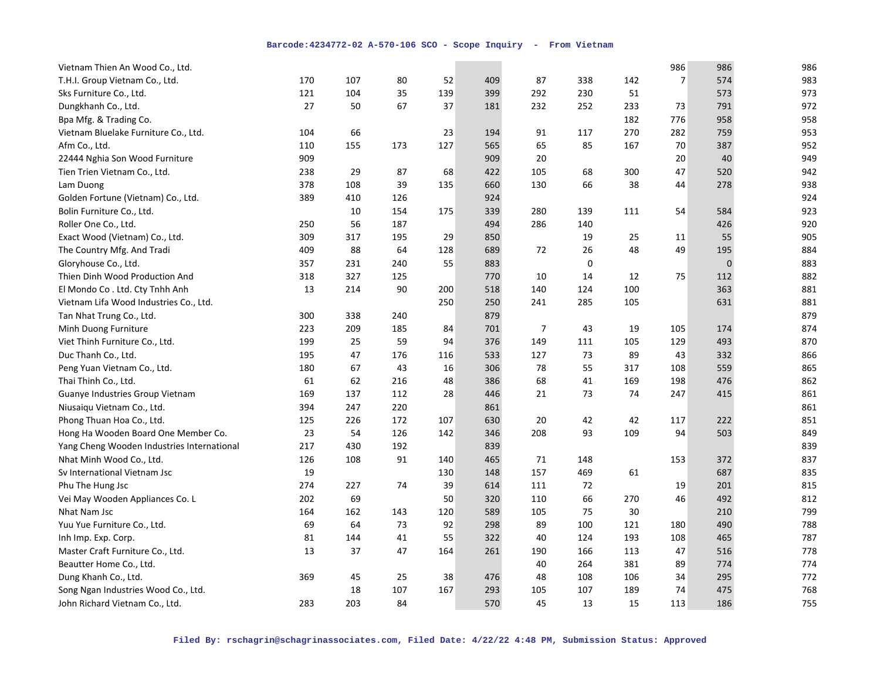| Vietnam Thien An Wood Co., Ltd.            |     |     |     |     |     |                |     |     | 986            | 986 | 986 |
|--------------------------------------------|-----|-----|-----|-----|-----|----------------|-----|-----|----------------|-----|-----|
| T.H.I. Group Vietnam Co., Ltd.             | 170 | 107 | 80  | 52  | 409 | 87             | 338 | 142 | $\overline{7}$ | 574 | 983 |
| Sks Furniture Co., Ltd.                    | 121 | 104 | 35  | 139 | 399 | 292            | 230 | 51  |                | 573 | 973 |
| Dungkhanh Co., Ltd.                        | 27  | 50  | 67  | 37  | 181 | 232            | 252 | 233 | 73             | 791 | 972 |
| Bpa Mfg. & Trading Co.                     |     |     |     |     |     |                |     | 182 | 776            | 958 | 958 |
| Vietnam Bluelake Furniture Co., Ltd.       | 104 | 66  |     | 23  | 194 | 91             | 117 | 270 | 282            | 759 | 953 |
| Afm Co., Ltd.                              | 110 | 155 | 173 | 127 | 565 | 65             | 85  | 167 | 70             | 387 | 952 |
| 22444 Nghia Son Wood Furniture             | 909 |     |     |     | 909 | 20             |     |     | 20             | 40  | 949 |
| Tien Trien Vietnam Co., Ltd.               | 238 | 29  | 87  | 68  | 422 | 105            | 68  | 300 | 47             | 520 | 942 |
| Lam Duong                                  | 378 | 108 | 39  | 135 | 660 | 130            | 66  | 38  | 44             | 278 | 938 |
| Golden Fortune (Vietnam) Co., Ltd.         | 389 | 410 | 126 |     | 924 |                |     |     |                |     | 924 |
| Bolin Furniture Co., Ltd.                  |     | 10  | 154 | 175 | 339 | 280            | 139 | 111 | 54             | 584 | 923 |
| Roller One Co., Ltd.                       | 250 | 56  | 187 |     | 494 | 286            | 140 |     |                | 426 | 920 |
| Exact Wood (Vietnam) Co., Ltd.             | 309 | 317 | 195 | 29  | 850 |                | 19  | 25  | 11             | 55  | 905 |
| The Country Mfg. And Tradi                 | 409 | 88  | 64  | 128 | 689 | 72             | 26  | 48  | 49             | 195 | 884 |
| Gloryhouse Co., Ltd.                       | 357 | 231 | 240 | 55  | 883 |                | 0   |     |                | 0   | 883 |
| Thien Dinh Wood Production And             | 318 | 327 | 125 |     | 770 | 10             | 14  | 12  | 75             | 112 | 882 |
| El Mondo Co. Ltd. Cty Tnhh Anh             | 13  | 214 | 90  | 200 | 518 | 140            | 124 | 100 |                | 363 | 881 |
| Vietnam Lifa Wood Industries Co., Ltd.     |     |     |     | 250 | 250 | 241            | 285 | 105 |                | 631 | 881 |
| Tan Nhat Trung Co., Ltd.                   | 300 | 338 | 240 |     | 879 |                |     |     |                |     | 879 |
| Minh Duong Furniture                       | 223 | 209 | 185 | 84  | 701 | $\overline{7}$ | 43  | 19  | 105            | 174 | 874 |
| Viet Thinh Furniture Co., Ltd.             | 199 | 25  | 59  | 94  | 376 | 149            | 111 | 105 | 129            | 493 | 870 |
| Duc Thanh Co., Ltd.                        | 195 | 47  | 176 | 116 | 533 | 127            | 73  | 89  | 43             | 332 | 866 |
| Peng Yuan Vietnam Co., Ltd.                | 180 | 67  | 43  | 16  | 306 | 78             | 55  | 317 | 108            | 559 | 865 |
| Thai Thinh Co., Ltd.                       | 61  | 62  | 216 | 48  | 386 | 68             | 41  | 169 | 198            | 476 | 862 |
| Guanye Industries Group Vietnam            | 169 | 137 | 112 | 28  | 446 | 21             | 73  | 74  | 247            | 415 | 861 |
| Niusaiqu Vietnam Co., Ltd.                 | 394 | 247 | 220 |     | 861 |                |     |     |                |     | 861 |
| Phong Thuan Hoa Co., Ltd.                  | 125 | 226 | 172 | 107 | 630 | 20             | 42  | 42  | 117            | 222 | 851 |
| Hong Ha Wooden Board One Member Co.        | 23  | 54  | 126 | 142 | 346 | 208            | 93  | 109 | 94             | 503 | 849 |
| Yang Cheng Wooden Industries International | 217 | 430 | 192 |     | 839 |                |     |     |                |     | 839 |
| Nhat Minh Wood Co., Ltd.                   | 126 | 108 | 91  | 140 | 465 | 71             | 148 |     | 153            | 372 | 837 |
| Sv International Vietnam Jsc               | 19  |     |     | 130 | 148 | 157            | 469 | 61  |                | 687 | 835 |
| Phu The Hung Jsc                           | 274 | 227 | 74  | 39  | 614 | 111            | 72  |     | 19             | 201 | 815 |
| Vei May Wooden Appliances Co. L            | 202 | 69  |     | 50  | 320 | 110            | 66  | 270 | 46             | 492 | 812 |
| Nhat Nam Jsc                               | 164 | 162 | 143 | 120 | 589 | 105            | 75  | 30  |                | 210 | 799 |
| Yuu Yue Furniture Co., Ltd.                | 69  | 64  | 73  | 92  | 298 | 89             | 100 | 121 | 180            | 490 | 788 |
| Inh Imp. Exp. Corp.                        | 81  | 144 | 41  | 55  | 322 | 40             | 124 | 193 | 108            | 465 | 787 |
| Master Craft Furniture Co., Ltd.           | 13  | 37  | 47  | 164 | 261 | 190            | 166 | 113 | 47             | 516 | 778 |
| Beautter Home Co., Ltd.                    |     |     |     |     |     | 40             | 264 | 381 | 89             | 774 | 774 |
| Dung Khanh Co., Ltd.                       | 369 | 45  | 25  | 38  | 476 | 48             | 108 | 106 | 34             | 295 | 772 |
| Song Ngan Industries Wood Co., Ltd.        |     | 18  | 107 | 167 | 293 | 105            | 107 | 189 | 74             | 475 | 768 |
| John Richard Vietnam Co., Ltd.             | 283 | 203 | 84  |     | 570 | 45             | 13  | 15  | 113            | 186 | 755 |
|                                            |     |     |     |     |     |                |     |     |                |     |     |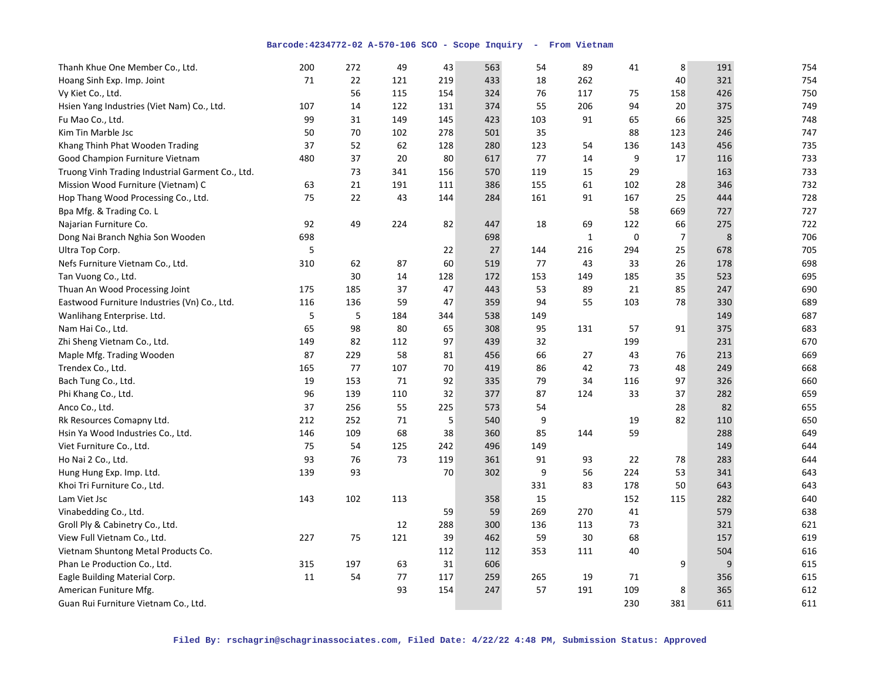| Thanh Khue One Member Co., Ltd.                  | 200 | 272 | 49  | 43  | 563 | 54  | 89          | 41          | 8              | 191 | 754 |
|--------------------------------------------------|-----|-----|-----|-----|-----|-----|-------------|-------------|----------------|-----|-----|
| Hoang Sinh Exp. Imp. Joint                       | 71  | 22  | 121 | 219 | 433 | 18  | 262         |             | 40             | 321 | 754 |
| Vy Kiet Co., Ltd.                                |     | 56  | 115 | 154 | 324 | 76  | 117         | 75          | 158            | 426 | 750 |
| Hsien Yang Industries (Viet Nam) Co., Ltd.       | 107 | 14  | 122 | 131 | 374 | 55  | 206         | 94          | 20             | 375 | 749 |
| Fu Mao Co., Ltd.                                 | 99  | 31  | 149 | 145 | 423 | 103 | 91          | 65          | 66             | 325 | 748 |
| Kim Tin Marble Jsc                               | 50  | 70  | 102 | 278 | 501 | 35  |             | 88          | 123            | 246 | 747 |
| Khang Thinh Phat Wooden Trading                  | 37  | 52  | 62  | 128 | 280 | 123 | 54          | 136         | 143            | 456 | 735 |
| Good Champion Furniture Vietnam                  | 480 | 37  | 20  | 80  | 617 | 77  | 14          | 9           | 17             | 116 | 733 |
| Truong Vinh Trading Industrial Garment Co., Ltd. |     | 73  | 341 | 156 | 570 | 119 | 15          | 29          |                | 163 | 733 |
| Mission Wood Furniture (Vietnam) C               | 63  | 21  | 191 | 111 | 386 | 155 | 61          | 102         | 28             | 346 | 732 |
| Hop Thang Wood Processing Co., Ltd.              | 75  | 22  | 43  | 144 | 284 | 161 | 91          | 167         | 25             | 444 | 728 |
| Bpa Mfg. & Trading Co. L                         |     |     |     |     |     |     |             | 58          | 669            | 727 | 727 |
| Najarian Furniture Co.                           | 92  | 49  | 224 | 82  | 447 | 18  | 69          | 122         | 66             | 275 | 722 |
| Dong Nai Branch Nghia Son Wooden                 | 698 |     |     |     | 698 |     | $\mathbf 1$ | $\mathbf 0$ | $\overline{7}$ | 8   | 706 |
| Ultra Top Corp.                                  | 5   |     |     | 22  | 27  | 144 | 216         | 294         | 25             | 678 | 705 |
| Nefs Furniture Vietnam Co., Ltd.                 | 310 | 62  | 87  | 60  | 519 | 77  | 43          | 33          | 26             | 178 | 698 |
| Tan Vuong Co., Ltd.                              |     | 30  | 14  | 128 | 172 | 153 | 149         | 185         | 35             | 523 | 695 |
| Thuan An Wood Processing Joint                   | 175 | 185 | 37  | 47  | 443 | 53  | 89          | 21          | 85             | 247 | 690 |
| Eastwood Furniture Industries (Vn) Co., Ltd.     | 116 | 136 | 59  | 47  | 359 | 94  | 55          | 103         | 78             | 330 | 689 |
| Wanlihang Enterprise. Ltd.                       | 5   | 5   | 184 | 344 | 538 | 149 |             |             |                | 149 | 687 |
| Nam Hai Co., Ltd.                                | 65  | 98  | 80  | 65  | 308 | 95  | 131         | 57          | 91             | 375 | 683 |
| Zhi Sheng Vietnam Co., Ltd.                      | 149 | 82  | 112 | 97  | 439 | 32  |             | 199         |                | 231 | 670 |
| Maple Mfg. Trading Wooden                        | 87  | 229 | 58  | 81  | 456 | 66  | 27          | 43          | 76             | 213 | 669 |
| Trendex Co., Ltd.                                | 165 | 77  | 107 | 70  | 419 | 86  | 42          | 73          | 48             | 249 | 668 |
| Bach Tung Co., Ltd.                              | 19  | 153 | 71  | 92  | 335 | 79  | 34          | 116         | 97             | 326 | 660 |
| Phi Khang Co., Ltd.                              | 96  | 139 | 110 | 32  | 377 | 87  | 124         | 33          | 37             | 282 | 659 |
| Anco Co., Ltd.                                   | 37  | 256 | 55  | 225 | 573 | 54  |             |             | 28             | 82  | 655 |
| Rk Resources Comapny Ltd.                        | 212 | 252 | 71  | 5   | 540 | 9   |             | 19          | 82             | 110 | 650 |
| Hsin Ya Wood Industries Co., Ltd.                | 146 | 109 | 68  | 38  | 360 | 85  | 144         | 59          |                | 288 | 649 |
| Viet Furniture Co., Ltd.                         | 75  | 54  | 125 | 242 | 496 | 149 |             |             |                | 149 | 644 |
| Ho Nai 2 Co., Ltd.                               | 93  | 76  | 73  | 119 | 361 | 91  | 93          | 22          | 78             | 283 | 644 |
| Hung Hung Exp. Imp. Ltd.                         | 139 | 93  |     | 70  | 302 | 9   | 56          | 224         | 53             | 341 | 643 |
| Khoi Tri Furniture Co., Ltd.                     |     |     |     |     |     | 331 | 83          | 178         | 50             | 643 | 643 |
| Lam Viet Jsc                                     | 143 | 102 | 113 |     | 358 | 15  |             | 152         | 115            | 282 | 640 |
| Vinabedding Co., Ltd.                            |     |     |     | 59  | 59  | 269 | 270         | 41          |                | 579 | 638 |
| Groll Ply & Cabinetry Co., Ltd.                  |     |     | 12  | 288 | 300 | 136 | 113         | 73          |                | 321 | 621 |
| View Full Vietnam Co., Ltd.                      | 227 | 75  | 121 | 39  | 462 | 59  | 30          | 68          |                | 157 | 619 |
| Vietnam Shuntong Metal Products Co.              |     |     |     | 112 | 112 | 353 | 111         | 40          |                | 504 | 616 |
| Phan Le Production Co., Ltd.                     | 315 | 197 | 63  | 31  | 606 |     |             |             | 9              | 9   | 615 |
| Eagle Building Material Corp.                    | 11  | 54  | 77  | 117 | 259 | 265 | 19          | 71          |                | 356 | 615 |
| American Funiture Mfg.                           |     |     | 93  | 154 | 247 | 57  | 191         | 109         | 8              | 365 | 612 |
| Guan Rui Furniture Vietnam Co., Ltd.             |     |     |     |     |     |     |             | 230         | 381            | 611 | 611 |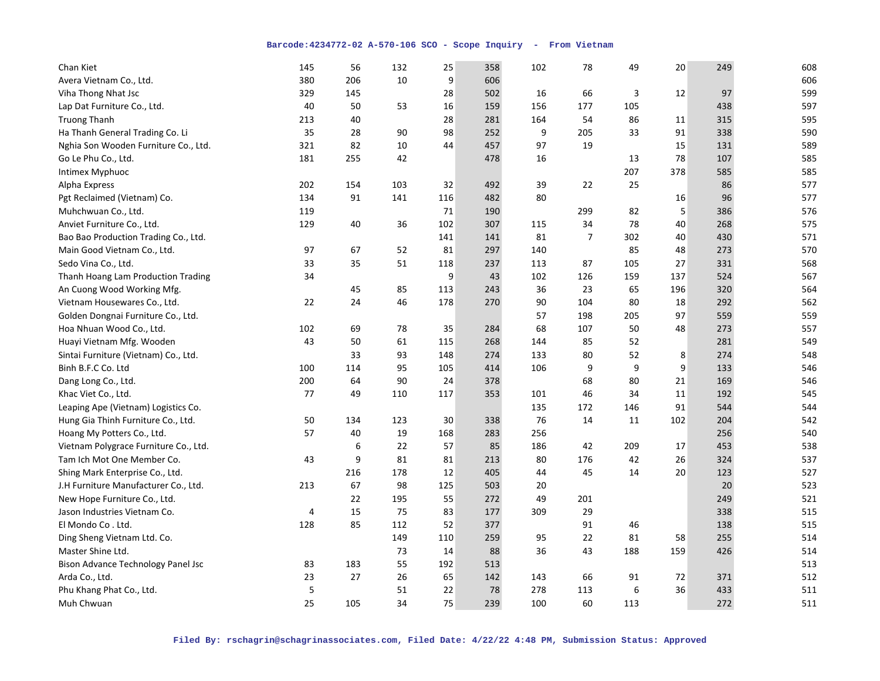| Chan Kiet                             | 145 | 56  | 132 | 25  | 358 | 102 | 78             | 49  | 20  | 249 | 608 |
|---------------------------------------|-----|-----|-----|-----|-----|-----|----------------|-----|-----|-----|-----|
| Avera Vietnam Co., Ltd.               | 380 | 206 | 10  | 9   | 606 |     |                |     |     |     | 606 |
| Viha Thong Nhat Jsc                   | 329 | 145 |     | 28  | 502 | 16  | 66             | 3   | 12  | 97  | 599 |
| Lap Dat Furniture Co., Ltd.           | 40  | 50  | 53  | 16  | 159 | 156 | 177            | 105 |     | 438 | 597 |
| <b>Truong Thanh</b>                   | 213 | 40  |     | 28  | 281 | 164 | 54             | 86  | 11  | 315 | 595 |
| Ha Thanh General Trading Co. Li       | 35  | 28  | 90  | 98  | 252 | 9   | 205            | 33  | 91  | 338 | 590 |
| Nghia Son Wooden Furniture Co., Ltd.  | 321 | 82  | 10  | 44  | 457 | 97  | 19             |     | 15  | 131 | 589 |
| Go Le Phu Co., Ltd.                   | 181 | 255 | 42  |     | 478 | 16  |                | 13  | 78  | 107 | 585 |
| Intimex Myphuoc                       |     |     |     |     |     |     |                | 207 | 378 | 585 | 585 |
| Alpha Express                         | 202 | 154 | 103 | 32  | 492 | 39  | 22             | 25  |     | 86  | 577 |
| Pgt Reclaimed (Vietnam) Co.           | 134 | 91  | 141 | 116 | 482 | 80  |                |     | 16  | 96  | 577 |
| Muhchwuan Co., Ltd.                   | 119 |     |     | 71  | 190 |     | 299            | 82  | 5   | 386 | 576 |
| Anviet Furniture Co., Ltd.            | 129 | 40  | 36  | 102 | 307 | 115 | 34             | 78  | 40  | 268 | 575 |
| Bao Bao Production Trading Co., Ltd.  |     |     |     | 141 | 141 | 81  | $\overline{7}$ | 302 | 40  | 430 | 571 |
| Main Good Vietnam Co., Ltd.           | 97  | 67  | 52  | 81  | 297 | 140 |                | 85  | 48  | 273 | 570 |
| Sedo Vina Co., Ltd.                   | 33  | 35  | 51  | 118 | 237 | 113 | 87             | 105 | 27  | 331 | 568 |
| Thanh Hoang Lam Production Trading    | 34  |     |     | 9   | 43  | 102 | 126            | 159 | 137 | 524 | 567 |
| An Cuong Wood Working Mfg.            |     | 45  | 85  | 113 | 243 | 36  | 23             | 65  | 196 | 320 | 564 |
| Vietnam Housewares Co., Ltd.          | 22  | 24  | 46  | 178 | 270 | 90  | 104            | 80  | 18  | 292 | 562 |
| Golden Dongnai Furniture Co., Ltd.    |     |     |     |     |     | 57  | 198            | 205 | 97  | 559 | 559 |
| Hoa Nhuan Wood Co., Ltd.              | 102 | 69  | 78  | 35  | 284 | 68  | 107            | 50  | 48  | 273 | 557 |
| Huayi Vietnam Mfg. Wooden             | 43  | 50  | 61  | 115 | 268 | 144 | 85             | 52  |     | 281 | 549 |
| Sintai Furniture (Vietnam) Co., Ltd.  |     | 33  | 93  | 148 | 274 | 133 | 80             | 52  | 8   | 274 | 548 |
| Binh B.F.C Co. Ltd                    | 100 | 114 | 95  | 105 | 414 | 106 | 9              | 9   | 9   | 133 | 546 |
| Dang Long Co., Ltd.                   | 200 | 64  | 90  | 24  | 378 |     | 68             | 80  | 21  | 169 | 546 |
| Khac Viet Co., Ltd.                   | 77  | 49  | 110 | 117 | 353 | 101 | 46             | 34  | 11  | 192 | 545 |
| Leaping Ape (Vietnam) Logistics Co.   |     |     |     |     |     | 135 | 172            | 146 | 91  | 544 | 544 |
| Hung Gia Thinh Furniture Co., Ltd.    | 50  | 134 | 123 | 30  | 338 | 76  | 14             | 11  | 102 | 204 | 542 |
| Hoang My Potters Co., Ltd.            | 57  | 40  | 19  | 168 | 283 | 256 |                |     |     | 256 | 540 |
| Vietnam Polygrace Furniture Co., Ltd. |     | 6   | 22  | 57  | 85  | 186 | 42             | 209 | 17  | 453 | 538 |
| Tam Ich Mot One Member Co.            | 43  | 9   | 81  | 81  | 213 | 80  | 176            | 42  | 26  | 324 | 537 |
| Shing Mark Enterprise Co., Ltd.       |     | 216 | 178 | 12  | 405 | 44  | 45             | 14  | 20  | 123 | 527 |
| J.H Furniture Manufacturer Co., Ltd.  | 213 | 67  | 98  | 125 | 503 | 20  |                |     |     | 20  | 523 |
| New Hope Furniture Co., Ltd.          |     | 22  | 195 | 55  | 272 | 49  | 201            |     |     | 249 | 521 |
| Jason Industries Vietnam Co.          | 4   | 15  | 75  | 83  | 177 | 309 | 29             |     |     | 338 | 515 |
| El Mondo Co. Ltd.                     | 128 | 85  | 112 | 52  | 377 |     | 91             | 46  |     | 138 | 515 |
| Ding Sheng Vietnam Ltd. Co.           |     |     | 149 | 110 | 259 | 95  | 22             | 81  | 58  | 255 | 514 |
| Master Shine Ltd.                     |     |     | 73  | 14  | 88  | 36  | 43             | 188 | 159 | 426 | 514 |
| Bison Advance Technology Panel Jsc    | 83  | 183 | 55  | 192 | 513 |     |                |     |     |     | 513 |
| Arda Co., Ltd.                        | 23  | 27  | 26  | 65  | 142 | 143 | 66             | 91  | 72  | 371 | 512 |
| Phu Khang Phat Co., Ltd.              | 5   |     | 51  | 22  | 78  | 278 | 113            | 6   | 36  | 433 | 511 |
| Muh Chwuan                            | 25  | 105 | 34  | 75  | 239 | 100 | 60             | 113 |     | 272 | 511 |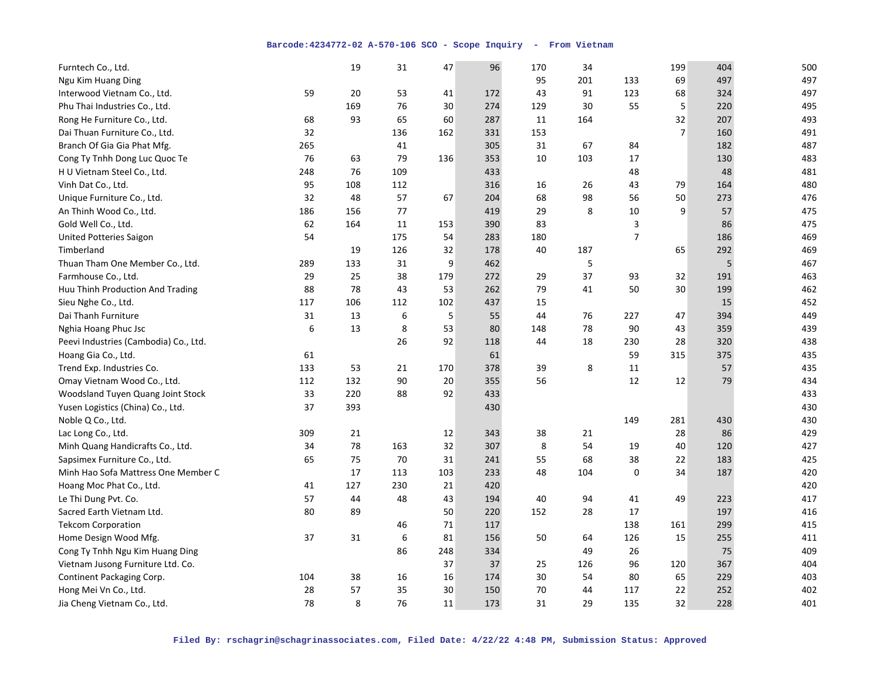| Furntech Co., Ltd.                    |     | 19  | 31  | 47  | 96  | 170 | 34  |                | 199            | 404 | 500 |
|---------------------------------------|-----|-----|-----|-----|-----|-----|-----|----------------|----------------|-----|-----|
| Ngu Kim Huang Ding                    |     |     |     |     |     | 95  | 201 | 133            | 69             | 497 | 497 |
| Interwood Vietnam Co., Ltd.           | 59  | 20  | 53  | 41  | 172 | 43  | 91  | 123            | 68             | 324 | 497 |
| Phu Thai Industries Co., Ltd.         |     | 169 | 76  | 30  | 274 | 129 | 30  | 55             | 5              | 220 | 495 |
| Rong He Furniture Co., Ltd.           | 68  | 93  | 65  | 60  | 287 | 11  | 164 |                | 32             | 207 | 493 |
| Dai Thuan Furniture Co., Ltd.         | 32  |     | 136 | 162 | 331 | 153 |     |                | $\overline{7}$ | 160 | 491 |
| Branch Of Gia Gia Phat Mfg.           | 265 |     | 41  |     | 305 | 31  | 67  | 84             |                | 182 | 487 |
| Cong Ty Tnhh Dong Luc Quoc Te         | 76  | 63  | 79  | 136 | 353 | 10  | 103 | 17             |                | 130 | 483 |
| H U Vietnam Steel Co., Ltd.           | 248 | 76  | 109 |     | 433 |     |     | 48             |                | 48  | 481 |
| Vinh Dat Co., Ltd.                    | 95  | 108 | 112 |     | 316 | 16  | 26  | 43             | 79             | 164 | 480 |
| Unique Furniture Co., Ltd.            | 32  | 48  | 57  | 67  | 204 | 68  | 98  | 56             | 50             | 273 | 476 |
| An Thinh Wood Co., Ltd.               | 186 | 156 | 77  |     | 419 | 29  | 8   | 10             | 9              | 57  | 475 |
| Gold Well Co., Ltd.                   | 62  | 164 | 11  | 153 | 390 | 83  |     | 3              |                | 86  | 475 |
| <b>United Potteries Saigon</b>        | 54  |     | 175 | 54  | 283 | 180 |     | $\overline{7}$ |                | 186 | 469 |
| Timberland                            |     | 19  | 126 | 32  | 178 | 40  | 187 |                | 65             | 292 | 469 |
| Thuan Tham One Member Co., Ltd.       | 289 | 133 | 31  | 9   | 462 |     | 5   |                |                | 5   | 467 |
| Farmhouse Co., Ltd.                   | 29  | 25  | 38  | 179 | 272 | 29  | 37  | 93             | 32             | 191 | 463 |
| Huu Thinh Production And Trading      | 88  | 78  | 43  | 53  | 262 | 79  | 41  | 50             | 30             | 199 | 462 |
| Sieu Nghe Co., Ltd.                   | 117 | 106 | 112 | 102 | 437 | 15  |     |                |                | 15  | 452 |
| Dai Thanh Furniture                   | 31  | 13  | 6   | 5   | 55  | 44  | 76  | 227            | 47             | 394 | 449 |
| Nghia Hoang Phuc Jsc                  | 6   | 13  | 8   | 53  | 80  | 148 | 78  | 90             | 43             | 359 | 439 |
| Peevi Industries (Cambodia) Co., Ltd. |     |     | 26  | 92  | 118 | 44  | 18  | 230            | 28             | 320 | 438 |
| Hoang Gia Co., Ltd.                   | 61  |     |     |     | 61  |     |     | 59             | 315            | 375 | 435 |
| Trend Exp. Industries Co.             | 133 | 53  | 21  | 170 | 378 | 39  | 8   | 11             |                | 57  | 435 |
| Omay Vietnam Wood Co., Ltd.           | 112 | 132 | 90  | 20  | 355 | 56  |     | 12             | 12             | 79  | 434 |
| Woodsland Tuyen Quang Joint Stock     | 33  | 220 | 88  | 92  | 433 |     |     |                |                |     | 433 |
| Yusen Logistics (China) Co., Ltd.     | 37  | 393 |     |     | 430 |     |     |                |                |     | 430 |
| Noble Q Co., Ltd.                     |     |     |     |     |     |     |     | 149            | 281            | 430 | 430 |
| Lac Long Co., Ltd.                    | 309 | 21  |     | 12  | 343 | 38  | 21  |                | 28             | 86  | 429 |
| Minh Quang Handicrafts Co., Ltd.      | 34  | 78  | 163 | 32  | 307 | 8   | 54  | 19             | 40             | 120 | 427 |
| Sapsimex Furniture Co., Ltd.          | 65  | 75  | 70  | 31  | 241 | 55  | 68  | 38             | 22             | 183 | 425 |
| Minh Hao Sofa Mattress One Member C   |     | 17  | 113 | 103 | 233 | 48  | 104 | 0              | 34             | 187 | 420 |
| Hoang Moc Phat Co., Ltd.              | 41  | 127 | 230 | 21  | 420 |     |     |                |                |     | 420 |
| Le Thi Dung Pvt. Co.                  | 57  | 44  | 48  | 43  | 194 | 40  | 94  | 41             | 49             | 223 | 417 |
| Sacred Earth Vietnam Ltd.             | 80  | 89  |     | 50  | 220 | 152 | 28  | 17             |                | 197 | 416 |
| <b>Tekcom Corporation</b>             |     |     | 46  | 71  | 117 |     |     | 138            | 161            | 299 | 415 |
| Home Design Wood Mfg.                 | 37  | 31  | 6   | 81  | 156 | 50  | 64  | 126            | 15             | 255 | 411 |
| Cong Ty Tnhh Ngu Kim Huang Ding       |     |     | 86  | 248 | 334 |     | 49  | 26             |                | 75  | 409 |
| Vietnam Jusong Furniture Ltd. Co.     |     |     |     | 37  | 37  | 25  | 126 | 96             | 120            | 367 | 404 |
| Continent Packaging Corp.             | 104 | 38  | 16  | 16  | 174 | 30  | 54  | 80             | 65             | 229 | 403 |
| Hong Mei Vn Co., Ltd.                 | 28  | 57  | 35  | 30  | 150 | 70  | 44  | 117            | 22             | 252 | 402 |
| Jia Cheng Vietnam Co., Ltd.           | 78  | 8   | 76  | 11  | 173 | 31  | 29  | 135            | 32             | 228 | 401 |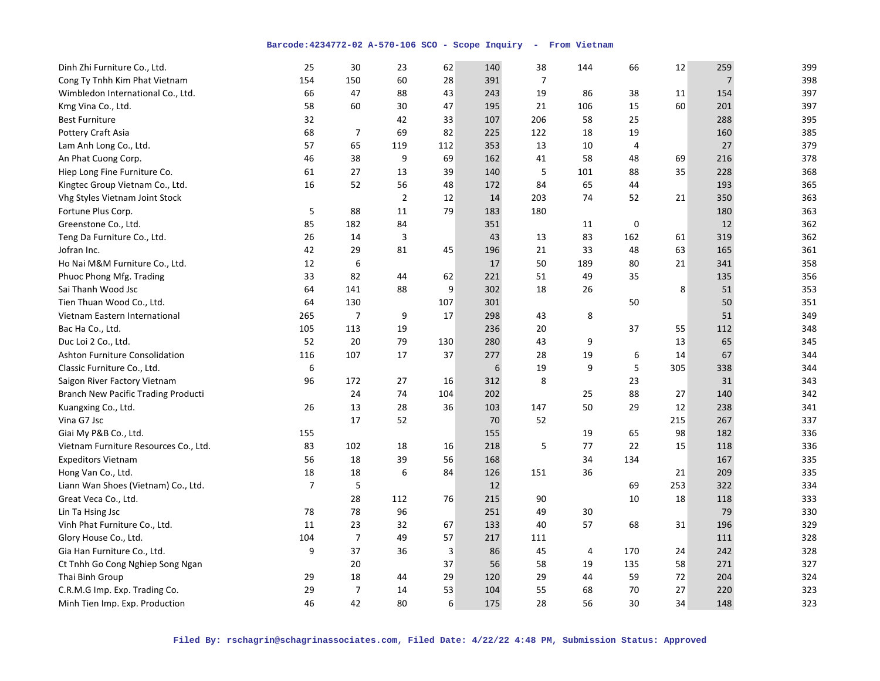| Dinh Zhi Furniture Co., Ltd.               | 25             | 30             | 23             | 62  | 140 | 38             | 144 | 66          | 12  | 259            | 399 |
|--------------------------------------------|----------------|----------------|----------------|-----|-----|----------------|-----|-------------|-----|----------------|-----|
| Cong Ty Tnhh Kim Phat Vietnam              | 154            | 150            | 60             | 28  | 391 | $\overline{7}$ |     |             |     | $\overline{7}$ | 398 |
| Wimbledon International Co., Ltd.          | 66             | 47             | 88             | 43  | 243 | 19             | 86  | 38          | 11  | 154            | 397 |
| Kmg Vina Co., Ltd.                         | 58             | 60             | 30             | 47  | 195 | 21             | 106 | 15          | 60  | 201            | 397 |
| <b>Best Furniture</b>                      | 32             |                | 42             | 33  | 107 | 206            | 58  | 25          |     | 288            | 395 |
| <b>Pottery Craft Asia</b>                  | 68             | $\overline{7}$ | 69             | 82  | 225 | 122            | 18  | 19          |     | 160            | 385 |
| Lam Anh Long Co., Ltd.                     | 57             | 65             | 119            | 112 | 353 | 13             | 10  | 4           |     | 27             | 379 |
| An Phat Cuong Corp.                        | 46             | 38             | 9              | 69  | 162 | 41             | 58  | 48          | 69  | 216            | 378 |
| Hiep Long Fine Furniture Co.               | 61             | 27             | 13             | 39  | 140 | 5              | 101 | 88          | 35  | 228            | 368 |
| Kingtec Group Vietnam Co., Ltd.            | 16             | 52             | 56             | 48  | 172 | 84             | 65  | 44          |     | 193            | 365 |
| <b>Vhg Styles Vietnam Joint Stock</b>      |                |                | $\overline{2}$ | 12  | 14  | 203            | 74  | 52          | 21  | 350            | 363 |
| Fortune Plus Corp.                         | 5              | 88             | 11             | 79  | 183 | 180            |     |             |     | 180            | 363 |
| Greenstone Co., Ltd.                       | 85             | 182            | 84             |     | 351 |                | 11  | $\mathbf 0$ |     | 12             | 362 |
| Teng Da Furniture Co., Ltd.                | 26             | 14             | 3              |     | 43  | 13             | 83  | 162         | 61  | 319            | 362 |
| Jofran Inc.                                | 42             | 29             | 81             | 45  | 196 | 21             | 33  | 48          | 63  | 165            | 361 |
| Ho Nai M&M Furniture Co., Ltd.             | 12             | 6              |                |     | 17  | 50             | 189 | 80          | 21  | 341            | 358 |
| Phuoc Phong Mfg. Trading                   | 33             | 82             | 44             | 62  | 221 | 51             | 49  | 35          |     | 135            | 356 |
| Sai Thanh Wood Jsc                         | 64             | 141            | 88             | 9   | 302 | 18             | 26  |             | 8   | 51             | 353 |
| Tien Thuan Wood Co., Ltd.                  | 64             | 130            |                | 107 | 301 |                |     | 50          |     | 50             | 351 |
| Vietnam Eastern International              | 265            | $\overline{7}$ | 9              | 17  | 298 | 43             | 8   |             |     | 51             | 349 |
| Bac Ha Co., Ltd.                           | 105            | 113            | 19             |     | 236 | 20             |     | 37          | 55  | 112            | 348 |
| Duc Loi 2 Co., Ltd.                        | 52             | 20             | 79             | 130 | 280 | 43             | 9   |             | 13  | 65             | 345 |
| Ashton Furniture Consolidation             | 116            | 107            | 17             | 37  | 277 | 28             | 19  | 6           | 14  | 67             | 344 |
| Classic Furniture Co., Ltd.                | 6              |                |                |     | 6   | 19             | 9   | 5           | 305 | 338            | 344 |
| Saigon River Factory Vietnam               | 96             | 172            | 27             | 16  | 312 | 8              |     | 23          |     | 31             | 343 |
| <b>Branch New Pacific Trading Producti</b> |                | 24             | 74             | 104 | 202 |                | 25  | 88          | 27  | 140            | 342 |
| Kuangxing Co., Ltd.                        | 26             | 13             | 28             | 36  | 103 | 147            | 50  | 29          | 12  | 238            | 341 |
| Vina G7 Jsc                                |                | 17             | 52             |     | 70  | 52             |     |             | 215 | 267            | 337 |
| Giai My P&B Co., Ltd.                      | 155            |                |                |     | 155 |                | 19  | 65          | 98  | 182            | 336 |
| Vietnam Furniture Resources Co., Ltd.      | 83             | 102            | 18             | 16  | 218 | 5              | 77  | 22          | 15  | 118            | 336 |
| <b>Expeditors Vietnam</b>                  | 56             | 18             | 39             | 56  | 168 |                | 34  | 134         |     | 167            | 335 |
| Hong Van Co., Ltd.                         | 18             | 18             | 6              | 84  | 126 | 151            | 36  |             | 21  | 209            | 335 |
| Liann Wan Shoes (Vietnam) Co., Ltd.        | $\overline{7}$ | 5              |                |     | 12  |                |     | 69          | 253 | 322            | 334 |
| Great Veca Co., Ltd.                       |                | 28             | 112            | 76  | 215 | 90             |     | 10          | 18  | 118            | 333 |
| Lin Ta Hsing Jsc                           | 78             | 78             | 96             |     | 251 | 49             | 30  |             |     | 79             | 330 |
| Vinh Phat Furniture Co., Ltd.              | 11             | 23             | 32             | 67  | 133 | 40             | 57  | 68          | 31  | 196            | 329 |
| Glory House Co., Ltd.                      | 104            | $\overline{7}$ | 49             | 57  | 217 | 111            |     |             |     | 111            | 328 |
| Gia Han Furniture Co., Ltd.                | 9              | 37             | 36             | 3   | 86  | 45             | 4   | 170         | 24  | 242            | 328 |
| Ct Tnhh Go Cong Nghiep Song Ngan           |                | 20             |                | 37  | 56  | 58             | 19  | 135         | 58  | 271            | 327 |
| Thai Binh Group                            | 29             | 18             | 44             | 29  | 120 | 29             | 44  | 59          | 72  | 204            | 324 |
| C.R.M.G Imp. Exp. Trading Co.              | 29             | $\overline{7}$ | 14             | 53  | 104 | 55             | 68  | 70          | 27  | 220            | 323 |
| Minh Tien Imp. Exp. Production             | 46             | 42             | 80             | 6   | 175 | 28             | 56  | 30          | 34  | 148            | 323 |
|                                            |                |                |                |     |     |                |     |             |     |                |     |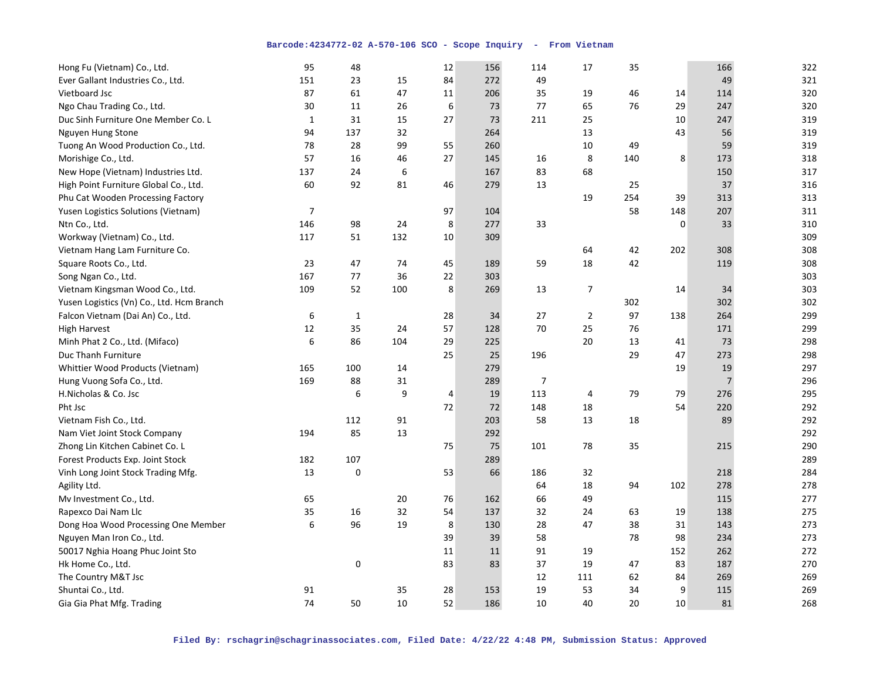| Hong Fu (Vietnam) Co., Ltd.               | 95             | 48           |     | 12             | 156 | 114            | 17             | 35  |     | 166            | 322 |
|-------------------------------------------|----------------|--------------|-----|----------------|-----|----------------|----------------|-----|-----|----------------|-----|
| Ever Gallant Industries Co., Ltd.         | 151            | 23           | 15  | 84             | 272 | 49             |                |     |     | 49             | 321 |
| Vietboard Jsc                             | 87             | 61           | 47  | 11             | 206 | 35             | 19             | 46  | 14  | 114            | 320 |
| Ngo Chau Trading Co., Ltd.                | 30             | 11           | 26  | 6              | 73  | 77             | 65             | 76  | 29  | 247            | 320 |
| Duc Sinh Furniture One Member Co. L       | 1              | 31           | 15  | 27             | 73  | 211            | 25             |     | 10  | 247            | 319 |
| Nguyen Hung Stone                         | 94             | 137          | 32  |                | 264 |                | 13             |     | 43  | 56             | 319 |
| Tuong An Wood Production Co., Ltd.        | 78             | 28           | 99  | 55             | 260 |                | 10             | 49  |     | 59             | 319 |
| Morishige Co., Ltd.                       | 57             | 16           | 46  | 27             | 145 | 16             | 8              | 140 | 8   | 173            | 318 |
| New Hope (Vietnam) Industries Ltd.        | 137            | 24           | 6   |                | 167 | 83             | 68             |     |     | 150            | 317 |
| High Point Furniture Global Co., Ltd.     | 60             | 92           | 81  | 46             | 279 | 13             |                | 25  |     | 37             | 316 |
| Phu Cat Wooden Processing Factory         |                |              |     |                |     |                | 19             | 254 | 39  | 313            | 313 |
| Yusen Logistics Solutions (Vietnam)       | $\overline{7}$ |              |     | 97             | 104 |                |                | 58  | 148 | 207            | 311 |
| Ntn Co., Ltd.                             | 146            | 98           | 24  | 8              | 277 | 33             |                |     | 0   | 33             | 310 |
| Workway (Vietnam) Co., Ltd.               | 117            | 51           | 132 | $10\,$         | 309 |                |                |     |     |                | 309 |
| Vietnam Hang Lam Furniture Co.            |                |              |     |                |     |                | 64             | 42  | 202 | 308            | 308 |
| Square Roots Co., Ltd.                    | 23             | 47           | 74  | 45             | 189 | 59             | 18             | 42  |     | 119            | 308 |
| Song Ngan Co., Ltd.                       | 167            | 77           | 36  | 22             | 303 |                |                |     |     |                | 303 |
| Vietnam Kingsman Wood Co., Ltd.           | 109            | 52           | 100 | 8              | 269 | 13             | $\overline{7}$ |     | 14  | 34             | 303 |
| Yusen Logistics (Vn) Co., Ltd. Hcm Branch |                |              |     |                |     |                |                | 302 |     | 302            | 302 |
| Falcon Vietnam (Dai An) Co., Ltd.         | 6              | $\mathbf{1}$ |     | 28             | 34  | 27             | $\overline{2}$ | 97  | 138 | 264            | 299 |
| <b>High Harvest</b>                       | 12             | 35           | 24  | 57             | 128 | 70             | 25             | 76  |     | 171            | 299 |
| Minh Phat 2 Co., Ltd. (Mifaco)            | 6              | 86           | 104 | 29             | 225 |                | 20             | 13  | 41  | 73             | 298 |
| Duc Thanh Furniture                       |                |              |     | 25             | 25  | 196            |                | 29  | 47  | 273            | 298 |
| Whittier Wood Products (Vietnam)          | 165            | 100          | 14  |                | 279 |                |                |     | 19  | 19             | 297 |
| Hung Vuong Sofa Co., Ltd.                 | 169            | 88           | 31  |                | 289 | $\overline{7}$ |                |     |     | $\overline{7}$ | 296 |
| H.Nicholas & Co. Jsc                      |                | 6            | 9   | $\overline{4}$ | 19  | 113            | 4              | 79  | 79  | 276            | 295 |
| Pht Jsc                                   |                |              |     | 72             | 72  | 148            | 18             |     | 54  | 220            | 292 |
| Vietnam Fish Co., Ltd.                    |                | 112          | 91  |                | 203 | 58             | 13             | 18  |     | 89             | 292 |
| Nam Viet Joint Stock Company              | 194            | 85           | 13  |                | 292 |                |                |     |     |                | 292 |
| Zhong Lin Kitchen Cabinet Co. L           |                |              |     | 75             | 75  | 101            | 78             | 35  |     | 215            | 290 |
| Forest Products Exp. Joint Stock          | 182            | 107          |     |                | 289 |                |                |     |     |                | 289 |
| Vinh Long Joint Stock Trading Mfg.        | 13             | 0            |     | 53             | 66  | 186            | 32             |     |     | 218            | 284 |
| Agility Ltd.                              |                |              |     |                |     | 64             | 18             | 94  | 102 | 278            | 278 |
| Mv Investment Co., Ltd.                   | 65             |              | 20  | 76             | 162 | 66             | 49             |     |     | 115            | 277 |
| Rapexco Dai Nam Llc                       | 35             | 16           | 32  | 54             | 137 | 32             | 24             | 63  | 19  | 138            | 275 |
| Dong Hoa Wood Processing One Member       | 6              | 96           | 19  | 8              | 130 | 28             | 47             | 38  | 31  | 143            | 273 |
| Nguyen Man Iron Co., Ltd.                 |                |              |     | 39             | 39  | 58             |                | 78  | 98  | 234            | 273 |
| 50017 Nghia Hoang Phuc Joint Sto          |                |              |     | 11             | 11  | 91             | 19             |     | 152 | 262            | 272 |
| Hk Home Co., Ltd.                         |                | 0            |     | 83             | 83  | 37             | 19             | 47  | 83  | 187            | 270 |
| The Country M&T Jsc                       |                |              |     |                |     | 12             | 111            | 62  | 84  | 269            | 269 |
| Shuntai Co., Ltd.                         | 91             |              | 35  | 28             | 153 | 19             | 53             | 34  | 9   | 115            | 269 |
| Gia Gia Phat Mfg. Trading                 | 74             | 50           | 10  | 52             | 186 | 10             | 40             | 20  | 10  | 81             | 268 |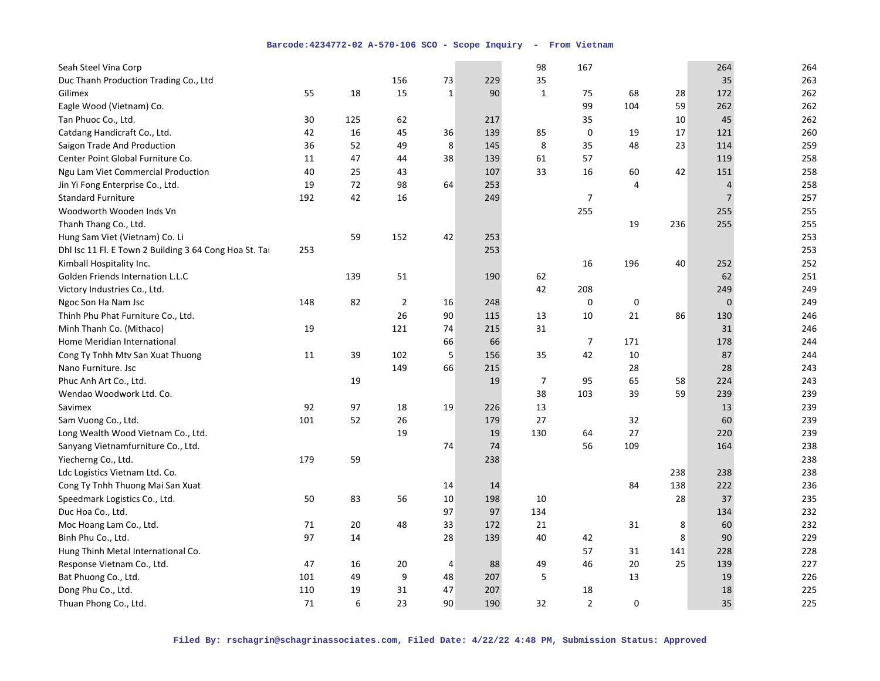| Seah Steel Vina Corp                                   |     |     |                |              |     | 98             | 167            |     |     | 264            | 264 |
|--------------------------------------------------------|-----|-----|----------------|--------------|-----|----------------|----------------|-----|-----|----------------|-----|
| Duc Thanh Production Trading Co., Ltd                  |     |     | 156            | 73           | 229 | 35             |                |     |     | 35             | 263 |
| Gilimex                                                | 55  | 18  | 15             | $\mathbf{1}$ | 90  | $\mathbf{1}$   | 75             | 68  | 28  | 172            | 262 |
| Eagle Wood (Vietnam) Co.                               |     |     |                |              |     |                | 99             | 104 | 59  | 262            | 262 |
| Tan Phuoc Co., Ltd.                                    | 30  | 125 | 62             |              | 217 |                | 35             |     | 10  | 45             | 262 |
| Catdang Handicraft Co., Ltd.                           | 42  | 16  | 45             | 36           | 139 | 85             | 0              | 19  | 17  | 121            | 260 |
| Saigon Trade And Production                            | 36  | 52  | 49             | 8            | 145 | 8              | 35             | 48  | 23  | 114            | 259 |
| Center Point Global Furniture Co.                      | 11  | 47  | 44             | 38           | 139 | 61             | 57             |     |     | 119            | 258 |
| Ngu Lam Viet Commercial Production                     | 40  | 25  | 43             |              | 107 | 33             | 16             | 60  | 42  | 151            | 258 |
| Jin Yi Fong Enterprise Co., Ltd.                       | 19  | 72  | 98             | 64           | 253 |                |                | 4   |     | $\overline{4}$ | 258 |
| <b>Standard Furniture</b>                              | 192 | 42  | 16             |              | 249 |                | $\overline{7}$ |     |     | $\overline{7}$ | 257 |
| Woodworth Wooden Inds Vn                               |     |     |                |              |     |                | 255            |     |     | 255            | 255 |
| Thanh Thang Co., Ltd.                                  |     |     |                |              |     |                |                | 19  | 236 | 255            | 255 |
| Hung Sam Viet (Vietnam) Co. Li                         |     | 59  | 152            | 42           | 253 |                |                |     |     |                | 253 |
| Dhl Isc 11 Fl. E Town 2 Building 3 64 Cong Hoa St. Tar | 253 |     |                |              | 253 |                |                |     |     |                | 253 |
| Kimball Hospitality Inc.                               |     |     |                |              |     |                | 16             | 196 | 40  | 252            | 252 |
| Golden Friends Internation L.L.C                       |     | 139 | 51             |              | 190 | 62             |                |     |     | 62             | 251 |
| Victory Industries Co., Ltd.                           |     |     |                |              |     | 42             | 208            |     |     | 249            | 249 |
| Ngoc Son Ha Nam Jsc                                    | 148 | 82  | $\overline{2}$ | 16           | 248 |                | 0              | 0   |     | $\mathbf{0}$   | 249 |
| Thinh Phu Phat Furniture Co., Ltd.                     |     |     | 26             | 90           | 115 | 13             | 10             | 21  | 86  | 130            | 246 |
| Minh Thanh Co. (Mithaco)                               | 19  |     | 121            | 74           | 215 | 31             |                |     |     | 31             | 246 |
| Home Meridian International                            |     |     |                | 66           | 66  |                | $\overline{7}$ | 171 |     | 178            | 244 |
| Cong Ty Tnhh Mtv San Xuat Thuong                       | 11  | 39  | 102            | 5            | 156 | 35             | 42             | 10  |     | 87             | 244 |
| Nano Furniture. Jsc                                    |     |     | 149            | 66           | 215 |                |                | 28  |     | 28             | 243 |
| Phuc Anh Art Co., Ltd.                                 |     | 19  |                |              | 19  | $\overline{7}$ | 95             | 65  | 58  | 224            | 243 |
| Wendao Woodwork Ltd. Co.                               |     |     |                |              |     | 38             | 103            | 39  | 59  | 239            | 239 |
| Savimex                                                | 92  | 97  | 18             | 19           | 226 | 13             |                |     |     | 13             | 239 |
| Sam Vuong Co., Ltd.                                    | 101 | 52  | 26             |              | 179 | 27             |                | 32  |     | 60             | 239 |
| Long Wealth Wood Vietnam Co., Ltd.                     |     |     | 19             |              | 19  | 130            | 64             | 27  |     | 220            | 239 |
| Sanyang Vietnamfurniture Co., Ltd.                     |     |     |                | 74           | 74  |                | 56             | 109 |     | 164            | 238 |
| Yiecherng Co., Ltd.                                    | 179 | 59  |                |              | 238 |                |                |     |     |                | 238 |
| Ldc Logistics Vietnam Ltd. Co.                         |     |     |                |              |     |                |                |     | 238 | 238            | 238 |
| Cong Ty Tnhh Thuong Mai San Xuat                       |     |     |                | 14           | 14  |                |                | 84  | 138 | 222            | 236 |
| Speedmark Logistics Co., Ltd.                          | 50  | 83  | 56             | 10           | 198 | 10             |                |     | 28  | 37             | 235 |
| Duc Hoa Co., Ltd.                                      |     |     |                | 97           | 97  | 134            |                |     |     | 134            | 232 |
| Moc Hoang Lam Co., Ltd.                                | 71  | 20  | 48             | 33           | 172 | 21             |                | 31  | 8   | 60             | 232 |
| Binh Phu Co., Ltd.                                     | 97  | 14  |                | 28           | 139 | 40             | 42             |     | 8   | 90             | 229 |
| Hung Thinh Metal International Co.                     |     |     |                |              |     |                | 57             | 31  | 141 | 228            | 228 |
| Response Vietnam Co., Ltd.                             | 47  | 16  | 20             | 4            | 88  | 49             | 46             | 20  | 25  | 139            | 227 |
| Bat Phuong Co., Ltd.                                   | 101 | 49  | 9              | 48           | 207 | 5              |                | 13  |     | 19             | 226 |
| Dong Phu Co., Ltd.                                     | 110 | 19  | 31             | 47           | 207 |                | 18             |     |     | 18             | 225 |
| Thuan Phong Co., Ltd.                                  | 71  | 6   | 23             | 90           | 190 | 32             | $\overline{2}$ | 0   |     | 35             | 225 |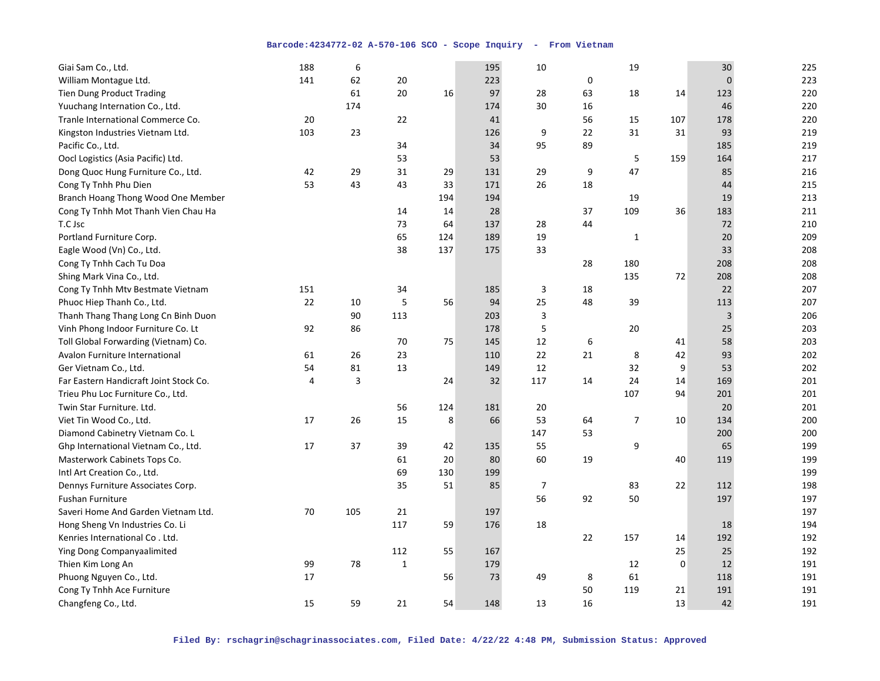| Giai Sam Co., Ltd.                     | 188 | 6   |             |     | 195 | 10             |    | 19             |             | 30           | 225 |
|----------------------------------------|-----|-----|-------------|-----|-----|----------------|----|----------------|-------------|--------------|-----|
| William Montague Ltd.                  | 141 | 62  | 20          |     | 223 |                | 0  |                |             | $\mathbf{0}$ | 223 |
| <b>Tien Dung Product Trading</b>       |     | 61  | 20          | 16  | 97  | 28             | 63 | 18             | 14          | 123          | 220 |
| Yuuchang Internation Co., Ltd.         |     | 174 |             |     | 174 | 30             | 16 |                |             | 46           | 220 |
| Tranle International Commerce Co.      | 20  |     | 22          |     | 41  |                | 56 | 15             | 107         | 178          | 220 |
| Kingston Industries Vietnam Ltd.       | 103 | 23  |             |     | 126 | 9              | 22 | 31             | 31          | 93           | 219 |
| Pacific Co., Ltd.                      |     |     | 34          |     | 34  | 95             | 89 |                |             | 185          | 219 |
| Oocl Logistics (Asia Pacific) Ltd.     |     |     | 53          |     | 53  |                |    | 5              | 159         | 164          | 217 |
| Dong Quoc Hung Furniture Co., Ltd.     | 42  | 29  | 31          | 29  | 131 | 29             | 9  | 47             |             | 85           | 216 |
| Cong Ty Tnhh Phu Dien                  | 53  | 43  | 43          | 33  | 171 | 26             | 18 |                |             | 44           | 215 |
| Branch Hoang Thong Wood One Member     |     |     |             | 194 | 194 |                |    | 19             |             | 19           | 213 |
| Cong Ty Tnhh Mot Thanh Vien Chau Ha    |     |     | 14          | 14  | 28  |                | 37 | 109            | 36          | 183          | 211 |
| T.C Jsc                                |     |     | 73          | 64  | 137 | 28             | 44 |                |             | 72           | 210 |
| Portland Furniture Corp.               |     |     | 65          | 124 | 189 | 19             |    | $\mathbf 1$    |             | 20           | 209 |
| Eagle Wood (Vn) Co., Ltd.              |     |     | 38          | 137 | 175 | 33             |    |                |             | 33           | 208 |
| Cong Ty Tnhh Cach Tu Doa               |     |     |             |     |     |                | 28 | 180            |             | 208          | 208 |
| Shing Mark Vina Co., Ltd.              |     |     |             |     |     |                |    | 135            | 72          | 208          | 208 |
| Cong Ty Tnhh Mtv Bestmate Vietnam      | 151 |     | 34          |     | 185 | 3              | 18 |                |             | 22           | 207 |
| Phuoc Hiep Thanh Co., Ltd.             | 22  | 10  | 5           | 56  | 94  | 25             | 48 | 39             |             | 113          | 207 |
| Thanh Thang Thang Long Cn Binh Duon    |     | 90  | 113         |     | 203 | 3              |    |                |             | 3            | 206 |
| Vinh Phong Indoor Furniture Co. Lt     | 92  | 86  |             |     | 178 | 5              |    | 20             |             | 25           | 203 |
| Toll Global Forwarding (Vietnam) Co.   |     |     | 70          | 75  | 145 | 12             | 6  |                | 41          | 58           | 203 |
| Avalon Furniture International         | 61  | 26  | 23          |     | 110 | 22             | 21 | 8              | 42          | 93           | 202 |
| Ger Vietnam Co., Ltd.                  | 54  | 81  | 13          |     | 149 | 12             |    | 32             | 9           | 53           | 202 |
| Far Eastern Handicraft Joint Stock Co. | 4   | 3   |             | 24  | 32  | 117            | 14 | 24             | 14          | 169          | 201 |
| Trieu Phu Loc Furniture Co., Ltd.      |     |     |             |     |     |                |    | 107            | 94          | 201          | 201 |
| Twin Star Furniture. Ltd.              |     |     | 56          | 124 | 181 | 20             |    |                |             | 20           | 201 |
| Viet Tin Wood Co., Ltd.                | 17  | 26  | 15          | 8   | 66  | 53             | 64 | $\overline{7}$ | 10          | 134          | 200 |
| Diamond Cabinetry Vietnam Co. L        |     |     |             |     |     | 147            | 53 |                |             | 200          | 200 |
| Ghp International Vietnam Co., Ltd.    | 17  | 37  | 39          | 42  | 135 | 55             |    | 9              |             | 65           | 199 |
| Masterwork Cabinets Tops Co.           |     |     | 61          | 20  | 80  | 60             | 19 |                | 40          | 119          | 199 |
| Intl Art Creation Co., Ltd.            |     |     | 69          | 130 | 199 |                |    |                |             |              | 199 |
| Dennys Furniture Associates Corp.      |     |     | 35          | 51  | 85  | $\overline{7}$ |    | 83             | 22          | 112          | 198 |
| <b>Fushan Furniture</b>                |     |     |             |     |     | 56             | 92 | 50             |             | 197          | 197 |
| Saveri Home And Garden Vietnam Ltd.    | 70  | 105 | 21          |     | 197 |                |    |                |             |              | 197 |
| Hong Sheng Vn Industries Co. Li        |     |     | 117         | 59  | 176 | 18             |    |                |             | 18           | 194 |
| Kenries International Co. Ltd.         |     |     |             |     |     |                | 22 | 157            | 14          | 192          | 192 |
| Ying Dong Companyaalimited             |     |     | 112         | 55  | 167 |                |    |                | 25          | 25           | 192 |
| Thien Kim Long An                      | 99  | 78  | $\mathbf 1$ |     | 179 |                |    | 12             | $\mathbf 0$ | 12           | 191 |
| Phuong Nguyen Co., Ltd.                | 17  |     |             | 56  | 73  | 49             | 8  | 61             |             | 118          | 191 |
| Cong Ty Tnhh Ace Furniture             |     |     |             |     |     |                | 50 | 119            | 21          | 191          | 191 |
| Changfeng Co., Ltd.                    | 15  | 59  | 21          | 54  | 148 | 13             | 16 |                | 13          | 42           | 191 |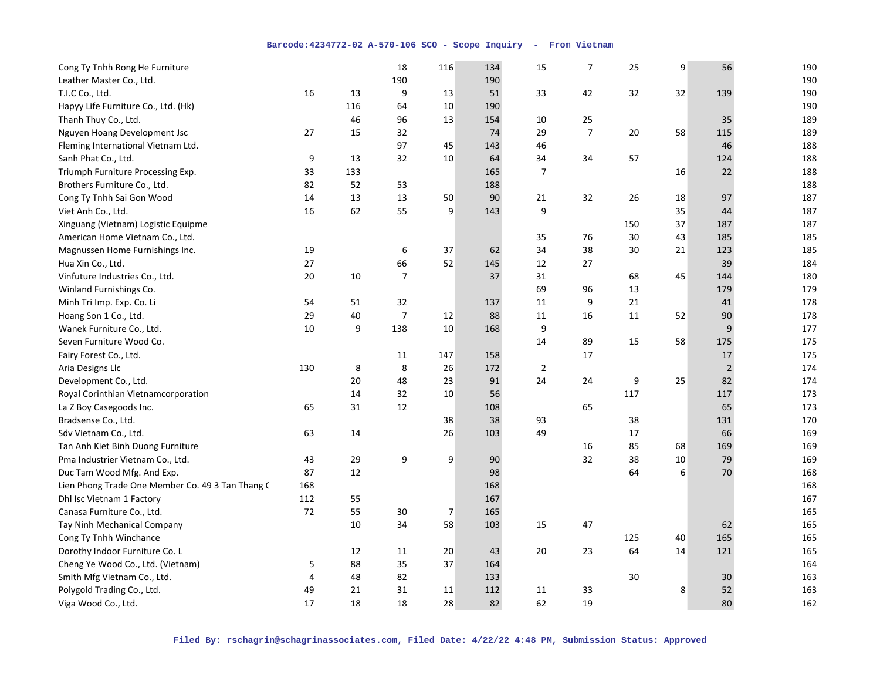| Cong Ty Tnhh Rong He Furniture                   |     |     | 18               | 116 | 134 | 15             | $\overline{7}$ | 25  | 9  | 56             | 190 |
|--------------------------------------------------|-----|-----|------------------|-----|-----|----------------|----------------|-----|----|----------------|-----|
| Leather Master Co., Ltd.                         |     |     | 190              |     | 190 |                |                |     |    |                | 190 |
| T.I.C Co., Ltd.                                  | 16  | 13  | 9                | 13  | 51  | 33             | 42             | 32  | 32 | 139            | 190 |
| Hapyy Life Furniture Co., Ltd. (Hk)              |     | 116 | 64               | 10  | 190 |                |                |     |    |                | 190 |
| Thanh Thuy Co., Ltd.                             |     | 46  | 96               | 13  | 154 | 10             | 25             |     |    | 35             | 189 |
| Nguyen Hoang Development Jsc                     | 27  | 15  | 32               |     | 74  | 29             | $\overline{7}$ | 20  | 58 | 115            | 189 |
| Fleming International Vietnam Ltd.               |     |     | 97               | 45  | 143 | 46             |                |     |    | 46             | 188 |
| Sanh Phat Co., Ltd.                              | 9   | 13  | 32               | 10  | 64  | 34             | 34             | 57  |    | 124            | 188 |
| Triumph Furniture Processing Exp.                | 33  | 133 |                  |     | 165 | $\overline{7}$ |                |     | 16 | 22             | 188 |
| Brothers Furniture Co., Ltd.                     | 82  | 52  | 53               |     | 188 |                |                |     |    |                | 188 |
| Cong Ty Tnhh Sai Gon Wood                        | 14  | 13  | 13               | 50  | 90  | 21             | 32             | 26  | 18 | 97             | 187 |
| Viet Anh Co., Ltd.                               | 16  | 62  | 55               | 9   | 143 | 9              |                |     | 35 | 44             | 187 |
| Xinguang (Vietnam) Logistic Equipme              |     |     |                  |     |     |                |                | 150 | 37 | 187            | 187 |
| American Home Vietnam Co., Ltd.                  |     |     |                  |     |     | 35             | 76             | 30  | 43 | 185            | 185 |
| Magnussen Home Furnishings Inc.                  | 19  |     | 6                | 37  | 62  | 34             | 38             | 30  | 21 | 123            | 185 |
| Hua Xin Co., Ltd.                                | 27  |     | 66               | 52  | 145 | 12             | 27             |     |    | 39             | 184 |
| Vinfuture Industries Co., Ltd.                   | 20  | 10  | $\boldsymbol{7}$ |     | 37  | 31             |                | 68  | 45 | 144            | 180 |
| Winland Furnishings Co.                          |     |     |                  |     |     | 69             | 96             | 13  |    | 179            | 179 |
| Minh Tri Imp. Exp. Co. Li                        | 54  | 51  | 32               |     | 137 | 11             | 9              | 21  |    | 41             | 178 |
| Hoang Son 1 Co., Ltd.                            | 29  | 40  | $\overline{7}$   | 12  | 88  | 11             | 16             | 11  | 52 | 90             | 178 |
| Wanek Furniture Co., Ltd.                        | 10  | 9   | 138              | 10  | 168 | 9              |                |     |    | 9              | 177 |
| Seven Furniture Wood Co.                         |     |     |                  |     |     | 14             | 89             | 15  | 58 | 175            | 175 |
| Fairy Forest Co., Ltd.                           |     |     | 11               | 147 | 158 |                | 17             |     |    | 17             | 175 |
| Aria Designs Llc                                 | 130 | 8   | 8                | 26  | 172 | $\overline{2}$ |                |     |    | $\overline{2}$ | 174 |
| Development Co., Ltd.                            |     | 20  | 48               | 23  | 91  | 24             | 24             | 9   | 25 | 82             | 174 |
| Royal Corinthian Vietnamcorporation              |     | 14  | 32               | 10  | 56  |                |                | 117 |    | 117            | 173 |
| La Z Boy Casegoods Inc.                          | 65  | 31  | 12               |     | 108 |                | 65             |     |    | 65             | 173 |
| Bradsense Co., Ltd.                              |     |     |                  | 38  | 38  | 93             |                | 38  |    | 131            | 170 |
| Sdv Vietnam Co., Ltd.                            | 63  | 14  |                  | 26  | 103 | 49             |                | 17  |    | 66             | 169 |
| Tan Anh Kiet Binh Duong Furniture                |     |     |                  |     |     |                | 16             | 85  | 68 | 169            | 169 |
| Pma Industrier Vietnam Co., Ltd.                 | 43  | 29  | 9                | 9   | 90  |                | 32             | 38  | 10 | 79             | 169 |
| Duc Tam Wood Mfg. And Exp.                       | 87  | 12  |                  |     | 98  |                |                | 64  | 6  | 70             | 168 |
| Lien Phong Trade One Member Co. 49 3 Tan Thang C | 168 |     |                  |     | 168 |                |                |     |    |                | 168 |
| Dhl Isc Vietnam 1 Factory                        | 112 | 55  |                  |     | 167 |                |                |     |    |                | 167 |
| Canasa Furniture Co., Ltd.                       | 72  | 55  | 30               | 7   | 165 |                |                |     |    |                | 165 |
| Tay Ninh Mechanical Company                      |     | 10  | 34               | 58  | 103 | 15             | 47             |     |    | 62             | 165 |
| Cong Ty Tnhh Winchance                           |     |     |                  |     |     |                |                | 125 | 40 | 165            | 165 |
| Dorothy Indoor Furniture Co. L                   |     | 12  | 11               | 20  | 43  | 20             | 23             | 64  | 14 | 121            | 165 |
| Cheng Ye Wood Co., Ltd. (Vietnam)                | 5   | 88  | 35               | 37  | 164 |                |                |     |    |                | 164 |
| Smith Mfg Vietnam Co., Ltd.                      | 4   | 48  | 82               |     | 133 |                |                | 30  |    | 30             | 163 |
| Polygold Trading Co., Ltd.                       | 49  | 21  | 31               | 11  | 112 | 11             | 33             |     | 8  | 52             | 163 |
| Viga Wood Co., Ltd.                              | 17  | 18  | 18               | 28  | 82  | 62             | 19             |     |    | 80             | 162 |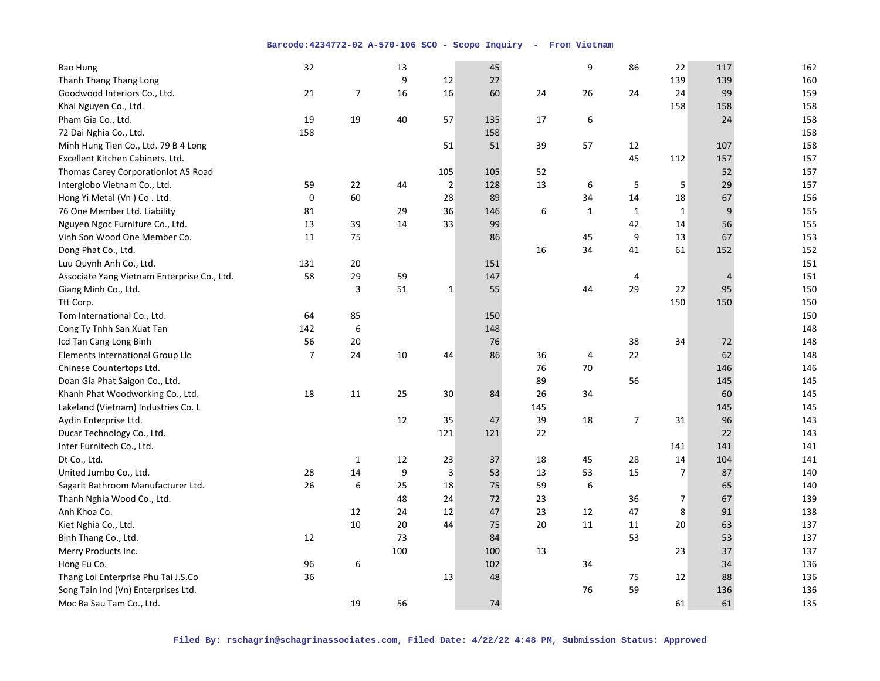| <b>Bao Hung</b>                             | 32             |    | 13  |                         | 45  |     | 9  | 86             | 22             | 117            | 162 |
|---------------------------------------------|----------------|----|-----|-------------------------|-----|-----|----|----------------|----------------|----------------|-----|
| Thanh Thang Thang Long                      |                |    | 9   | 12                      | 22  |     |    |                | 139            | 139            | 160 |
| Goodwood Interiors Co., Ltd.                | 21             | 7  | 16  | 16                      | 60  | 24  | 26 | 24             | 24             | 99             | 159 |
| Khai Nguyen Co., Ltd.                       |                |    |     |                         |     |     |    |                | 158            | 158            | 158 |
| Pham Gia Co., Ltd.                          | 19             | 19 | 40  | 57                      | 135 | 17  | 6  |                |                | 24             | 158 |
| 72 Dai Nghia Co., Ltd.                      | 158            |    |     |                         | 158 |     |    |                |                |                | 158 |
| Minh Hung Tien Co., Ltd. 79 B 4 Long        |                |    |     | 51                      | 51  | 39  | 57 | 12             |                | 107            | 158 |
| Excellent Kitchen Cabinets. Ltd.            |                |    |     |                         |     |     |    | 45             | 112            | 157            | 157 |
| Thomas Carey Corporation ot A5 Road         |                |    |     | 105                     | 105 | 52  |    |                |                | 52             | 157 |
| Interglobo Vietnam Co., Ltd.                | 59             | 22 | 44  | $\mathbf 2$             | 128 | 13  | 6  | $\sqrt{5}$     | 5              | 29             | 157 |
| Hong Yi Metal (Vn) Co. Ltd.                 | 0              | 60 |     | 28                      | 89  |     | 34 | 14             | 18             | 67             | 156 |
| 76 One Member Ltd. Liability                | 81             |    | 29  | 36                      | 146 | 6   | 1  | $\mathbf{1}$   | $\mathbf{1}$   | 9              | 155 |
| Nguyen Ngoc Furniture Co., Ltd.             | 13             | 39 | 14  | 33                      | 99  |     |    | 42             | 14             | 56             | 155 |
| Vinh Son Wood One Member Co.                | 11             | 75 |     |                         | 86  |     | 45 | 9              | 13             | 67             | 153 |
| Dong Phat Co., Ltd.                         |                |    |     |                         |     | 16  | 34 | 41             | 61             | 152            | 152 |
| Luu Quynh Anh Co., Ltd.                     | 131            | 20 |     |                         | 151 |     |    |                |                |                | 151 |
| Associate Yang Vietnam Enterprise Co., Ltd. | 58             | 29 | 59  |                         | 147 |     |    | 4              |                | $\overline{4}$ | 151 |
| Giang Minh Co., Ltd.                        |                | 3  | 51  | $\mathbf 1$             | 55  |     | 44 | 29             | 22             | 95             | 150 |
| Ttt Corp.                                   |                |    |     |                         |     |     |    |                | 150            | 150            | 150 |
| Tom International Co., Ltd.                 | 64             | 85 |     |                         | 150 |     |    |                |                |                | 150 |
| Cong Ty Tnhh San Xuat Tan                   | 142            | 6  |     |                         | 148 |     |    |                |                |                | 148 |
| Icd Tan Cang Long Binh                      | 56             | 20 |     |                         | 76  |     |    | 38             | 34             | 72             | 148 |
| Elements International Group Llc            | $\overline{7}$ | 24 | 10  | 44                      | 86  | 36  | 4  | 22             |                | 62             | 148 |
| Chinese Countertops Ltd.                    |                |    |     |                         |     | 76  | 70 |                |                | 146            | 146 |
| Doan Gia Phat Saigon Co., Ltd.              |                |    |     |                         |     | 89  |    | 56             |                | 145            | 145 |
| Khanh Phat Woodworking Co., Ltd.            | 18             | 11 | 25  | 30                      | 84  | 26  | 34 |                |                | 60             | 145 |
| Lakeland (Vietnam) Industries Co. L         |                |    |     |                         |     | 145 |    |                |                | 145            | 145 |
| Aydin Enterprise Ltd.                       |                |    | 12  | 35                      | 47  | 39  | 18 | $\overline{7}$ | 31             | 96             | 143 |
| Ducar Technology Co., Ltd.                  |                |    |     | 121                     | 121 | 22  |    |                |                | 22             | 143 |
| Inter Furnitech Co., Ltd.                   |                |    |     |                         |     |     |    |                | 141            | 141            | 141 |
| Dt Co., Ltd.                                |                | 1  | 12  | 23                      | 37  | 18  | 45 | 28             | 14             | 104            | 141 |
| United Jumbo Co., Ltd.                      | 28             | 14 | 9   | $\overline{\mathbf{3}}$ | 53  | 13  | 53 | 15             | $\overline{7}$ | 87             | 140 |
| Sagarit Bathroom Manufacturer Ltd.          | 26             | 6  | 25  | 18                      | 75  | 59  | 6  |                |                | 65             | 140 |
| Thanh Nghia Wood Co., Ltd.                  |                |    | 48  | 24                      | 72  | 23  |    | 36             | 7              | 67             | 139 |
| Anh Khoa Co.                                |                | 12 | 24  | 12                      | 47  | 23  | 12 | 47             | 8              | 91             | 138 |
| Kiet Nghia Co., Ltd.                        |                | 10 | 20  | 44                      | 75  | 20  | 11 | 11             | 20             | 63             | 137 |
| Binh Thang Co., Ltd.                        | 12             |    | 73  |                         | 84  |     |    | 53             |                | 53             | 137 |
| Merry Products Inc.                         |                |    | 100 |                         | 100 | 13  |    |                | 23             | 37             | 137 |
| Hong Fu Co.                                 | 96             | 6  |     |                         | 102 |     | 34 |                |                | 34             | 136 |
| Thang Loi Enterprise Phu Tai J.S.Co         | 36             |    |     | 13                      | 48  |     |    | 75             | 12             | 88             | 136 |
| Song Tain Ind (Vn) Enterprises Ltd.         |                |    |     |                         |     |     | 76 | 59             |                | 136            | 136 |
| Moc Ba Sau Tam Co., Ltd.                    |                | 19 | 56  |                         | 74  |     |    |                | 61             | 61             | 135 |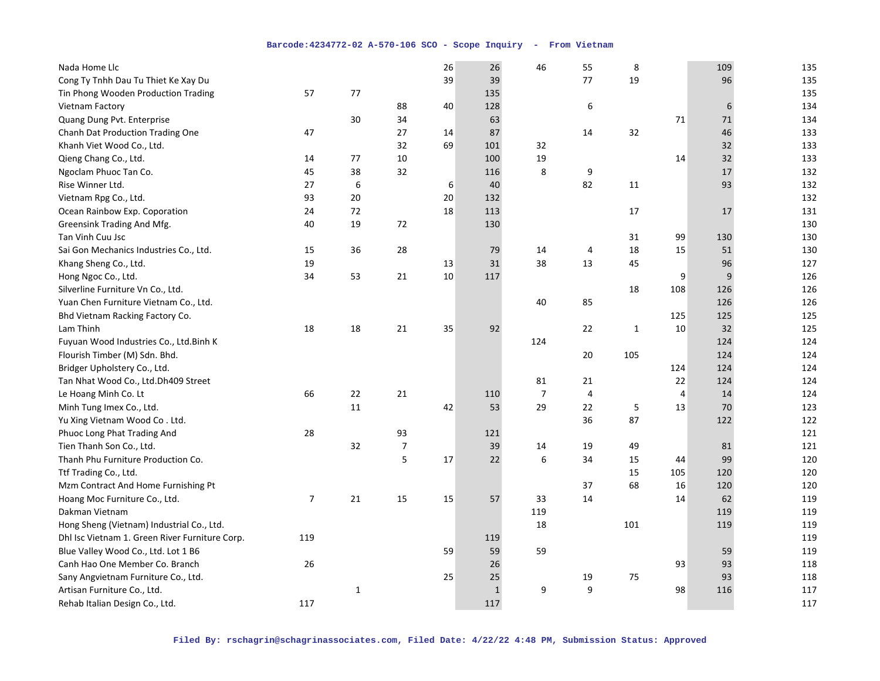| Nada Home Llc                                  |                |              |    | 26 | 26          | 46             | 55 | 8     |                | 109    | 135 |
|------------------------------------------------|----------------|--------------|----|----|-------------|----------------|----|-------|----------------|--------|-----|
| Cong Ty Tnhh Dau Tu Thiet Ke Xay Du            |                |              |    | 39 | 39          |                | 77 | 19    |                | 96     | 135 |
| Tin Phong Wooden Production Trading            | 57             | 77           |    |    | 135         |                |    |       |                |        | 135 |
| Vietnam Factory                                |                |              | 88 | 40 | 128         |                | 6  |       |                | 6      | 134 |
| Quang Dung Pvt. Enterprise                     |                | 30           | 34 |    | 63          |                |    |       | 71             | 71     | 134 |
| Chanh Dat Production Trading One               | 47             |              | 27 | 14 | 87          |                | 14 | 32    |                | 46     | 133 |
| Khanh Viet Wood Co., Ltd.                      |                |              | 32 | 69 | 101         | 32             |    |       |                | 32     | 133 |
| Qieng Chang Co., Ltd.                          | 14             | 77           | 10 |    | 100         | 19             |    |       | 14             | 32     | 133 |
| Ngoclam Phuoc Tan Co.                          | 45             | 38           | 32 |    | 116         | 8              | 9  |       |                | $17\,$ | 132 |
| Rise Winner Ltd.                               | 27             | 6            |    | 6  | 40          |                | 82 | 11    |                | 93     | 132 |
| Vietnam Rpg Co., Ltd.                          | 93             | 20           |    | 20 | 132         |                |    |       |                |        | 132 |
| Ocean Rainbow Exp. Coporation                  | 24             | 72           |    | 18 | 113         |                |    | 17    |                | 17     | 131 |
| Greensink Trading And Mfg.                     | 40             | 19           | 72 |    | 130         |                |    |       |                |        | 130 |
| Tan Vinh Cuu Jsc                               |                |              |    |    |             |                |    | 31    | 99             | 130    | 130 |
| Sai Gon Mechanics Industries Co., Ltd.         | 15             | 36           | 28 |    | 79          | 14             | 4  | 18    | 15             | 51     | 130 |
| Khang Sheng Co., Ltd.                          | 19             |              |    | 13 | 31          | 38             | 13 | 45    |                | 96     | 127 |
| Hong Ngoc Co., Ltd.                            | 34             | 53           | 21 | 10 | 117         |                |    |       | 9              | 9      | 126 |
| Silverline Furniture Vn Co., Ltd.              |                |              |    |    |             |                |    | 18    | 108            | 126    | 126 |
| Yuan Chen Furniture Vietnam Co., Ltd.          |                |              |    |    |             | 40             | 85 |       |                | 126    | 126 |
| Bhd Vietnam Racking Factory Co.                |                |              |    |    |             |                |    |       | 125            | 125    | 125 |
| Lam Thinh                                      | 18             | 18           | 21 | 35 | 92          |                | 22 | $1\,$ | 10             | 32     | 125 |
| Fuyuan Wood Industries Co., Ltd.Binh K         |                |              |    |    |             | 124            |    |       |                | 124    | 124 |
| Flourish Timber (M) Sdn. Bhd.                  |                |              |    |    |             |                | 20 | 105   |                | 124    | 124 |
| Bridger Upholstery Co., Ltd.                   |                |              |    |    |             |                |    |       | 124            | 124    | 124 |
| Tan Nhat Wood Co., Ltd.Dh409 Street            |                |              |    |    |             | 81             | 21 |       | 22             | 124    | 124 |
| Le Hoang Minh Co. Lt                           | 66             | 22           | 21 |    | 110         | $\overline{7}$ | 4  |       | $\overline{4}$ | 14     | 124 |
| Minh Tung Imex Co., Ltd.                       |                | 11           |    | 42 | 53          | 29             | 22 | 5     | 13             | 70     | 123 |
| Yu Xing Vietnam Wood Co. Ltd.                  |                |              |    |    |             |                | 36 | 87    |                | 122    | 122 |
| Phuoc Long Phat Trading And                    | 28             |              | 93 |    | 121         |                |    |       |                |        | 121 |
| Tien Thanh Son Co., Ltd.                       |                | 32           | 7  |    | 39          | 14             | 19 | 49    |                | 81     | 121 |
| Thanh Phu Furniture Production Co.             |                |              | 5  | 17 | 22          | 6              | 34 | 15    | 44             | 99     | 120 |
| Ttf Trading Co., Ltd.                          |                |              |    |    |             |                |    | 15    | 105            | 120    | 120 |
| Mzm Contract And Home Furnishing Pt            |                |              |    |    |             |                | 37 | 68    | 16             | 120    | 120 |
| Hoang Moc Furniture Co., Ltd.                  | $\overline{7}$ | 21           | 15 | 15 | 57          | 33             | 14 |       | 14             | 62     | 119 |
| Dakman Vietnam                                 |                |              |    |    |             | 119            |    |       |                | 119    | 119 |
| Hong Sheng (Vietnam) Industrial Co., Ltd.      |                |              |    |    |             | 18             |    | 101   |                | 119    | 119 |
| Dhl Isc Vietnam 1. Green River Furniture Corp. | 119            |              |    |    | 119         |                |    |       |                |        | 119 |
| Blue Valley Wood Co., Ltd. Lot 1 B6            |                |              |    | 59 | 59          | 59             |    |       |                | 59     | 119 |
| Canh Hao One Member Co. Branch                 | 26             |              |    |    | 26          |                |    |       | 93             | 93     | 118 |
| Sany Angvietnam Furniture Co., Ltd.            |                |              |    | 25 | 25          |                | 19 | 75    |                | 93     | 118 |
| Artisan Furniture Co., Ltd.                    |                | $\mathbf{1}$ |    |    | $\mathbf 1$ | 9              | 9  |       | 98             | 116    | 117 |
| Rehab Italian Design Co., Ltd.                 | 117            |              |    |    | 117         |                |    |       |                |        | 117 |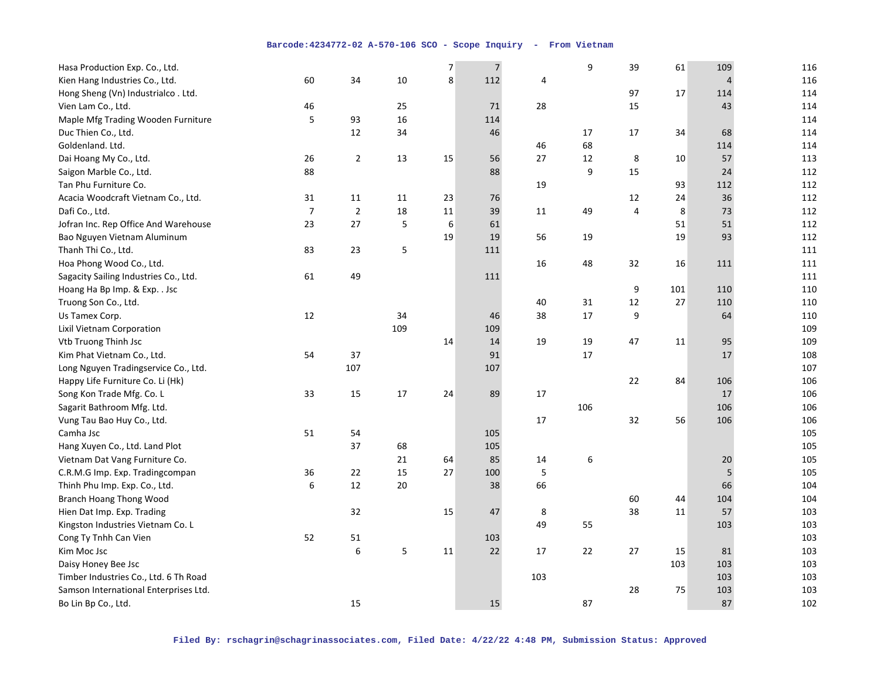| Hasa Production Exp. Co., Ltd.        |                |             |     | $\overline{7}$ | $\sqrt{ }$ |     | 9      | 39     | 61  | 109 | 116 |
|---------------------------------------|----------------|-------------|-----|----------------|------------|-----|--------|--------|-----|-----|-----|
| Kien Hang Industries Co., Ltd.        | 60             | 34          | 10  | 8              | 112        | 4   |        |        |     | 4   | 116 |
| Hong Sheng (Vn) Industrialco. Ltd.    |                |             |     |                |            |     |        | 97     | 17  | 114 | 114 |
| Vien Lam Co., Ltd.                    | 46             |             | 25  |                | 71         | 28  |        | 15     |     | 43  | 114 |
| Maple Mfg Trading Wooden Furniture    | 5              | 93          | 16  |                | 114        |     |        |        |     |     | 114 |
| Duc Thien Co., Ltd.                   |                | 12          | 34  |                | 46         |     | 17     | 17     | 34  | 68  | 114 |
| Goldenland. Ltd.                      |                |             |     |                |            | 46  | 68     |        |     | 114 | 114 |
| Dai Hoang My Co., Ltd.                | 26             | $\mathbf 2$ | 13  | 15             | 56         | 27  | 12     | 8      | 10  | 57  | 113 |
| Saigon Marble Co., Ltd.               | 88             |             |     |                | 88         |     | 9      | 15     |     | 24  | 112 |
| Tan Phu Furniture Co.                 |                |             |     |                |            | 19  |        |        | 93  | 112 | 112 |
| Acacia Woodcraft Vietnam Co., Ltd.    | 31             | 11          | 11  | 23             | 76         |     |        | 12     | 24  | 36  | 112 |
| Dafi Co., Ltd.                        | $\overline{7}$ | $\mathbf 2$ | 18  | 11             | 39         | 11  | 49     | 4      | 8   | 73  | 112 |
| Jofran Inc. Rep Office And Warehouse  | 23             | 27          | 5   | 6              | 61         |     |        |        | 51  | 51  | 112 |
| Bao Nguyen Vietnam Aluminum           |                |             |     | 19             | 19         | 56  | 19     |        | 19  | 93  | 112 |
| Thanh Thi Co., Ltd.                   | 83             | 23          | 5   |                | 111        |     |        |        |     |     | 111 |
| Hoa Phong Wood Co., Ltd.              |                |             |     |                |            | 16  | 48     | 32     | 16  | 111 | 111 |
| Sagacity Sailing Industries Co., Ltd. | 61             | 49          |     |                | 111        |     |        |        |     |     | 111 |
| Hoang Ha Bp Imp. & Exp. . Jsc         |                |             |     |                |            |     |        | 9      | 101 | 110 | 110 |
| Truong Son Co., Ltd.                  |                |             |     |                |            | 40  | $31\,$ | $12\,$ | 27  | 110 | 110 |
| Us Tamex Corp.                        | 12             |             | 34  |                | 46         | 38  | 17     | 9      |     | 64  | 110 |
| Lixil Vietnam Corporation             |                |             | 109 |                | 109        |     |        |        |     |     | 109 |
| Vtb Truong Thinh Jsc                  |                |             |     | 14             | 14         | 19  | 19     | 47     | 11  | 95  | 109 |
| Kim Phat Vietnam Co., Ltd.            | 54             | 37          |     |                | 91         |     | 17     |        |     | 17  | 108 |
| Long Nguyen Tradingservice Co., Ltd.  |                | 107         |     |                | 107        |     |        |        |     |     | 107 |
| Happy Life Furniture Co. Li (Hk)      |                |             |     |                |            |     |        | 22     | 84  | 106 | 106 |
| Song Kon Trade Mfg. Co. L             | 33             | 15          | 17  | 24             | 89         | 17  |        |        |     | 17  | 106 |
| Sagarit Bathroom Mfg. Ltd.            |                |             |     |                |            |     | 106    |        |     | 106 | 106 |
| Vung Tau Bao Huy Co., Ltd.            |                |             |     |                |            | 17  |        | 32     | 56  | 106 | 106 |
| Camha Jsc                             | 51             | 54          |     |                | 105        |     |        |        |     |     | 105 |
| Hang Xuyen Co., Ltd. Land Plot        |                | 37          | 68  |                | 105        |     |        |        |     |     | 105 |
| Vietnam Dat Vang Furniture Co.        |                |             | 21  | 64             | 85         | 14  | 6      |        |     | 20  | 105 |
| C.R.M.G Imp. Exp. Tradingcompan       | 36             | 22          | 15  | 27             | 100        | 5   |        |        |     | 5   | 105 |
| Thinh Phu Imp. Exp. Co., Ltd.         | 6              | 12          | 20  |                | 38         | 66  |        |        |     | 66  | 104 |
| <b>Branch Hoang Thong Wood</b>        |                |             |     |                |            |     |        | 60     | 44  | 104 | 104 |
| Hien Dat Imp. Exp. Trading            |                | 32          |     | 15             | 47         | 8   |        | 38     | 11  | 57  | 103 |
| Kingston Industries Vietnam Co. L     |                |             |     |                |            | 49  | 55     |        |     | 103 | 103 |
| Cong Ty Tnhh Can Vien                 | 52             | 51          |     |                | 103        |     |        |        |     |     | 103 |
| Kim Moc Jsc                           |                | 6           | 5   | 11             | 22         | 17  | 22     | 27     | 15  | 81  | 103 |
| Daisy Honey Bee Jsc                   |                |             |     |                |            |     |        |        | 103 | 103 | 103 |
| Timber Industries Co., Ltd. 6 Th Road |                |             |     |                |            | 103 |        |        |     | 103 | 103 |
| Samson International Enterprises Ltd. |                |             |     |                |            |     |        | 28     | 75  | 103 | 103 |
| Bo Lin Bp Co., Ltd.                   |                | 15          |     |                | 15         |     | 87     |        |     | 87  | 102 |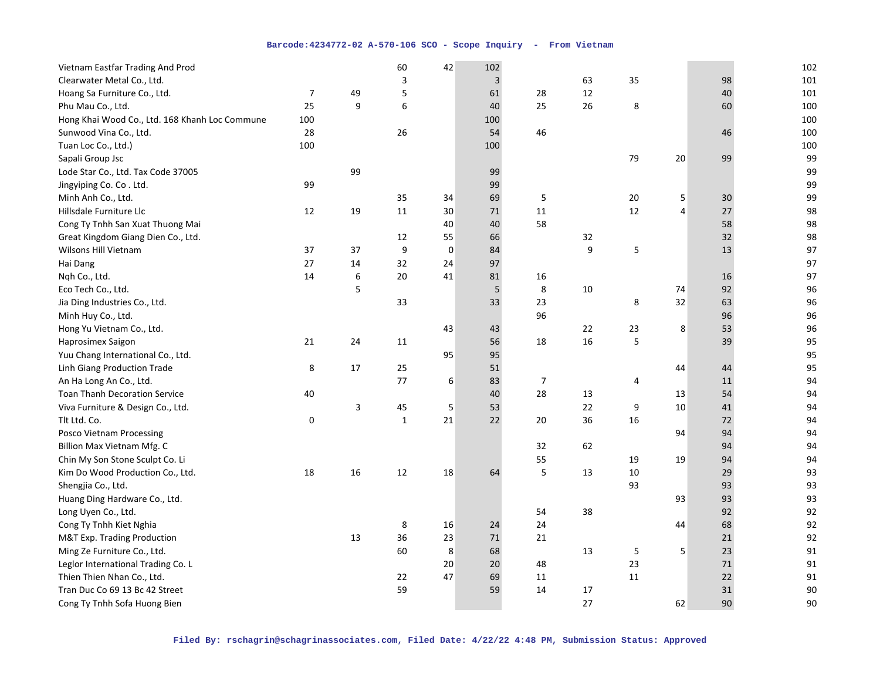| Vietnam Eastfar Trading And Prod                 |     |    | 60               | 42          | 102         |                |    |                |    |        | 102 |
|--------------------------------------------------|-----|----|------------------|-------------|-------------|----------------|----|----------------|----|--------|-----|
| Clearwater Metal Co., Ltd.                       |     |    | 3                |             | $\mathsf 3$ |                | 63 | 35             |    | 98     | 101 |
| Hoang Sa Furniture Co., Ltd.                     | 7   | 49 | 5                |             | 61          | 28             | 12 |                |    | 40     | 101 |
| Phu Mau Co., Ltd.                                | 25  | 9  | $\boldsymbol{6}$ |             | 40          | 25             | 26 | 8              |    | 60     | 100 |
| Hong Khai Wood Co., Ltd. 168 Khanh Loc Commune I | 100 |    |                  |             | 100         |                |    |                |    |        | 100 |
| Sunwood Vina Co., Ltd.                           | 28  |    | 26               |             | 54          | 46             |    |                |    | 46     | 100 |
| Tuan Loc Co., Ltd.)                              | 100 |    |                  |             | 100         |                |    |                |    |        | 100 |
| Sapali Group Jsc                                 |     |    |                  |             |             |                |    | 79             | 20 | 99     | 99  |
| Lode Star Co., Ltd. Tax Code 37005               |     | 99 |                  |             | 99          |                |    |                |    |        | 99  |
| Jingyiping Co. Co. Ltd.                          | 99  |    |                  |             | 99          |                |    |                |    |        | 99  |
| Minh Anh Co., Ltd.                               |     |    | 35               | 34          | 69          | 5              |    | 20             | 5  | 30     | 99  |
| Hillsdale Furniture Llc                          | 12  | 19 | 11               | 30          | 71          | 11             |    | 12             | 4  | 27     | 98  |
| Cong Ty Tnhh San Xuat Thuong Mai                 |     |    |                  | 40          | 40          | 58             |    |                |    | 58     | 98  |
| Great Kingdom Giang Dien Co., Ltd.               |     |    | 12               | 55          | 66          |                | 32 |                |    | 32     | 98  |
| Wilsons Hill Vietnam                             | 37  | 37 | 9                | $\mathbf 0$ | 84          |                | 9  | 5              |    | 13     | 97  |
| Hai Dang                                         | 27  | 14 | 32               | 24          | 97          |                |    |                |    |        | 97  |
| Nqh Co., Ltd.                                    | 14  | 6  | 20               | 41          | 81          | 16             |    |                |    | 16     | 97  |
| Eco Tech Co., Ltd.                               |     | 5  |                  |             | 5           | 8              | 10 |                | 74 | 92     | 96  |
| Jia Ding Industries Co., Ltd.                    |     |    | 33               |             | 33          | 23             |    | 8              | 32 | 63     | 96  |
| Minh Huy Co., Ltd.                               |     |    |                  |             |             | 96             |    |                |    | 96     | 96  |
| Hong Yu Vietnam Co., Ltd.                        |     |    |                  | 43          | 43          |                | 22 | 23             | 8  | 53     | 96  |
| Haprosimex Saigon                                | 21  | 24 | 11               |             | 56          | 18             | 16 | 5              |    | 39     | 95  |
| Yuu Chang International Co., Ltd.                |     |    |                  | 95          | 95          |                |    |                |    |        | 95  |
| Linh Giang Production Trade                      | 8   | 17 | 25               |             | 51          |                |    |                | 44 | 44     | 95  |
| An Ha Long An Co., Ltd.                          |     |    | 77               | 6           | 83          | $\overline{7}$ |    | $\overline{4}$ |    | 11     | 94  |
| <b>Toan Thanh Decoration Service</b>             | 40  |    |                  |             | 40          | 28             | 13 |                | 13 | 54     | 94  |
| Viva Furniture & Design Co., Ltd.                |     | 3  | 45               | 5           | 53          |                | 22 | 9              | 10 | 41     | 94  |
| Tlt Ltd. Co.                                     | 0   |    | $\mathbf{1}$     | 21          | 22          | 20             | 36 | 16             |    | 72     | 94  |
| Posco Vietnam Processing                         |     |    |                  |             |             |                |    |                | 94 | 94     | 94  |
| Billion Max Vietnam Mfg. C                       |     |    |                  |             |             | 32             | 62 |                |    | 94     | 94  |
| Chin My Son Stone Sculpt Co. Li                  |     |    |                  |             |             | 55             |    | 19             | 19 | 94     | 94  |
| Kim Do Wood Production Co., Ltd.                 | 18  | 16 | 12               | 18          | 64          | 5              | 13 | 10             |    | 29     | 93  |
| Shengjia Co., Ltd.                               |     |    |                  |             |             |                |    | 93             |    | 93     | 93  |
| Huang Ding Hardware Co., Ltd.                    |     |    |                  |             |             |                |    |                | 93 | 93     | 93  |
| Long Uyen Co., Ltd.                              |     |    |                  |             |             | 54             | 38 |                |    | 92     | 92  |
| Cong Ty Tnhh Kiet Nghia                          |     |    | 8                | 16          | 24          | 24             |    |                | 44 | 68     | 92  |
| M&T Exp. Trading Production                      |     | 13 | 36               | 23          | 71          | 21             |    |                |    | 21     | 92  |
| Ming Ze Furniture Co., Ltd.                      |     |    | 60               | 8           | 68          |                | 13 | 5              | 5  | 23     | 91  |
| Leglor International Trading Co. L               |     |    |                  | 20          | 20          | 48             |    | 23             |    | $71\,$ | 91  |
| Thien Thien Nhan Co., Ltd.                       |     |    | 22               | 47          | 69          | 11             |    | 11             |    | 22     | 91  |
| Tran Duc Co 69 13 Bc 42 Street                   |     |    | 59               |             | 59          | 14             | 17 |                |    | 31     | 90  |
| Cong Ty Tnhh Sofa Huong Bien                     |     |    |                  |             |             |                | 27 |                | 62 | 90     | 90  |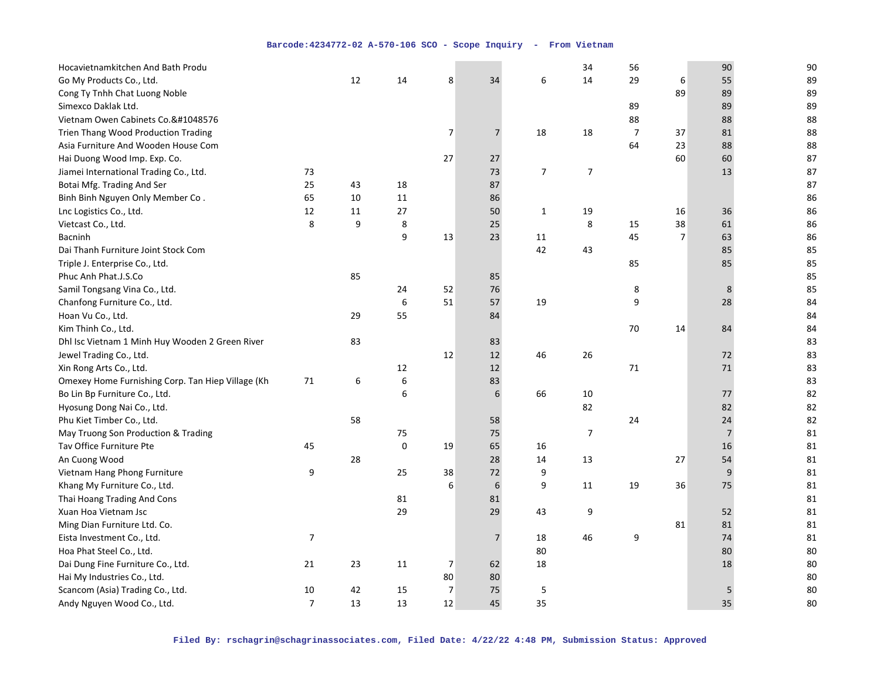| Hocavietnamkitchen And Bath Produ                  |                |    |             |                |                 |                | 34             | 56             |                | 90             | 90 |
|----------------------------------------------------|----------------|----|-------------|----------------|-----------------|----------------|----------------|----------------|----------------|----------------|----|
| Go My Products Co., Ltd.                           |                | 12 | 14          | 8              | 34              | 6              | 14             | 29             | 6              | 55             | 89 |
| Cong Ty Tnhh Chat Luong Noble                      |                |    |             |                |                 |                |                |                | 89             | 89             | 89 |
| Simexco Daklak Ltd.                                |                |    |             |                |                 |                |                | 89             |                | 89             | 89 |
| Vietnam Owen Cabinets Co.􀀀                         |                |    |             |                |                 |                |                | 88             |                | 88             | 88 |
| Trien Thang Wood Production Trading                |                |    |             | 7              | $\overline{7}$  | 18             | 18             | $\overline{7}$ | 37             | 81             | 88 |
| Asia Furniture And Wooden House Com                |                |    |             |                |                 |                |                | 64             | 23             | 88             | 88 |
| Hai Duong Wood Imp. Exp. Co.                       |                |    |             | 27             | 27              |                |                |                | 60             | 60             | 87 |
| Jiamei International Trading Co., Ltd.             | 73             |    |             |                | 73              | $\overline{7}$ | $\overline{7}$ |                |                | 13             | 87 |
| Botai Mfg. Trading And Ser                         | 25             | 43 | 18          |                | 87              |                |                |                |                |                | 87 |
| Binh Binh Nguyen Only Member Co.                   | 65             | 10 | 11          |                | 86              |                |                |                |                |                | 86 |
| Lnc Logistics Co., Ltd.                            | 12             | 11 | 27          |                | 50              | $\mathbf{1}$   | 19             |                | 16             | 36             | 86 |
| Vietcast Co., Ltd.                                 | 8              | 9  | 8           |                | 25              |                | 8              | 15             | 38             | 61             | 86 |
| Bacninh                                            |                |    | 9           | 13             | 23              | 11             |                | 45             | $\overline{7}$ | 63             | 86 |
| Dai Thanh Furniture Joint Stock Com                |                |    |             |                |                 | 42             | 43             |                |                | 85             | 85 |
| Triple J. Enterprise Co., Ltd.                     |                |    |             |                |                 |                |                | 85             |                | 85             | 85 |
| Phuc Anh Phat.J.S.Co                               |                | 85 |             |                | 85              |                |                |                |                |                | 85 |
| Samil Tongsang Vina Co., Ltd.                      |                |    | 24          | 52             | 76              |                |                | 8              |                | 8              | 85 |
| Chanfong Furniture Co., Ltd.                       |                |    | 6           | 51             | 57              | 19             |                | 9              |                | 28             | 84 |
| Hoan Vu Co., Ltd.                                  |                | 29 | 55          |                | 84              |                |                |                |                |                | 84 |
| Kim Thinh Co., Ltd.                                |                |    |             |                |                 |                |                | 70             | 14             | 84             | 84 |
| Dhl Isc Vietnam 1 Minh Huy Wooden 2 Green River    |                | 83 |             |                | 83              |                |                |                |                |                | 83 |
| Jewel Trading Co., Ltd.                            |                |    |             | 12             | 12              | 46             | 26             |                |                | 72             | 83 |
| Xin Rong Arts Co., Ltd.                            |                |    | 12          |                | 12              |                |                | 71             |                | 71             | 83 |
| Omexey Home Furnishing Corp. Tan Hiep Village (Kha | 71             | 6  | $\,$ 6 $\,$ |                | 83              |                |                |                |                |                | 83 |
| Bo Lin Bp Furniture Co., Ltd.                      |                |    | 6           |                | 6               | 66             | $10\,$         |                |                | 77             | 82 |
| Hyosung Dong Nai Co., Ltd.                         |                |    |             |                |                 |                | 82             |                |                | 82             | 82 |
| Phu Kiet Timber Co., Ltd.                          |                | 58 |             |                | 58              |                |                | 24             |                | 24             | 82 |
| May Truong Son Production & Trading                |                |    | 75          |                | 75              |                | 7              |                |                | $\overline{7}$ | 81 |
| Tav Office Furniture Pte                           | 45             |    | 0           | 19             | 65              | 16             |                |                |                | 16             | 81 |
| An Cuong Wood                                      |                | 28 |             |                | 28              | 14             | 13             |                | 27             | 54             | 81 |
| Vietnam Hang Phong Furniture                       | 9              |    | 25          | 38             | 72              | 9              |                |                |                | 9              | 81 |
| Khang My Furniture Co., Ltd.                       |                |    |             | 6              | 6               | 9              | 11             | 19             | 36             | 75             | 81 |
| Thai Hoang Trading And Cons                        |                |    | 81          |                | 81              |                |                |                |                |                | 81 |
| Xuan Hoa Vietnam Jsc                               |                |    | 29          |                | 29              | 43             | 9              |                |                | 52             | 81 |
| Ming Dian Furniture Ltd. Co.                       |                |    |             |                |                 |                |                |                | 81             | 81             | 81 |
| Eista Investment Co., Ltd.                         | $\overline{7}$ |    |             |                | $7\overline{ }$ | 18             | 46             | 9              |                | 74             | 81 |
| Hoa Phat Steel Co., Ltd.                           |                |    |             |                |                 | 80             |                |                |                | 80             | 80 |
| Dai Dung Fine Furniture Co., Ltd.                  | 21             | 23 | 11          | $\overline{7}$ | 62              | 18             |                |                |                | 18             | 80 |
| Hai My Industries Co., Ltd.                        |                |    |             | 80             | 80              |                |                |                |                |                | 80 |
| Scancom (Asia) Trading Co., Ltd.                   | 10             | 42 | 15          | $\overline{7}$ | 75              | 5              |                |                |                | 5              | 80 |
| Andy Nguyen Wood Co., Ltd.                         | $\overline{7}$ | 13 | 13          | 12             | 45              | 35             |                |                |                | 35             | 80 |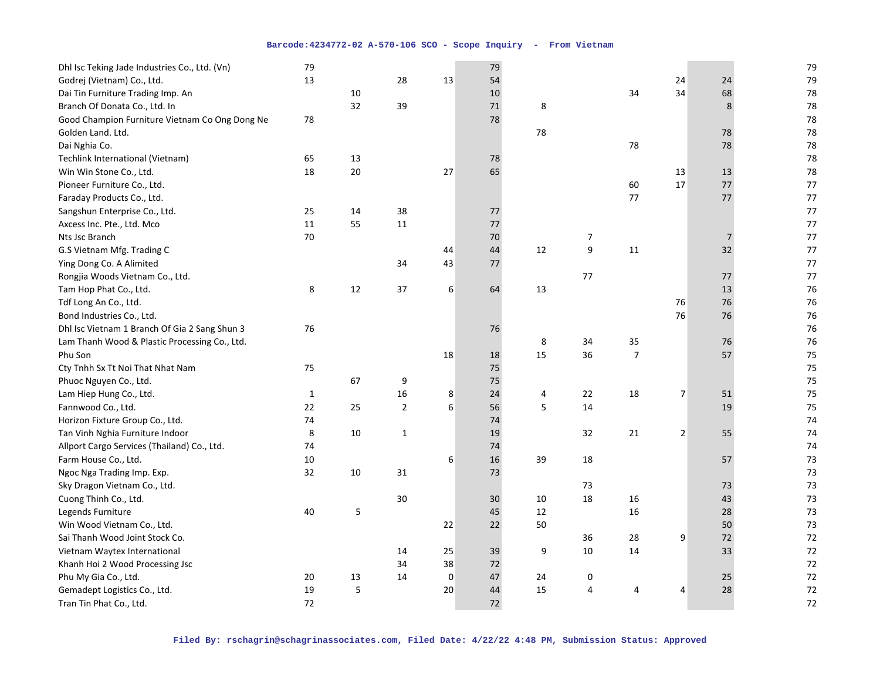| Dhl Isc Teking Jade Industries Co., Ltd. (Vn)   | 79           |    |                |             | 79 |    |                  |                |                |    | 79   |
|-------------------------------------------------|--------------|----|----------------|-------------|----|----|------------------|----------------|----------------|----|------|
| Godrej (Vietnam) Co., Ltd.                      | 13           |    | 28             | 13          | 54 |    |                  |                | 24             | 24 | 79   |
| Dai Tin Furniture Trading Imp. An               |              | 10 |                |             | 10 |    |                  | 34             | 34             | 68 | 78   |
| Branch Of Donata Co., Ltd. In                   |              | 32 | 39             |             | 71 | 8  |                  |                |                | 8  | 78   |
| Good Champion Furniture Vietnam Co Ong Dong Nei | 78           |    |                |             | 78 |    |                  |                |                |    | 78   |
| Golden Land. Ltd.                               |              |    |                |             |    | 78 |                  |                |                | 78 | 78   |
| Dai Nghia Co.                                   |              |    |                |             |    |    |                  | 78             |                | 78 | 78   |
| Techlink International (Vietnam)                | 65           | 13 |                |             | 78 |    |                  |                |                |    | 78   |
| Win Win Stone Co., Ltd.                         | 18           | 20 |                | 27          | 65 |    |                  |                | 13             | 13 | 78   |
| Pioneer Furniture Co., Ltd.                     |              |    |                |             |    |    |                  | 60             | 17             | 77 | 77   |
| Faraday Products Co., Ltd.                      |              |    |                |             |    |    |                  | 77             |                | 77 | 77   |
| Sangshun Enterprise Co., Ltd.                   | 25           | 14 | 38             |             | 77 |    |                  |                |                |    | 77   |
| Axcess Inc. Pte., Ltd. Mco                      | 11           | 55 | 11             |             | 77 |    |                  |                |                |    | 77   |
| Nts Jsc Branch                                  | 70           |    |                |             | 70 |    | $\boldsymbol{7}$ |                |                | 7  | 77   |
| G.S Vietnam Mfg. Trading C                      |              |    |                | 44          | 44 | 12 | 9                | 11             |                | 32 | $77$ |
| Ying Dong Co. A Alimited                        |              |    | 34             | 43          | 77 |    |                  |                |                |    | 77   |
| Rongjia Woods Vietnam Co., Ltd.                 |              |    |                |             |    |    | 77               |                |                | 77 | $77$ |
| Tam Hop Phat Co., Ltd.                          | 8            | 12 | 37             | 6           | 64 | 13 |                  |                |                | 13 | 76   |
| Tdf Long An Co., Ltd.                           |              |    |                |             |    |    |                  |                | 76             | 76 | 76   |
| Bond Industries Co., Ltd.                       |              |    |                |             |    |    |                  |                | 76             | 76 | 76   |
| Dhl Isc Vietnam 1 Branch Of Gia 2 Sang Shun 3   | 76           |    |                |             | 76 |    |                  |                |                |    | 76   |
| Lam Thanh Wood & Plastic Processing Co., Ltd.   |              |    |                |             |    | 8  | 34               | 35             |                | 76 | 76   |
| Phu Son                                         |              |    |                | 18          | 18 | 15 | 36               | $\overline{7}$ |                | 57 | 75   |
| Cty Tnhh Sx Tt Noi That Nhat Nam                | 75           |    |                |             | 75 |    |                  |                |                |    | 75   |
| Phuoc Nguyen Co., Ltd.                          |              | 67 | 9              |             | 75 |    |                  |                |                |    | 75   |
| Lam Hiep Hung Co., Ltd.                         | $\mathbf{1}$ |    | 16             | 8           | 24 | 4  | 22               | 18             | $\overline{7}$ | 51 | 75   |
| Fannwood Co., Ltd.                              | 22           | 25 | $\overline{2}$ | 6           | 56 | 5  | 14               |                |                | 19 | 75   |
| Horizon Fixture Group Co., Ltd.                 | 74           |    |                |             | 74 |    |                  |                |                |    | 74   |
| Tan Vinh Nghia Furniture Indoor                 | 8            | 10 | 1              |             | 19 |    | 32               | 21             | $\overline{2}$ | 55 | 74   |
| Allport Cargo Services (Thailand) Co., Ltd.     | 74           |    |                |             | 74 |    |                  |                |                |    | 74   |
| Farm House Co., Ltd.                            | 10           |    |                | 6           | 16 | 39 | 18               |                |                | 57 | 73   |
| Ngoc Nga Trading Imp. Exp.                      | 32           | 10 | 31             |             | 73 |    |                  |                |                |    | 73   |
| Sky Dragon Vietnam Co., Ltd.                    |              |    |                |             |    |    | 73               |                |                | 73 | 73   |
| Cuong Thinh Co., Ltd.                           |              |    | 30             |             | 30 | 10 | 18               | 16             |                | 43 | 73   |
| Legends Furniture                               | 40           | 5  |                |             | 45 | 12 |                  | 16             |                | 28 | 73   |
| Win Wood Vietnam Co., Ltd.                      |              |    |                | 22          | 22 | 50 |                  |                |                | 50 | 73   |
| Sai Thanh Wood Joint Stock Co.                  |              |    |                |             |    |    | 36               | 28             | 9              | 72 | 72   |
| Vietnam Waytex International                    |              |    | 14             | 25          | 39 | 9  | $10\,$           | 14             |                | 33 | 72   |
| Khanh Hoi 2 Wood Processing Jsc                 |              |    | 34             | 38          | 72 |    |                  |                |                |    | 72   |
| Phu My Gia Co., Ltd.                            | 20           | 13 | 14             | $\mathbf 0$ | 47 | 24 | 0                |                |                | 25 | 72   |
| Gemadept Logistics Co., Ltd.                    | 19           | 5  |                | 20          | 44 | 15 | 4                |                | 4              | 28 | 72   |
| Tran Tin Phat Co., Ltd.                         | 72           |    |                |             | 72 |    |                  |                |                |    | 72   |
|                                                 |              |    |                |             |    |    |                  |                |                |    |      |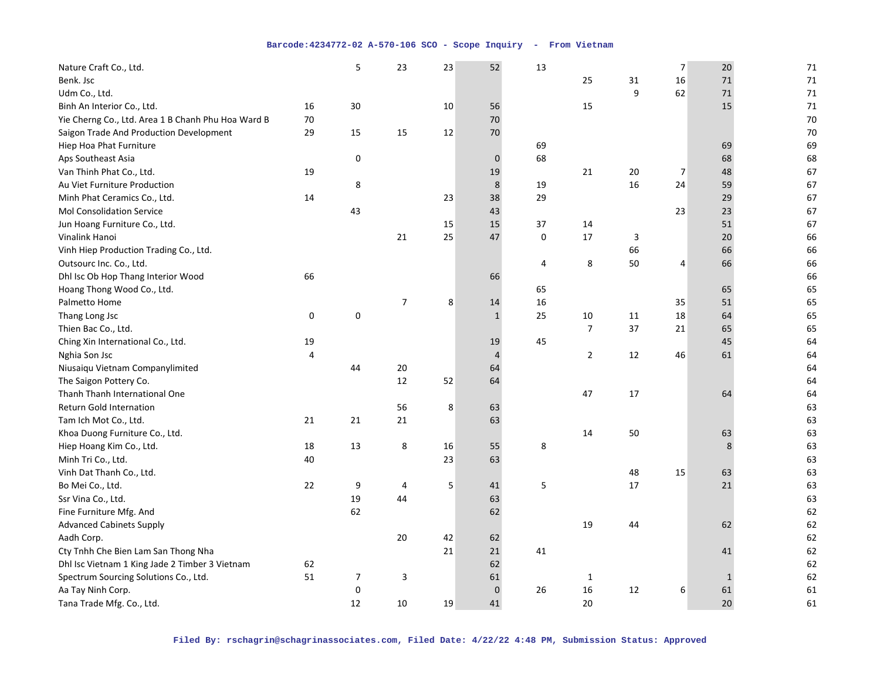| Nature Craft Co., Ltd.                             |    | 5              | 23             | 23 | 52             | 13          |                |    | $\overline{7}$ | 20 | 71 |
|----------------------------------------------------|----|----------------|----------------|----|----------------|-------------|----------------|----|----------------|----|----|
| Benk. Jsc                                          |    |                |                |    |                |             | 25             | 31 | 16             | 71 | 71 |
| Udm Co., Ltd.                                      |    |                |                |    |                |             |                | 9  | 62             | 71 | 71 |
| Binh An Interior Co., Ltd.                         | 16 | 30             |                | 10 | 56             |             | 15             |    |                | 15 | 71 |
| Yie Cherng Co., Ltd. Area 1 B Chanh Phu Hoa Ward B | 70 |                |                |    | 70             |             |                |    |                |    | 70 |
| Saigon Trade And Production Development            | 29 | 15             | 15             | 12 | 70             |             |                |    |                |    | 70 |
| Hiep Hoa Phat Furniture                            |    |                |                |    |                | 69          |                |    |                | 69 | 69 |
| Aps Southeast Asia                                 |    | $\mathsf 0$    |                |    | $\pmb{0}$      | 68          |                |    |                | 68 | 68 |
| Van Thinh Phat Co., Ltd.                           | 19 |                |                |    | 19             |             | 21             | 20 | 7              | 48 | 67 |
| Au Viet Furniture Production                       |    | 8              |                |    | $\bf 8$        | 19          |                | 16 | 24             | 59 | 67 |
| Minh Phat Ceramics Co., Ltd.                       | 14 |                |                | 23 | 38             | 29          |                |    |                | 29 | 67 |
| <b>Mol Consolidation Service</b>                   |    | 43             |                |    | 43             |             |                |    | 23             | 23 | 67 |
| Jun Hoang Furniture Co., Ltd.                      |    |                |                | 15 | 15             | 37          | 14             |    |                | 51 | 67 |
| Vinalink Hanoi                                     |    |                | 21             | 25 | 47             | $\mathbf 0$ | 17             | 3  |                | 20 | 66 |
| Vinh Hiep Production Trading Co., Ltd.             |    |                |                |    |                |             |                | 66 |                | 66 | 66 |
| Outsourc Inc. Co., Ltd.                            |    |                |                |    |                | 4           | $\bf 8$        | 50 | 4              | 66 | 66 |
| Dhl Isc Ob Hop Thang Interior Wood                 | 66 |                |                |    | 66             |             |                |    |                |    | 66 |
| Hoang Thong Wood Co., Ltd.                         |    |                |                |    |                | 65          |                |    |                | 65 | 65 |
| Palmetto Home                                      |    |                | $\overline{7}$ | 8  | 14             | 16          |                |    | 35             | 51 | 65 |
| Thang Long Jsc                                     | 0  | $\pmb{0}$      |                |    | $\mathbf{1}$   | 25          | 10             | 11 | 18             | 64 | 65 |
| Thien Bac Co., Ltd.                                |    |                |                |    |                |             | $\overline{7}$ | 37 | 21             | 65 | 65 |
| Ching Xin International Co., Ltd.                  | 19 |                |                |    | 19             | 45          |                |    |                | 45 | 64 |
| Nghia Son Jsc                                      | 4  |                |                |    | $\overline{4}$ |             | $\mathbf{2}$   | 12 | 46             | 61 | 64 |
| Niusaiqu Vietnam Companylimited                    |    | 44             | 20             |    | 64             |             |                |    |                |    | 64 |
| The Saigon Pottery Co.                             |    |                | 12             | 52 | 64             |             |                |    |                |    | 64 |
| Thanh Thanh International One                      |    |                |                |    |                |             | 47             | 17 |                | 64 | 64 |
| <b>Return Gold Internation</b>                     |    |                | 56             | 8  | 63             |             |                |    |                |    | 63 |
| Tam Ich Mot Co., Ltd.                              | 21 | 21             | 21             |    | 63             |             |                |    |                |    | 63 |
| Khoa Duong Furniture Co., Ltd.                     |    |                |                |    |                |             | 14             | 50 |                | 63 | 63 |
| Hiep Hoang Kim Co., Ltd.                           | 18 | 13             | 8              | 16 | 55             | 8           |                |    |                | 8  | 63 |
| Minh Tri Co., Ltd.                                 | 40 |                |                | 23 | 63             |             |                |    |                |    | 63 |
| Vinh Dat Thanh Co., Ltd.                           |    |                |                |    |                |             |                | 48 | 15             | 63 | 63 |
| Bo Mei Co., Ltd.                                   | 22 | 9              | 4              | 5  | 41             | 5           |                | 17 |                | 21 | 63 |
| Ssr Vina Co., Ltd.                                 |    | 19             | 44             |    | 63             |             |                |    |                |    | 63 |
| Fine Furniture Mfg. And                            |    | 62             |                |    | 62             |             |                |    |                |    | 62 |
| <b>Advanced Cabinets Supply</b>                    |    |                |                |    |                |             | 19             | 44 |                | 62 | 62 |
| Aadh Corp.                                         |    |                | 20             | 42 | 62             |             |                |    |                |    | 62 |
| Cty Tnhh Che Bien Lam San Thong Nha                |    |                |                | 21 | 21             | 41          |                |    |                | 41 | 62 |
| Dhl Isc Vietnam 1 King Jade 2 Timber 3 Vietnam     | 62 |                |                |    | 62             |             |                |    |                |    | 62 |
| Spectrum Sourcing Solutions Co., Ltd.              | 51 | $\overline{7}$ | 3              |    | 61             |             | 1              |    |                | 1  | 62 |
| Aa Tay Ninh Corp.                                  |    | 0              |                |    | $\pmb{0}$      | 26          | 16             | 12 | 6              | 61 | 61 |
| Tana Trade Mfg. Co., Ltd.                          |    | 12             | 10             | 19 | 41             |             | 20             |    |                | 20 | 61 |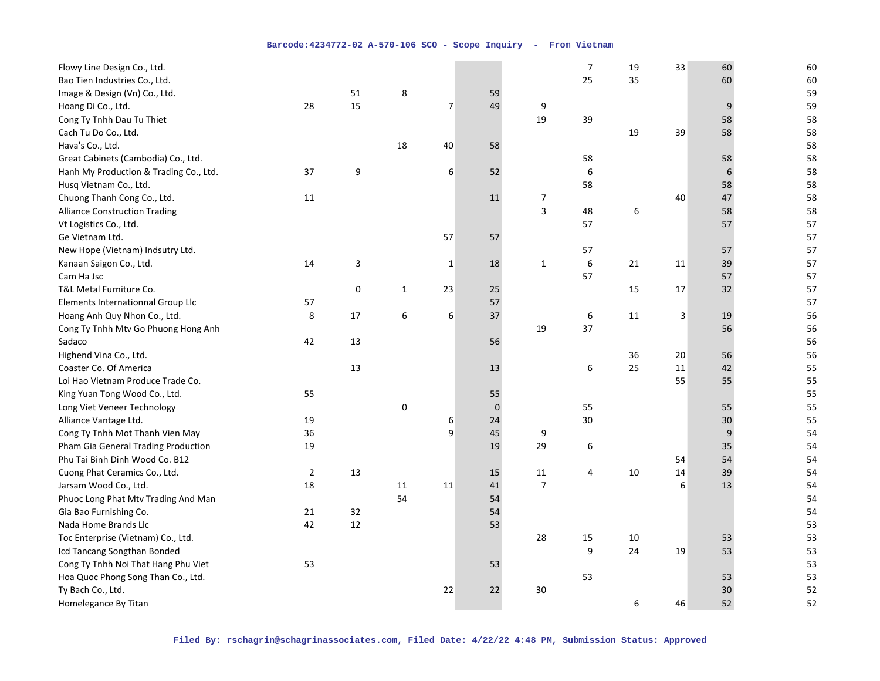| Flowy Line Design Co., Ltd.            |    |             |              |                |           |                         | $\overline{7}$ | 19 | 33 | 60 | 60 |
|----------------------------------------|----|-------------|--------------|----------------|-----------|-------------------------|----------------|----|----|----|----|
| Bao Tien Industries Co., Ltd.          |    |             |              |                |           |                         | 25             | 35 |    | 60 | 60 |
| Image & Design (Vn) Co., Ltd.          |    | 51          | 8            |                | 59        |                         |                |    |    |    | 59 |
| Hoang Di Co., Ltd.                     | 28 | 15          |              | $\overline{7}$ | 49        | 9                       |                |    |    | 9  | 59 |
| Cong Ty Tnhh Dau Tu Thiet              |    |             |              |                |           | 19                      | 39             |    |    | 58 | 58 |
| Cach Tu Do Co., Ltd.                   |    |             |              |                |           |                         |                | 19 | 39 | 58 | 58 |
| Hava's Co., Ltd.                       |    |             | 18           | 40             | 58        |                         |                |    |    |    | 58 |
| Great Cabinets (Cambodia) Co., Ltd.    |    |             |              |                |           |                         | 58             |    |    | 58 | 58 |
| Hanh My Production & Trading Co., Ltd. | 37 | 9           |              | 6              | 52        |                         | 6              |    |    | 6  | 58 |
| Husq Vietnam Co., Ltd.                 |    |             |              |                |           |                         | 58             |    |    | 58 | 58 |
| Chuong Thanh Cong Co., Ltd.            | 11 |             |              |                | 11        | 7                       |                |    | 40 | 47 | 58 |
| <b>Alliance Construction Trading</b>   |    |             |              |                |           | $\overline{\mathbf{3}}$ | 48             | 6  |    | 58 | 58 |
| Vt Logistics Co., Ltd.                 |    |             |              |                |           |                         | 57             |    |    | 57 | 57 |
| Ge Vietnam Ltd.                        |    |             |              | 57             | 57        |                         |                |    |    |    | 57 |
| New Hope (Vietnam) Indsutry Ltd.       |    |             |              |                |           |                         | 57             |    |    | 57 | 57 |
| Kanaan Saigon Co., Ltd.                | 14 | 3           |              | $\mathbf{1}$   | 18        | $1\,$                   | 6              | 21 | 11 | 39 | 57 |
| Cam Ha Jsc                             |    |             |              |                |           |                         | 57             |    |    | 57 | 57 |
| T&L Metal Furniture Co.                |    | $\mathbf 0$ | $\mathbf{1}$ | 23             | 25        |                         |                | 15 | 17 | 32 | 57 |
| Elements Internationnal Group Llc      | 57 |             |              |                | 57        |                         |                |    |    |    | 57 |
| Hoang Anh Quy Nhon Co., Ltd.           | 8  | 17          | 6            | 6              | 37        |                         | 6              | 11 | 3  | 19 | 56 |
| Cong Ty Tnhh Mtv Go Phuong Hong Anh    |    |             |              |                |           | 19                      | 37             |    |    | 56 | 56 |
| Sadaco                                 | 42 | 13          |              |                | 56        |                         |                |    |    |    | 56 |
| Highend Vina Co., Ltd.                 |    |             |              |                |           |                         |                | 36 | 20 | 56 | 56 |
| Coaster Co. Of America                 |    | 13          |              |                | 13        |                         | 6              | 25 | 11 | 42 | 55 |
| Loi Hao Vietnam Produce Trade Co.      |    |             |              |                |           |                         |                |    | 55 | 55 | 55 |
| King Yuan Tong Wood Co., Ltd.          | 55 |             |              |                | 55        |                         |                |    |    |    | 55 |
| Long Viet Veneer Technology            |    |             | 0            |                | $\pmb{0}$ |                         | 55             |    |    | 55 | 55 |
| Alliance Vantage Ltd.                  | 19 |             |              | 6              | 24        |                         | 30             |    |    | 30 | 55 |
| Cong Ty Tnhh Mot Thanh Vien May        | 36 |             |              | 9              | 45        | 9                       |                |    |    | 9  | 54 |
| Pham Gia General Trading Production    | 19 |             |              |                | 19        | 29                      | 6              |    |    | 35 | 54 |
| Phu Tai Binh Dinh Wood Co. B12         |    |             |              |                |           |                         |                |    | 54 | 54 | 54 |
| Cuong Phat Ceramics Co., Ltd.          | 2  | 13          |              |                | 15        | 11                      | 4              | 10 | 14 | 39 | 54 |
| Jarsam Wood Co., Ltd.                  | 18 |             | 11           | 11             | 41        | $\overline{7}$          |                |    | 6  | 13 | 54 |
| Phuoc Long Phat Mtv Trading And Man    |    |             | 54           |                | 54        |                         |                |    |    |    | 54 |
| Gia Bao Furnishing Co.                 | 21 | 32          |              |                | 54        |                         |                |    |    |    | 54 |
| Nada Home Brands Llc                   | 42 | 12          |              |                | 53        |                         |                |    |    |    | 53 |
| Toc Enterprise (Vietnam) Co., Ltd.     |    |             |              |                |           | 28                      | 15             | 10 |    | 53 | 53 |
| Icd Tancang Songthan Bonded            |    |             |              |                |           |                         | 9              | 24 | 19 | 53 | 53 |
| Cong Ty Tnhh Noi That Hang Phu Viet    | 53 |             |              |                | 53        |                         |                |    |    |    | 53 |
| Hoa Quoc Phong Song Than Co., Ltd.     |    |             |              |                |           |                         | 53             |    |    | 53 | 53 |
| Ty Bach Co., Ltd.                      |    |             |              | 22             | 22        | 30                      |                |    |    | 30 | 52 |
| Homelegance By Titan                   |    |             |              |                |           |                         |                | 6  | 46 | 52 | 52 |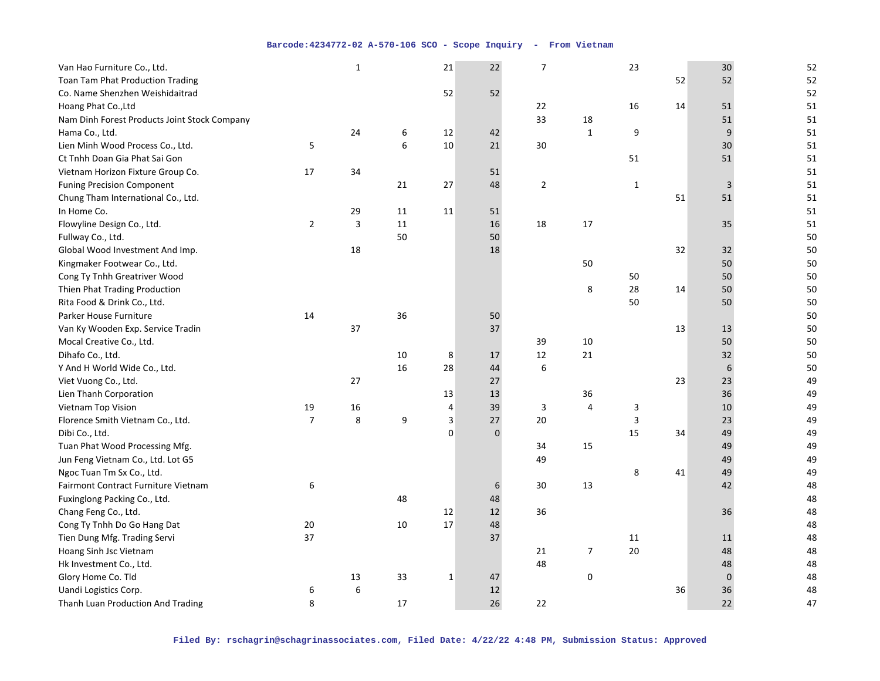| Van Hao Furniture Co., Ltd.                  |                | $\mathbf{1}$ |    | 21                      | 22          | $\overline{7}$ |                | 23           |    | $30\,$      | 52 |
|----------------------------------------------|----------------|--------------|----|-------------------------|-------------|----------------|----------------|--------------|----|-------------|----|
| Toan Tam Phat Production Trading             |                |              |    |                         |             |                |                |              | 52 | 52          | 52 |
| Co. Name Shenzhen Weishidaitrad              |                |              |    | 52                      | 52          |                |                |              |    |             | 52 |
| Hoang Phat Co., Ltd                          |                |              |    |                         |             | 22             |                | 16           | 14 | 51          | 51 |
| Nam Dinh Forest Products Joint Stock Company |                |              |    |                         |             | 33             | 18             |              |    | 51          | 51 |
| Hama Co., Ltd.                               |                | 24           | 6  | 12                      | 42          |                | $\mathbf 1$    | 9            |    | 9           | 51 |
| Lien Minh Wood Process Co., Ltd.             | 5              |              | 6  | 10                      | 21          | 30             |                |              |    | 30          | 51 |
| Ct Tnhh Doan Gia Phat Sai Gon                |                |              |    |                         |             |                |                | 51           |    | 51          | 51 |
| Vietnam Horizon Fixture Group Co.            | 17             | 34           |    |                         | 51          |                |                |              |    |             | 51 |
| <b>Funing Precision Component</b>            |                |              | 21 | 27                      | 48          | $\overline{2}$ |                | $\mathbf{1}$ |    | 3           | 51 |
| Chung Tham International Co., Ltd.           |                |              |    |                         |             |                |                |              | 51 | 51          | 51 |
| In Home Co.                                  |                | 29           | 11 | 11                      | 51          |                |                |              |    |             | 51 |
| Flowyline Design Co., Ltd.                   | $\overline{2}$ | 3            | 11 |                         | 16          | 18             | 17             |              |    | 35          | 51 |
| Fullway Co., Ltd.                            |                |              | 50 |                         | 50          |                |                |              |    |             | 50 |
| Global Wood Investment And Imp.              |                | 18           |    |                         | 18          |                |                |              | 32 | 32          | 50 |
| Kingmaker Footwear Co., Ltd.                 |                |              |    |                         |             |                | 50             |              |    | 50          | 50 |
| Cong Ty Tnhh Greatriver Wood                 |                |              |    |                         |             |                |                | 50           |    | 50          | 50 |
| Thien Phat Trading Production                |                |              |    |                         |             |                | 8              | 28           | 14 | 50          | 50 |
| Rita Food & Drink Co., Ltd.                  |                |              |    |                         |             |                |                | 50           |    | 50          | 50 |
| <b>Parker House Furniture</b>                | 14             |              | 36 |                         | 50          |                |                |              |    |             | 50 |
| Van Ky Wooden Exp. Service Tradin            |                | 37           |    |                         | 37          |                |                |              | 13 | 13          | 50 |
| Mocal Creative Co., Ltd.                     |                |              |    |                         |             | 39             | 10             |              |    | 50          | 50 |
| Dihafo Co., Ltd.                             |                |              | 10 | 8                       | 17          | 12             | 21             |              |    | 32          | 50 |
| Y And H World Wide Co., Ltd.                 |                |              | 16 | 28                      | 44          | 6              |                |              |    | 6           | 50 |
| Viet Vuong Co., Ltd.                         |                | 27           |    |                         | 27          |                |                |              | 23 | 23          | 49 |
| Lien Thanh Corporation                       |                |              |    | 13                      | 13          |                | 36             |              |    | 36          | 49 |
| Vietnam Top Vision                           | 19             | 16           |    | 4                       | 39          | 3              | 4              | 3            |    | 10          | 49 |
| Florence Smith Vietnam Co., Ltd.             | $\overline{7}$ | 8            | 9  | $\overline{\mathbf{3}}$ | 27          | 20             |                | 3            |    | 23          | 49 |
| Dibi Co., Ltd.                               |                |              |    | $\mathbf 0$             | $\mathbf 0$ |                |                | 15           | 34 | 49          | 49 |
| Tuan Phat Wood Processing Mfg.               |                |              |    |                         |             | 34             | 15             |              |    | 49          | 49 |
| Jun Feng Vietnam Co., Ltd. Lot G5            |                |              |    |                         |             | 49             |                |              |    | 49          | 49 |
| Ngoc Tuan Tm Sx Co., Ltd.                    |                |              |    |                         |             |                |                | 8            | 41 | 49          | 49 |
| Fairmont Contract Furniture Vietnam          | 6              |              |    |                         | 6           | 30             | 13             |              |    | 42          | 48 |
| Fuxinglong Packing Co., Ltd.                 |                |              | 48 |                         | 48          |                |                |              |    |             | 48 |
| Chang Feng Co., Ltd.                         |                |              |    | 12                      | 12          | 36             |                |              |    | 36          | 48 |
| Cong Ty Tnhh Do Go Hang Dat                  | 20             |              | 10 | 17                      | 48          |                |                |              |    |             | 48 |
| Tien Dung Mfg. Trading Servi                 | 37             |              |    |                         | 37          |                |                | $11\,$       |    | 11          | 48 |
| Hoang Sinh Jsc Vietnam                       |                |              |    |                         |             | 21             | $\overline{7}$ | 20           |    | 48          | 48 |
| Hk Investment Co., Ltd.                      |                |              |    |                         |             | 48             |                |              |    | 48          | 48 |
| Glory Home Co. Tld                           |                | 13           | 33 | $\mathbf{1}$            | 47          |                | 0              |              |    | $\mathbf 0$ | 48 |
| Uandi Logistics Corp.                        | 6              | 6            |    |                         | 12          |                |                |              | 36 | 36          | 48 |
| Thanh Luan Production And Trading            | 8              |              | 17 |                         | 26          | 22             |                |              |    | 22          | 47 |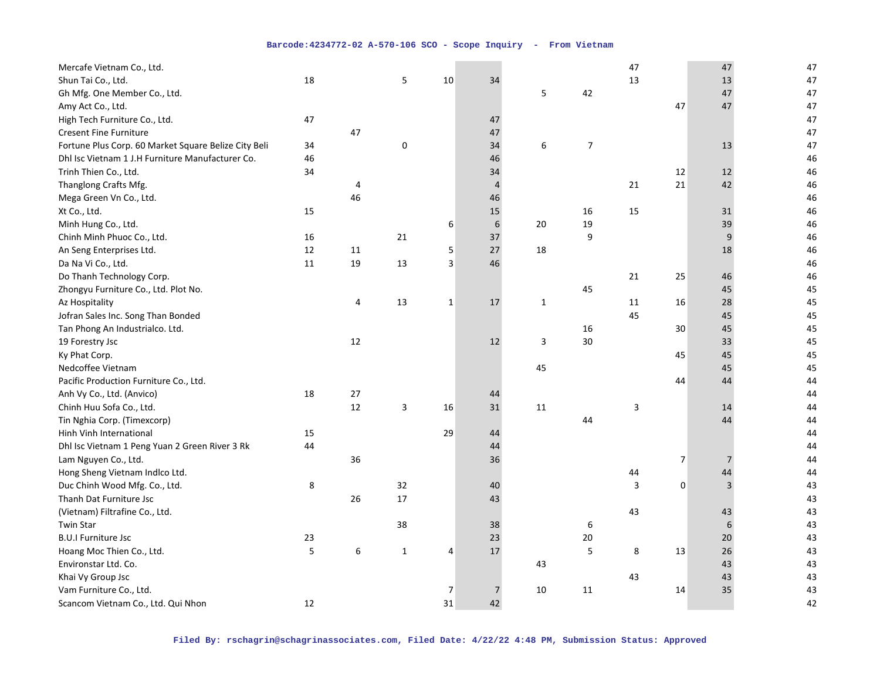| Mercafe Vietnam Co., Ltd.                            |    |    |           |             |                |              |                | 47 |                | 47             | 47 |
|------------------------------------------------------|----|----|-----------|-------------|----------------|--------------|----------------|----|----------------|----------------|----|
| Shun Tai Co., Ltd.                                   | 18 |    | 5         | 10          | 34             |              |                | 13 |                | 13             | 47 |
| Gh Mfg. One Member Co., Ltd.                         |    |    |           |             |                | 5            | 42             |    |                | 47             | 47 |
| Amy Act Co., Ltd.                                    |    |    |           |             |                |              |                |    | 47             | 47             | 47 |
| High Tech Furniture Co., Ltd.                        | 47 |    |           |             | 47             |              |                |    |                |                | 47 |
| <b>Cresent Fine Furniture</b>                        |    | 47 |           |             | 47             |              |                |    |                |                | 47 |
| Fortune Plus Corp. 60 Market Square Belize City Beli | 34 |    | $\pmb{0}$ |             | 34             | 6            | $\overline{7}$ |    |                | 13             | 47 |
| Dhl Isc Vietnam 1 J.H Furniture Manufacturer Co.     | 46 |    |           |             | 46             |              |                |    |                |                | 46 |
| Trinh Thien Co., Ltd.                                | 34 |    |           |             | 34             |              |                |    | 12             | 12             | 46 |
| Thanglong Crafts Mfg.                                |    | 4  |           |             | $\overline{4}$ |              |                | 21 | 21             | 42             | 46 |
| Mega Green Vn Co., Ltd.                              |    | 46 |           |             | 46             |              |                |    |                |                | 46 |
| Xt Co., Ltd.                                         | 15 |    |           |             | 15             |              | 16             | 15 |                | 31             | 46 |
| Minh Hung Co., Ltd.                                  |    |    |           | 6           | 6              | 20           | 19             |    |                | 39             | 46 |
| Chinh Minh Phuoc Co., Ltd.                           | 16 |    | 21        |             | 37             |              | 9              |    |                | 9              | 46 |
| An Seng Enterprises Ltd.                             | 12 | 11 |           | 5           | 27             | 18           |                |    |                | 18             | 46 |
| Da Na Vi Co., Ltd.                                   | 11 | 19 | 13        | 3           | 46             |              |                |    |                |                | 46 |
| Do Thanh Technology Corp.                            |    |    |           |             |                |              |                | 21 | 25             | 46             | 46 |
| Zhongyu Furniture Co., Ltd. Plot No.                 |    |    |           |             |                |              | 45             |    |                | 45             | 45 |
| Az Hospitality                                       |    | 4  | 13        | $\mathbf 1$ | 17             | $\mathbf{1}$ |                | 11 | 16             | 28             | 45 |
| Jofran Sales Inc. Song Than Bonded                   |    |    |           |             |                |              |                | 45 |                | 45             | 45 |
| Tan Phong An Industrialco. Ltd.                      |    |    |           |             |                |              | 16             |    | 30             | 45             | 45 |
| 19 Forestry Jsc                                      |    | 12 |           |             | 12             | 3            | 30             |    |                | 33             | 45 |
| Ky Phat Corp.                                        |    |    |           |             |                |              |                |    | 45             | 45             | 45 |
| Nedcoffee Vietnam                                    |    |    |           |             |                | 45           |                |    |                | 45             | 45 |
| Pacific Production Furniture Co., Ltd.               |    |    |           |             |                |              |                |    | 44             | 44             | 44 |
| Anh Vy Co., Ltd. (Anvico)                            | 18 | 27 |           |             | 44             |              |                |    |                |                | 44 |
| Chinh Huu Sofa Co., Ltd.                             |    | 12 | 3         | 16          | 31             | 11           |                | 3  |                | 14             | 44 |
| Tin Nghia Corp. (Timexcorp)                          |    |    |           |             |                |              | 44             |    |                | 44             | 44 |
| Hinh Vinh International                              | 15 |    |           | 29          | 44             |              |                |    |                |                | 44 |
| Dhl Isc Vietnam 1 Peng Yuan 2 Green River 3 Rk       | 44 |    |           |             | 44             |              |                |    |                |                | 44 |
| Lam Nguyen Co., Ltd.                                 |    | 36 |           |             | 36             |              |                |    | $\overline{7}$ | $\overline{7}$ | 44 |
| Hong Sheng Vietnam Indico Ltd.                       |    |    |           |             |                |              |                | 44 |                | 44             | 44 |
| Duc Chinh Wood Mfg. Co., Ltd.                        | 8  |    | 32        |             | 40             |              |                | 3  | 0              | 3              | 43 |
| Thanh Dat Furniture Jsc                              |    | 26 | 17        |             | 43             |              |                |    |                |                | 43 |
| (Vietnam) Filtrafine Co., Ltd.                       |    |    |           |             |                |              |                | 43 |                | 43             | 43 |
| <b>Twin Star</b>                                     |    |    | 38        |             | 38             |              | 6              |    |                | 6              | 43 |
| <b>B.U.I Furniture Jsc</b>                           | 23 |    |           |             | 23             |              | $20\,$         |    |                | 20             | 43 |
| Hoang Moc Thien Co., Ltd.                            | 5  | 6  | 1         | 4           | 17             |              | 5              | 8  | 13             | 26             | 43 |
| Environstar Ltd. Co.                                 |    |    |           |             |                | 43           |                |    |                | 43             | 43 |
| Khai Vy Group Jsc                                    |    |    |           |             |                |              |                | 43 |                | 43             | 43 |
| Vam Furniture Co., Ltd.                              |    |    |           | 7           | $\overline{7}$ | 10           | 11             |    | 14             | 35             | 43 |
| Scancom Vietnam Co., Ltd. Qui Nhon                   | 12 |    |           | 31          | 42             |              |                |    |                |                | 42 |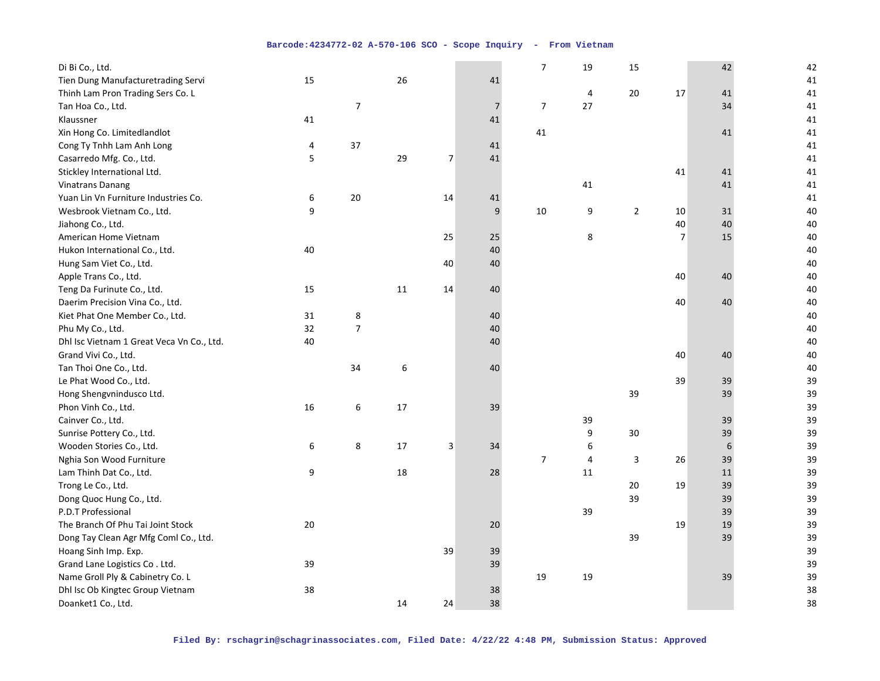| Tien Dung Manufacturetrading Servi<br>26<br>41<br>15<br>41<br>20<br>41<br>Thinh Lam Pron Trading Sers Co. L<br>4<br>17<br>41<br>$\overline{7}$<br>27<br>$\overline{7}$<br>41<br>Tan Hoa Co., Ltd.<br>$\overline{7}$<br>34<br>41<br>41<br>Klaussner<br>41<br>41<br>41<br>Xin Hong Co. Limitedlandlot<br>41<br>Cong Ty Tnhh Lam Anh Long<br>37<br>41<br>4<br>41<br>5<br>29<br>$\overline{7}$<br>41<br>Casarredo Mfg. Co., Ltd.<br>41<br>Stickley International Ltd.<br>41<br>41<br>41<br><b>Vinatrans Danang</b><br>41<br>41<br>41<br>Yuan Lin Vn Furniture Industries Co.<br>20<br>14<br>6<br>41<br>41<br>9<br>9<br>10<br>9<br>$\overline{2}$<br>40<br>Wesbrook Vietnam Co., Ltd.<br>10<br>31<br>40<br>40<br>40<br>Jiahong Co., Ltd. |
|-------------------------------------------------------------------------------------------------------------------------------------------------------------------------------------------------------------------------------------------------------------------------------------------------------------------------------------------------------------------------------------------------------------------------------------------------------------------------------------------------------------------------------------------------------------------------------------------------------------------------------------------------------------------------------------------------------------------------------------|
|                                                                                                                                                                                                                                                                                                                                                                                                                                                                                                                                                                                                                                                                                                                                     |
|                                                                                                                                                                                                                                                                                                                                                                                                                                                                                                                                                                                                                                                                                                                                     |
|                                                                                                                                                                                                                                                                                                                                                                                                                                                                                                                                                                                                                                                                                                                                     |
|                                                                                                                                                                                                                                                                                                                                                                                                                                                                                                                                                                                                                                                                                                                                     |
|                                                                                                                                                                                                                                                                                                                                                                                                                                                                                                                                                                                                                                                                                                                                     |
|                                                                                                                                                                                                                                                                                                                                                                                                                                                                                                                                                                                                                                                                                                                                     |
|                                                                                                                                                                                                                                                                                                                                                                                                                                                                                                                                                                                                                                                                                                                                     |
|                                                                                                                                                                                                                                                                                                                                                                                                                                                                                                                                                                                                                                                                                                                                     |
|                                                                                                                                                                                                                                                                                                                                                                                                                                                                                                                                                                                                                                                                                                                                     |
|                                                                                                                                                                                                                                                                                                                                                                                                                                                                                                                                                                                                                                                                                                                                     |
|                                                                                                                                                                                                                                                                                                                                                                                                                                                                                                                                                                                                                                                                                                                                     |
|                                                                                                                                                                                                                                                                                                                                                                                                                                                                                                                                                                                                                                                                                                                                     |
| $\overline{7}$<br>25<br>25<br>8<br>15<br>40<br>American Home Vietnam                                                                                                                                                                                                                                                                                                                                                                                                                                                                                                                                                                                                                                                                |
| 40<br>Hukon International Co., Ltd.<br>40<br>40                                                                                                                                                                                                                                                                                                                                                                                                                                                                                                                                                                                                                                                                                     |
| 40<br>40<br>40<br>Hung Sam Viet Co., Ltd.                                                                                                                                                                                                                                                                                                                                                                                                                                                                                                                                                                                                                                                                                           |
| Apple Trans Co., Ltd.<br>40<br>40<br>40                                                                                                                                                                                                                                                                                                                                                                                                                                                                                                                                                                                                                                                                                             |
| Teng Da Furinute Co., Ltd.<br>40<br>15<br>11<br>14<br>40                                                                                                                                                                                                                                                                                                                                                                                                                                                                                                                                                                                                                                                                            |
| Daerim Precision Vina Co., Ltd.<br>40<br>40<br>40                                                                                                                                                                                                                                                                                                                                                                                                                                                                                                                                                                                                                                                                                   |
| Kiet Phat One Member Co., Ltd.<br>8<br>40<br>31<br>40                                                                                                                                                                                                                                                                                                                                                                                                                                                                                                                                                                                                                                                                               |
| $\overline{7}$<br>32<br>Phu My Co., Ltd.<br>40<br>40                                                                                                                                                                                                                                                                                                                                                                                                                                                                                                                                                                                                                                                                                |
| Dhl Isc Vietnam 1 Great Veca Vn Co., Ltd.<br>40<br>40<br>40                                                                                                                                                                                                                                                                                                                                                                                                                                                                                                                                                                                                                                                                         |
| Grand Vivi Co., Ltd.<br>40<br>40<br>40                                                                                                                                                                                                                                                                                                                                                                                                                                                                                                                                                                                                                                                                                              |
| 6<br>Tan Thoi One Co., Ltd.<br>34<br>40<br>40                                                                                                                                                                                                                                                                                                                                                                                                                                                                                                                                                                                                                                                                                       |
| Le Phat Wood Co., Ltd.<br>39<br>39<br>39                                                                                                                                                                                                                                                                                                                                                                                                                                                                                                                                                                                                                                                                                            |
| 39<br>39<br>39<br>Hong Shengvnindusco Ltd.                                                                                                                                                                                                                                                                                                                                                                                                                                                                                                                                                                                                                                                                                          |
| 39<br>Phon Vinh Co., Ltd.<br>16<br>6<br>17<br>39                                                                                                                                                                                                                                                                                                                                                                                                                                                                                                                                                                                                                                                                                    |
| 39<br>39<br>Cainver Co., Ltd.<br>39                                                                                                                                                                                                                                                                                                                                                                                                                                                                                                                                                                                                                                                                                                 |
| 9<br>30<br>39<br>39<br>Sunrise Pottery Co., Ltd.                                                                                                                                                                                                                                                                                                                                                                                                                                                                                                                                                                                                                                                                                    |
| 6<br>8<br>$17\,$<br>3<br>6<br>39<br>Wooden Stories Co., Ltd.<br>34<br>6                                                                                                                                                                                                                                                                                                                                                                                                                                                                                                                                                                                                                                                             |
| $\overline{7}$<br>39<br>39<br>Nghia Son Wood Furniture<br>4<br>3<br>26                                                                                                                                                                                                                                                                                                                                                                                                                                                                                                                                                                                                                                                              |
| 9<br>18<br>$11\,$<br>39<br>Lam Thinh Dat Co., Ltd.<br>28<br>11                                                                                                                                                                                                                                                                                                                                                                                                                                                                                                                                                                                                                                                                      |
| 39<br>39<br>Trong Le Co., Ltd.<br>20<br>19                                                                                                                                                                                                                                                                                                                                                                                                                                                                                                                                                                                                                                                                                          |
| Dong Quoc Hung Co., Ltd.<br>39<br>39<br>39                                                                                                                                                                                                                                                                                                                                                                                                                                                                                                                                                                                                                                                                                          |
| P.D.T Professional<br>39<br>39<br>39                                                                                                                                                                                                                                                                                                                                                                                                                                                                                                                                                                                                                                                                                                |
| 39<br>The Branch Of Phu Tai Joint Stock<br>20<br>20<br>19<br>19                                                                                                                                                                                                                                                                                                                                                                                                                                                                                                                                                                                                                                                                     |
| 39<br>39<br>39<br>Dong Tay Clean Agr Mfg Coml Co., Ltd.                                                                                                                                                                                                                                                                                                                                                                                                                                                                                                                                                                                                                                                                             |
| 39<br>39<br>39<br>Hoang Sinh Imp. Exp.                                                                                                                                                                                                                                                                                                                                                                                                                                                                                                                                                                                                                                                                                              |
| Grand Lane Logistics Co. Ltd.<br>39<br>39<br>39                                                                                                                                                                                                                                                                                                                                                                                                                                                                                                                                                                                                                                                                                     |
| 39<br>Name Groll Ply & Cabinetry Co. L<br>19<br>19<br>39                                                                                                                                                                                                                                                                                                                                                                                                                                                                                                                                                                                                                                                                            |
| Dhl Isc Ob Kingtec Group Vietnam<br>38<br>38<br>38                                                                                                                                                                                                                                                                                                                                                                                                                                                                                                                                                                                                                                                                                  |
| Doanket1 Co., Ltd.<br>24<br>38<br>38<br>14                                                                                                                                                                                                                                                                                                                                                                                                                                                                                                                                                                                                                                                                                          |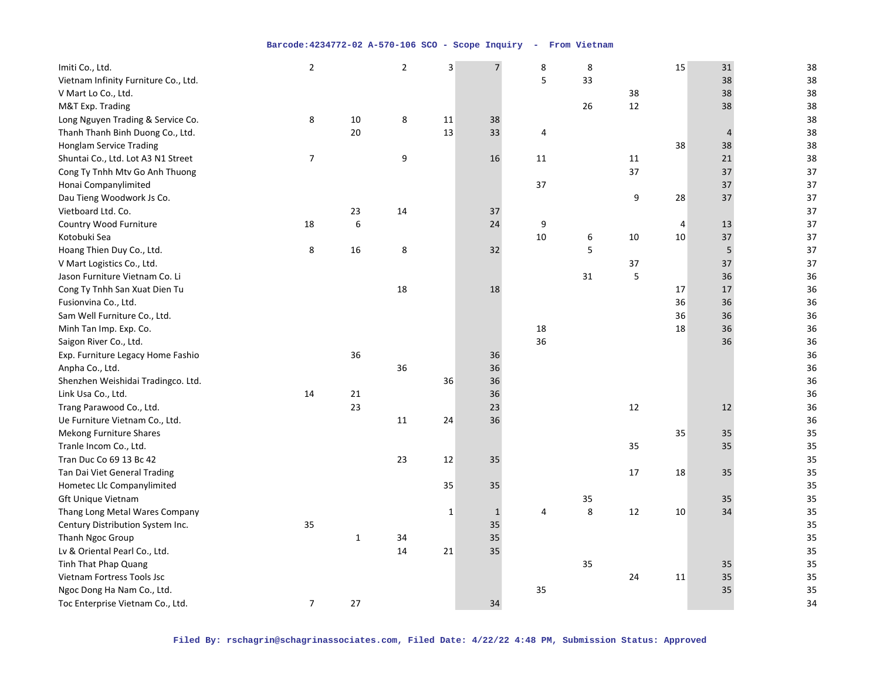| Imiti Co., Ltd.                      | $\mathbf 2$    |              | $\overline{2}$ | $\overline{\mathbf{3}}$ | $\overline{7}$ | 8              | 8  |        | 15     | 31 | 38 |
|--------------------------------------|----------------|--------------|----------------|-------------------------|----------------|----------------|----|--------|--------|----|----|
| Vietnam Infinity Furniture Co., Ltd. |                |              |                |                         |                | 5              | 33 |        |        | 38 | 38 |
| V Mart Lo Co., Ltd.                  |                |              |                |                         |                |                |    | 38     |        | 38 | 38 |
| M&T Exp. Trading                     |                |              |                |                         |                |                | 26 | 12     |        | 38 | 38 |
| Long Nguyen Trading & Service Co.    | 8              | 10           | 8              | 11                      | 38             |                |    |        |        |    | 38 |
| Thanh Thanh Binh Duong Co., Ltd.     |                | 20           |                | 13                      | 33             | 4              |    |        |        | 4  | 38 |
| <b>Honglam Service Trading</b>       |                |              |                |                         |                |                |    |        | 38     | 38 | 38 |
| Shuntai Co., Ltd. Lot A3 N1 Street   | $\overline{7}$ |              | 9              |                         | 16             | 11             |    | $11\,$ |        | 21 | 38 |
| Cong Ty Tnhh Mtv Go Anh Thuong       |                |              |                |                         |                |                |    | 37     |        | 37 | 37 |
| Honai Companylimited                 |                |              |                |                         |                | 37             |    |        |        | 37 | 37 |
| Dau Tieng Woodwork Js Co.            |                |              |                |                         |                |                |    | 9      | 28     | 37 | 37 |
| Vietboard Ltd. Co.                   |                | 23           | 14             |                         | 37             |                |    |        |        |    | 37 |
| Country Wood Furniture               | 18             | 6            |                |                         | 24             | 9              |    |        | 4      | 13 | 37 |
| Kotobuki Sea                         |                |              |                |                         |                | 10             | 6  | 10     | $10\,$ | 37 | 37 |
| Hoang Thien Duy Co., Ltd.            | 8              | 16           | 8              |                         | 32             |                | 5  |        |        | 5  | 37 |
| V Mart Logistics Co., Ltd.           |                |              |                |                         |                |                |    | 37     |        | 37 | 37 |
| Jason Furniture Vietnam Co. Li       |                |              |                |                         |                |                | 31 | 5      |        | 36 | 36 |
| Cong Ty Tnhh San Xuat Dien Tu        |                |              | 18             |                         | 18             |                |    |        | 17     | 17 | 36 |
| Fusionvina Co., Ltd.                 |                |              |                |                         |                |                |    |        | 36     | 36 | 36 |
| Sam Well Furniture Co., Ltd.         |                |              |                |                         |                |                |    |        | 36     | 36 | 36 |
| Minh Tan Imp. Exp. Co.               |                |              |                |                         |                | 18             |    |        | 18     | 36 | 36 |
| Saigon River Co., Ltd.               |                |              |                |                         |                | 36             |    |        |        | 36 | 36 |
| Exp. Furniture Legacy Home Fashio    |                | 36           |                |                         | 36             |                |    |        |        |    | 36 |
| Anpha Co., Ltd.                      |                |              | 36             |                         | 36             |                |    |        |        |    | 36 |
| Shenzhen Weishidai Tradingco. Ltd.   |                |              |                | 36                      | 36             |                |    |        |        |    | 36 |
| Link Usa Co., Ltd.                   | 14             | 21           |                |                         | 36             |                |    |        |        |    | 36 |
| Trang Parawood Co., Ltd.             |                | 23           |                |                         | 23             |                |    | 12     |        | 12 | 36 |
| Ue Furniture Vietnam Co., Ltd.       |                |              | 11             | 24                      | 36             |                |    |        |        |    | 36 |
| Mekong Furniture Shares              |                |              |                |                         |                |                |    |        | 35     | 35 | 35 |
| Tranle Incom Co., Ltd.               |                |              |                |                         |                |                |    | 35     |        | 35 | 35 |
| Tran Duc Co 69 13 Bc 42              |                |              | 23             | 12                      | 35             |                |    |        |        |    | 35 |
| Tan Dai Viet General Trading         |                |              |                |                         |                |                |    | 17     | 18     | 35 | 35 |
| Hometec Llc Companylimited           |                |              |                | 35                      | 35             |                |    |        |        |    | 35 |
| Gft Unique Vietnam                   |                |              |                |                         |                |                | 35 |        |        | 35 | 35 |
| Thang Long Metal Wares Company       |                |              |                | $\mathbf{1}$            | $1\,$          | $\overline{4}$ | 8  | 12     | 10     | 34 | 35 |
| Century Distribution System Inc.     | 35             |              |                |                         | 35             |                |    |        |        |    | 35 |
| Thanh Ngoc Group                     |                | $\mathbf{1}$ | 34             |                         | 35             |                |    |        |        |    | 35 |
| Lv & Oriental Pearl Co., Ltd.        |                |              | 14             | 21                      | 35             |                |    |        |        |    | 35 |
| Tinh That Phap Quang                 |                |              |                |                         |                |                | 35 |        |        | 35 | 35 |
| Vietnam Fortress Tools Jsc           |                |              |                |                         |                |                |    | 24     | 11     | 35 | 35 |
| Ngoc Dong Ha Nam Co., Ltd.           |                |              |                |                         |                | 35             |    |        |        | 35 | 35 |
| Toc Enterprise Vietnam Co., Ltd.     | $\overline{7}$ | 27           |                |                         | 34             |                |    |        |        |    | 34 |
|                                      |                |              |                |                         |                |                |    |        |        |    |    |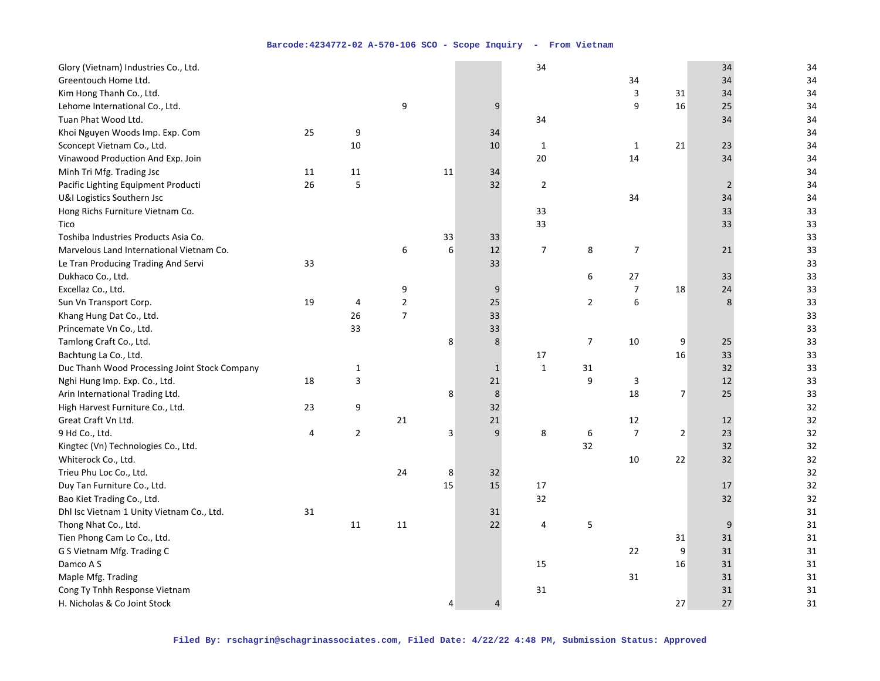| Glory (Vietnam) Industries Co., Ltd.                                                                                                                                                                                                                                                                                                                                                                                                                                                                                                                                                                                                                                                                                           |    |                         |                                              |                   |                                                              | 34                        |                |                                                   |                                            | 34                                                       | 34                                                                                                                                                 |
|--------------------------------------------------------------------------------------------------------------------------------------------------------------------------------------------------------------------------------------------------------------------------------------------------------------------------------------------------------------------------------------------------------------------------------------------------------------------------------------------------------------------------------------------------------------------------------------------------------------------------------------------------------------------------------------------------------------------------------|----|-------------------------|----------------------------------------------|-------------------|--------------------------------------------------------------|---------------------------|----------------|---------------------------------------------------|--------------------------------------------|----------------------------------------------------------|----------------------------------------------------------------------------------------------------------------------------------------------------|
| Greentouch Home Ltd.                                                                                                                                                                                                                                                                                                                                                                                                                                                                                                                                                                                                                                                                                                           |    |                         |                                              |                   |                                                              |                           |                | 34                                                |                                            | 34                                                       | 34                                                                                                                                                 |
| Kim Hong Thanh Co., Ltd.                                                                                                                                                                                                                                                                                                                                                                                                                                                                                                                                                                                                                                                                                                       |    |                         |                                              |                   |                                                              |                           |                | 3                                                 | 31                                         | 34                                                       | 34                                                                                                                                                 |
| Lehome International Co., Ltd.                                                                                                                                                                                                                                                                                                                                                                                                                                                                                                                                                                                                                                                                                                 |    |                         | 9                                            |                   | 9                                                            |                           |                | 9                                                 | 16                                         | 25                                                       | 34                                                                                                                                                 |
| Tuan Phat Wood Ltd.                                                                                                                                                                                                                                                                                                                                                                                                                                                                                                                                                                                                                                                                                                            |    |                         |                                              |                   |                                                              | 34                        |                |                                                   |                                            | 34                                                       | 34                                                                                                                                                 |
| Khoi Nguyen Woods Imp. Exp. Com                                                                                                                                                                                                                                                                                                                                                                                                                                                                                                                                                                                                                                                                                                | 25 | 9                       |                                              |                   | 34                                                           |                           |                |                                                   |                                            |                                                          | 34                                                                                                                                                 |
| Sconcept Vietnam Co., Ltd.                                                                                                                                                                                                                                                                                                                                                                                                                                                                                                                                                                                                                                                                                                     |    | 10                      |                                              |                   | 10                                                           | 1                         |                | $\mathbf{1}$                                      | 21                                         | 23                                                       | 34                                                                                                                                                 |
| Vinawood Production And Exp. Join                                                                                                                                                                                                                                                                                                                                                                                                                                                                                                                                                                                                                                                                                              |    |                         |                                              |                   |                                                              | 20                        |                | 14                                                |                                            | 34                                                       | 34                                                                                                                                                 |
| Minh Tri Mfg. Trading Jsc                                                                                                                                                                                                                                                                                                                                                                                                                                                                                                                                                                                                                                                                                                      | 11 | 11                      |                                              | 11                | 34                                                           |                           |                |                                                   |                                            |                                                          | 34                                                                                                                                                 |
| Pacific Lighting Equipment Producti                                                                                                                                                                                                                                                                                                                                                                                                                                                                                                                                                                                                                                                                                            | 26 | 5                       |                                              |                   | 32                                                           | $\overline{2}$            |                |                                                   |                                            | $\overline{2}$                                           | 34                                                                                                                                                 |
| U&I Logistics Southern Jsc                                                                                                                                                                                                                                                                                                                                                                                                                                                                                                                                                                                                                                                                                                     |    |                         |                                              |                   |                                                              |                           |                | 34                                                |                                            | 34                                                       | 34                                                                                                                                                 |
| Hong Richs Furniture Vietnam Co.                                                                                                                                                                                                                                                                                                                                                                                                                                                                                                                                                                                                                                                                                               |    |                         |                                              |                   |                                                              | 33                        |                |                                                   |                                            | 33                                                       | 33                                                                                                                                                 |
| Tico                                                                                                                                                                                                                                                                                                                                                                                                                                                                                                                                                                                                                                                                                                                           |    |                         |                                              |                   |                                                              | 33                        |                |                                                   |                                            | 33                                                       | 33                                                                                                                                                 |
| Toshiba Industries Products Asia Co.                                                                                                                                                                                                                                                                                                                                                                                                                                                                                                                                                                                                                                                                                           |    |                         |                                              | 33                | 33                                                           |                           |                |                                                   |                                            |                                                          | 33                                                                                                                                                 |
| Marvelous Land International Vietnam Co.                                                                                                                                                                                                                                                                                                                                                                                                                                                                                                                                                                                                                                                                                       |    |                         | 6                                            | 6                 | 12                                                           | $\overline{7}$            | 8              | $\boldsymbol{7}$                                  |                                            | 21                                                       | 33                                                                                                                                                 |
| Le Tran Producing Trading And Servi                                                                                                                                                                                                                                                                                                                                                                                                                                                                                                                                                                                                                                                                                            | 33 |                         |                                              |                   | 33                                                           |                           |                |                                                   |                                            |                                                          | 33                                                                                                                                                 |
| Dukhaco Co., Ltd.                                                                                                                                                                                                                                                                                                                                                                                                                                                                                                                                                                                                                                                                                                              |    |                         |                                              |                   |                                                              |                           | 6              | $27$                                              |                                            | 33                                                       | 33                                                                                                                                                 |
|                                                                                                                                                                                                                                                                                                                                                                                                                                                                                                                                                                                                                                                                                                                                |    |                         | 9                                            |                   | 9                                                            |                           |                |                                                   | 18                                         | 24                                                       |                                                                                                                                                    |
|                                                                                                                                                                                                                                                                                                                                                                                                                                                                                                                                                                                                                                                                                                                                | 19 | $\overline{4}$          |                                              |                   |                                                              |                           | $\overline{2}$ | 6                                                 |                                            | 8                                                        |                                                                                                                                                    |
|                                                                                                                                                                                                                                                                                                                                                                                                                                                                                                                                                                                                                                                                                                                                |    | 26                      |                                              |                   |                                                              |                           |                |                                                   |                                            |                                                          |                                                                                                                                                    |
|                                                                                                                                                                                                                                                                                                                                                                                                                                                                                                                                                                                                                                                                                                                                |    | 33                      |                                              |                   | 33                                                           |                           |                |                                                   |                                            |                                                          |                                                                                                                                                    |
|                                                                                                                                                                                                                                                                                                                                                                                                                                                                                                                                                                                                                                                                                                                                |    |                         |                                              |                   |                                                              |                           | $\overline{7}$ |                                                   |                                            |                                                          |                                                                                                                                                    |
|                                                                                                                                                                                                                                                                                                                                                                                                                                                                                                                                                                                                                                                                                                                                |    |                         |                                              |                   |                                                              |                           |                |                                                   | 16                                         |                                                          |                                                                                                                                                    |
|                                                                                                                                                                                                                                                                                                                                                                                                                                                                                                                                                                                                                                                                                                                                |    |                         |                                              |                   | $\mathbf{1}$                                                 | $\mathbf 1$               |                |                                                   |                                            |                                                          |                                                                                                                                                    |
|                                                                                                                                                                                                                                                                                                                                                                                                                                                                                                                                                                                                                                                                                                                                | 18 |                         |                                              |                   |                                                              |                           | 9              |                                                   |                                            | 12                                                       |                                                                                                                                                    |
|                                                                                                                                                                                                                                                                                                                                                                                                                                                                                                                                                                                                                                                                                                                                |    |                         |                                              |                   |                                                              |                           |                |                                                   |                                            | 25                                                       |                                                                                                                                                    |
|                                                                                                                                                                                                                                                                                                                                                                                                                                                                                                                                                                                                                                                                                                                                | 23 | 9                       |                                              |                   | 32                                                           |                           |                |                                                   |                                            |                                                          |                                                                                                                                                    |
| Great Craft Vn Ltd.                                                                                                                                                                                                                                                                                                                                                                                                                                                                                                                                                                                                                                                                                                            |    |                         |                                              |                   |                                                              |                           |                |                                                   |                                            |                                                          |                                                                                                                                                    |
|                                                                                                                                                                                                                                                                                                                                                                                                                                                                                                                                                                                                                                                                                                                                | 4  | $\overline{2}$          |                                              | 3                 | 9                                                            | 8                         |                | $\overline{7}$                                    | $\overline{2}$                             | 23                                                       |                                                                                                                                                    |
|                                                                                                                                                                                                                                                                                                                                                                                                                                                                                                                                                                                                                                                                                                                                |    |                         |                                              |                   |                                                              |                           | 32             |                                                   |                                            | 32                                                       |                                                                                                                                                    |
|                                                                                                                                                                                                                                                                                                                                                                                                                                                                                                                                                                                                                                                                                                                                |    |                         |                                              |                   |                                                              |                           |                | 10                                                | 22                                         | 32                                                       |                                                                                                                                                    |
|                                                                                                                                                                                                                                                                                                                                                                                                                                                                                                                                                                                                                                                                                                                                |    |                         | 24                                           |                   |                                                              |                           |                |                                                   |                                            |                                                          |                                                                                                                                                    |
|                                                                                                                                                                                                                                                                                                                                                                                                                                                                                                                                                                                                                                                                                                                                |    |                         |                                              |                   |                                                              | 17                        |                |                                                   |                                            | 17                                                       |                                                                                                                                                    |
|                                                                                                                                                                                                                                                                                                                                                                                                                                                                                                                                                                                                                                                                                                                                |    |                         |                                              |                   |                                                              |                           |                |                                                   |                                            |                                                          |                                                                                                                                                    |
|                                                                                                                                                                                                                                                                                                                                                                                                                                                                                                                                                                                                                                                                                                                                |    |                         |                                              |                   |                                                              |                           |                |                                                   |                                            |                                                          |                                                                                                                                                    |
|                                                                                                                                                                                                                                                                                                                                                                                                                                                                                                                                                                                                                                                                                                                                |    |                         |                                              |                   |                                                              |                           |                |                                                   |                                            | 9                                                        |                                                                                                                                                    |
|                                                                                                                                                                                                                                                                                                                                                                                                                                                                                                                                                                                                                                                                                                                                |    |                         |                                              |                   |                                                              |                           |                |                                                   |                                            |                                                          |                                                                                                                                                    |
|                                                                                                                                                                                                                                                                                                                                                                                                                                                                                                                                                                                                                                                                                                                                |    |                         |                                              |                   |                                                              |                           |                |                                                   |                                            |                                                          |                                                                                                                                                    |
|                                                                                                                                                                                                                                                                                                                                                                                                                                                                                                                                                                                                                                                                                                                                |    |                         |                                              |                   |                                                              |                           |                |                                                   |                                            |                                                          |                                                                                                                                                    |
|                                                                                                                                                                                                                                                                                                                                                                                                                                                                                                                                                                                                                                                                                                                                |    |                         |                                              |                   |                                                              |                           |                |                                                   |                                            | 31                                                       |                                                                                                                                                    |
|                                                                                                                                                                                                                                                                                                                                                                                                                                                                                                                                                                                                                                                                                                                                |    |                         |                                              |                   |                                                              |                           |                |                                                   |                                            |                                                          |                                                                                                                                                    |
|                                                                                                                                                                                                                                                                                                                                                                                                                                                                                                                                                                                                                                                                                                                                |    |                         |                                              | 4                 | $\overline{4}$                                               |                           |                |                                                   |                                            |                                                          |                                                                                                                                                    |
| Excellaz Co., Ltd.<br>Sun Vn Transport Corp.<br>Khang Hung Dat Co., Ltd.<br>Princemate Vn Co., Ltd.<br>Tamlong Craft Co., Ltd.<br>Bachtung La Co., Ltd.<br>Duc Thanh Wood Processing Joint Stock Company<br>Nghi Hung Imp. Exp. Co., Ltd.<br>Arin International Trading Ltd.<br>High Harvest Furniture Co., Ltd.<br>9 Hd Co., Ltd.<br>Kingtec (Vn) Technologies Co., Ltd.<br>Whiterock Co., Ltd.<br>Trieu Phu Loc Co., Ltd.<br>Duy Tan Furniture Co., Ltd.<br>Bao Kiet Trading Co., Ltd.<br>Dhl Isc Vietnam 1 Unity Vietnam Co., Ltd.<br>Thong Nhat Co., Ltd.<br>Tien Phong Cam Lo Co., Ltd.<br>G S Vietnam Mfg. Trading C<br>Damco A S<br>Maple Mfg. Trading<br>Cong Ty Tnhh Response Vietnam<br>H. Nicholas & Co Joint Stock | 31 | $\mathbf{1}$<br>3<br>11 | $\overline{2}$<br>$\overline{7}$<br>21<br>11 | 8<br>8<br>8<br>15 | 25<br>33<br>8<br>21<br>$\bf 8$<br>21<br>32<br>15<br>31<br>22 | 17<br>32<br>4<br>15<br>31 | 31<br>6<br>5   | $\overline{7}$<br>10<br>3<br>18<br>12<br>22<br>31 | 9<br>$\overline{7}$<br>31<br>9<br>16<br>27 | 25<br>33<br>32<br>12<br>32<br>31<br>31<br>31<br>31<br>27 | 33<br>33<br>33<br>33<br>33<br>33<br>33<br>33<br>33<br>32<br>32<br>32<br>32<br>32<br>32<br>32<br>32<br>31<br>31<br>31<br>31<br>31<br>31<br>31<br>31 |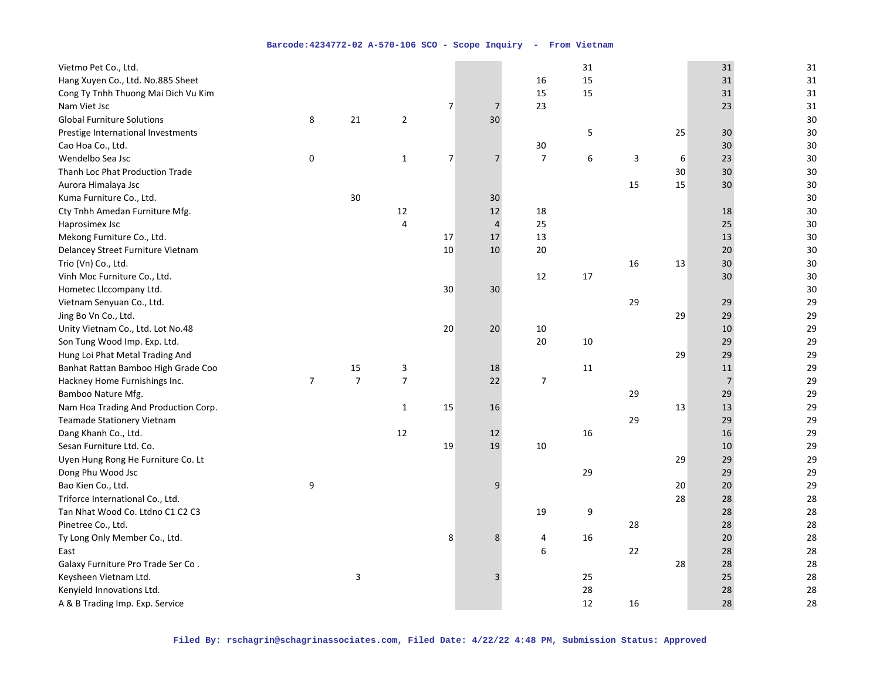| Vietmo Pet Co., Ltd.                 |                |                |                |                |                |                | 31     |    |    | 31             | 31     |
|--------------------------------------|----------------|----------------|----------------|----------------|----------------|----------------|--------|----|----|----------------|--------|
| Hang Xuyen Co., Ltd. No.885 Sheet    |                |                |                |                |                | 16             | 15     |    |    | 31             | 31     |
| Cong Ty Tnhh Thuong Mai Dich Vu Kim  |                |                |                |                |                | 15             | 15     |    |    | 31             | 31     |
| Nam Viet Jsc                         |                |                |                | 7              | 7              | 23             |        |    |    | 23             | 31     |
| <b>Global Furniture Solutions</b>    | 8              | 21             | $\overline{2}$ |                | 30             |                |        |    |    |                | 30     |
| Prestige International Investments   |                |                |                |                |                |                | 5      |    | 25 | 30             | $30\,$ |
| Cao Hoa Co., Ltd.                    |                |                |                |                |                | $30\,$         |        |    |    | 30             | 30     |
| Wendelbo Sea Jsc                     | 0              |                | $\mathbf{1}$   | $\overline{7}$ | $\overline{7}$ | $\overline{7}$ | 6      | 3  | 6  | 23             | 30     |
| Thanh Loc Phat Production Trade      |                |                |                |                |                |                |        |    | 30 | 30             | 30     |
| Aurora Himalaya Jsc                  |                |                |                |                |                |                |        | 15 | 15 | 30             | $30\,$ |
| Kuma Furniture Co., Ltd.             |                | 30             |                |                | 30             |                |        |    |    |                | 30     |
| Cty Tnhh Amedan Furniture Mfg.       |                |                | 12             |                | 12             | 18             |        |    |    | 18             | 30     |
| Haprosimex Jsc                       |                |                | 4              |                | $\overline{4}$ | 25             |        |    |    | 25             | 30     |
| Mekong Furniture Co., Ltd.           |                |                |                | 17             | 17             | 13             |        |    |    | 13             | 30     |
| Delancey Street Furniture Vietnam    |                |                |                | 10             | 10             | 20             |        |    |    | 20             | 30     |
| Trio (Vn) Co., Ltd.                  |                |                |                |                |                |                |        | 16 | 13 | 30             | $30\,$ |
| Vinh Moc Furniture Co., Ltd.         |                |                |                |                |                | 12             | 17     |    |    | 30             | 30     |
| Hometec Llccompany Ltd.              |                |                |                | 30             | 30             |                |        |    |    |                | 30     |
| Vietnam Senyuan Co., Ltd.            |                |                |                |                |                |                |        | 29 |    | 29             | 29     |
| Jing Bo Vn Co., Ltd.                 |                |                |                |                |                |                |        |    | 29 | 29             | 29     |
| Unity Vietnam Co., Ltd. Lot No.48    |                |                |                | 20             | 20             | 10             |        |    |    | 10             | 29     |
| Son Tung Wood Imp. Exp. Ltd.         |                |                |                |                |                | 20             | $10\,$ |    |    | 29             | 29     |
| Hung Loi Phat Metal Trading And      |                |                |                |                |                |                |        |    | 29 | 29             | 29     |
| Banhat Rattan Bamboo High Grade Coo  |                | 15             | 3              |                | 18             |                | 11     |    |    | 11             | 29     |
| Hackney Home Furnishings Inc.        | $\overline{7}$ | $\overline{7}$ | $\overline{7}$ |                | 22             | $\overline{7}$ |        |    |    | $\overline{7}$ | 29     |
| Bamboo Nature Mfg.                   |                |                |                |                |                |                |        | 29 |    | 29             | 29     |
| Nam Hoa Trading And Production Corp. |                |                | $\mathbf{1}$   | 15             | 16             |                |        |    | 13 | 13             | 29     |
| Teamade Stationery Vietnam           |                |                |                |                |                |                |        | 29 |    | 29             | 29     |
| Dang Khanh Co., Ltd.                 |                |                | 12             |                | 12             |                | 16     |    |    | 16             | 29     |
| Sesan Furniture Ltd. Co.             |                |                |                | 19             | 19             | 10             |        |    |    | 10             | 29     |
| Uyen Hung Rong He Furniture Co. Lt   |                |                |                |                |                |                |        |    | 29 | 29             | 29     |
| Dong Phu Wood Jsc                    |                |                |                |                |                |                | 29     |    |    | 29             | 29     |
| Bao Kien Co., Ltd.                   | 9              |                |                |                | 9              |                |        |    | 20 | 20             | 29     |
| Triforce International Co., Ltd.     |                |                |                |                |                |                |        |    | 28 | 28             | 28     |
| Tan Nhat Wood Co. Ltdno C1 C2 C3     |                |                |                |                |                | 19             | 9      |    |    | 28             | 28     |
| Pinetree Co., Ltd.                   |                |                |                |                |                |                |        | 28 |    | 28             | 28     |
| Ty Long Only Member Co., Ltd.        |                |                |                | 8              | 8              | 4              | 16     |    |    | 20             | 28     |
| East                                 |                |                |                |                |                | 6              |        | 22 |    | 28             | 28     |
| Galaxy Furniture Pro Trade Ser Co.   |                |                |                |                |                |                |        |    | 28 | 28             | 28     |
| Keysheen Vietnam Ltd.                |                | 3              |                |                | $\overline{3}$ |                | 25     |    |    | 25             | 28     |
| Kenyield Innovations Ltd.            |                |                |                |                |                |                | 28     |    |    | 28             | 28     |
| A & B Trading Imp. Exp. Service      |                |                |                |                |                |                | 12     | 16 |    | 28             | 28     |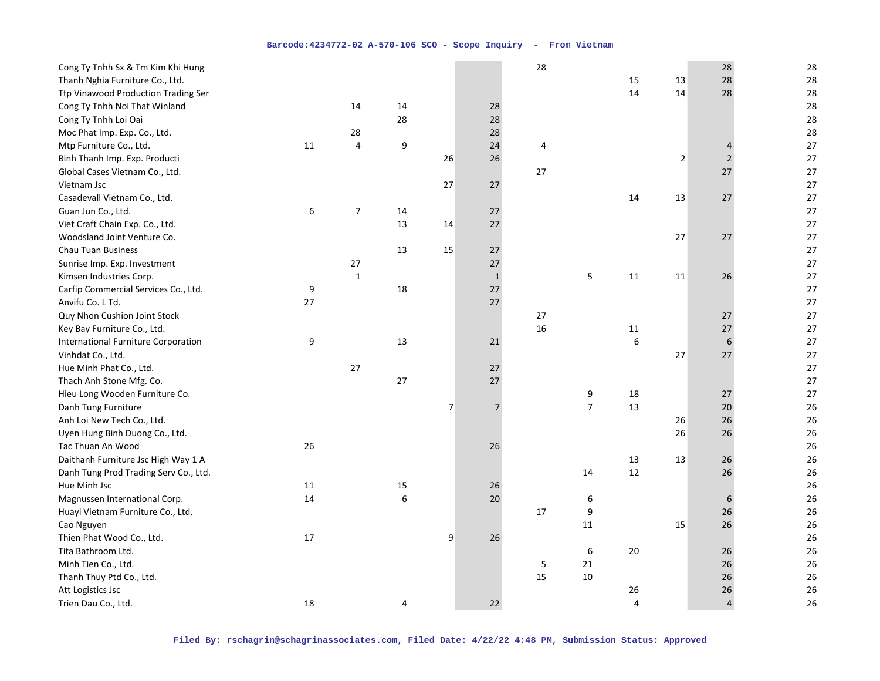| Cong Ty Tnhh Sx & Tm Kim Khi Hung     |                  |                  |    |                |                | 28 |                |        |                | 28             | 28 |
|---------------------------------------|------------------|------------------|----|----------------|----------------|----|----------------|--------|----------------|----------------|----|
| Thanh Nghia Furniture Co., Ltd.       |                  |                  |    |                |                |    |                | 15     | 13             | 28             | 28 |
| Ttp Vinawood Production Trading Ser   |                  |                  |    |                |                |    |                | 14     | 14             | 28             | 28 |
| Cong Ty Tnhh Noi That Winland         |                  | 14               | 14 |                | 28             |    |                |        |                |                | 28 |
| Cong Ty Tnhh Loi Oai                  |                  |                  | 28 |                | 28             |    |                |        |                |                | 28 |
| Moc Phat Imp. Exp. Co., Ltd.          |                  | 28               |    |                | 28             |    |                |        |                |                | 28 |
| Mtp Furniture Co., Ltd.               | $11\,$           | $\overline{4}$   | 9  |                | 24             | 4  |                |        |                | 4              | 27 |
| Binh Thanh Imp. Exp. Producti         |                  |                  |    | 26             | 26             |    |                |        | $\overline{2}$ | $\overline{2}$ | 27 |
| Global Cases Vietnam Co., Ltd.        |                  |                  |    |                |                | 27 |                |        |                | 27             | 27 |
| Vietnam Jsc                           |                  |                  |    | 27             | 27             |    |                |        |                |                | 27 |
| Casadevall Vietnam Co., Ltd.          |                  |                  |    |                |                |    |                | 14     | 13             | 27             | 27 |
| Guan Jun Co., Ltd.                    | $\boldsymbol{6}$ | $\boldsymbol{7}$ | 14 |                | 27             |    |                |        |                |                | 27 |
| Viet Craft Chain Exp. Co., Ltd.       |                  |                  | 13 | 14             | 27             |    |                |        |                |                | 27 |
| Woodsland Joint Venture Co.           |                  |                  |    |                |                |    |                |        | 27             | 27             | 27 |
| <b>Chau Tuan Business</b>             |                  |                  | 13 | 15             | 27             |    |                |        |                |                | 27 |
| Sunrise Imp. Exp. Investment          |                  | 27               |    |                | 27             |    |                |        |                |                | 27 |
| Kimsen Industries Corp.               |                  | $\mathbf 1$      |    |                | $\mathbf 1$    |    | 5              | 11     | 11             | 26             | 27 |
| Carfip Commercial Services Co., Ltd.  | 9                |                  | 18 |                | $27$           |    |                |        |                |                | 27 |
| Anvifu Co. L Td.                      | 27               |                  |    |                | 27             |    |                |        |                |                | 27 |
| Quy Nhon Cushion Joint Stock          |                  |                  |    |                |                | 27 |                |        |                | 27             | 27 |
| Key Bay Furniture Co., Ltd.           |                  |                  |    |                |                | 16 |                | 11     |                | 27             | 27 |
| International Furniture Corporation   | 9                |                  | 13 |                | 21             |    |                | 6      |                | 6              | 27 |
| Vinhdat Co., Ltd.                     |                  |                  |    |                |                |    |                |        | 27             | 27             | 27 |
| Hue Minh Phat Co., Ltd.               |                  | 27               |    |                | 27             |    |                |        |                |                | 27 |
| Thach Anh Stone Mfg. Co.              |                  |                  | 27 |                | 27             |    |                |        |                |                | 27 |
| Hieu Long Wooden Furniture Co.        |                  |                  |    |                |                |    | 9              | 18     |                | 27             | 27 |
| Danh Tung Furniture                   |                  |                  |    | $\overline{7}$ | $\overline{7}$ |    | $\overline{7}$ | 13     |                | 20             | 26 |
| Anh Loi New Tech Co., Ltd.            |                  |                  |    |                |                |    |                |        | 26             | 26             | 26 |
| Uyen Hung Binh Duong Co., Ltd.        |                  |                  |    |                |                |    |                |        | 26             | 26             | 26 |
| Tac Thuan An Wood                     | 26               |                  |    |                | 26             |    |                |        |                |                | 26 |
| Daithanh Furniture Jsc High Way 1 A   |                  |                  |    |                |                |    |                | 13     | 13             | 26             | 26 |
| Danh Tung Prod Trading Serv Co., Ltd. |                  |                  |    |                |                |    | 14             | $12\,$ |                | 26             | 26 |
| Hue Minh Jsc                          | 11               |                  | 15 |                | 26             |    |                |        |                |                | 26 |
| Magnussen International Corp.         | 14               |                  | 6  |                | 20             |    | 6              |        |                | 6              | 26 |
| Huayi Vietnam Furniture Co., Ltd.     |                  |                  |    |                |                | 17 | 9              |        |                | 26             | 26 |
| Cao Nguyen                            |                  |                  |    |                |                |    | $11\,$         |        | 15             | 26             | 26 |
| Thien Phat Wood Co., Ltd.             | 17               |                  |    | 9              | 26             |    |                |        |                |                | 26 |
| Tita Bathroom Ltd.                    |                  |                  |    |                |                |    | 6              | 20     |                | 26             | 26 |
| Minh Tien Co., Ltd.                   |                  |                  |    |                |                | 5  | 21             |        |                | 26             | 26 |
| Thanh Thuy Ptd Co., Ltd.              |                  |                  |    |                |                | 15 | 10             |        |                | 26             | 26 |
| Att Logistics Jsc                     |                  |                  |    |                |                |    |                | 26     |                | $26\,$         | 26 |
| Trien Dau Co., Ltd.                   | 18               |                  | 4  |                | 22             |    |                | 4      |                | $\overline{4}$ | 26 |
|                                       |                  |                  |    |                |                |    |                |        |                |                |    |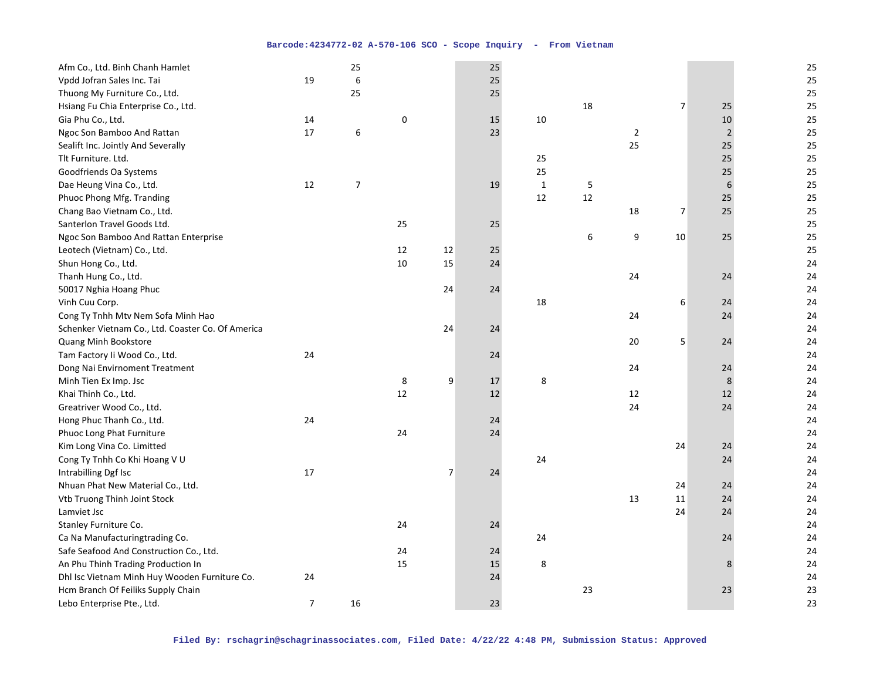| Afm Co., Ltd. Binh Chanh Hamlet                   |                | 25             |    |                | 25 |             |    |                  |                |                | 25 |
|---------------------------------------------------|----------------|----------------|----|----------------|----|-------------|----|------------------|----------------|----------------|----|
| Vpdd Jofran Sales Inc. Tai                        | 19             | 6              |    |                | 25 |             |    |                  |                |                | 25 |
| Thuong My Furniture Co., Ltd.                     |                | 25             |    |                | 25 |             |    |                  |                |                | 25 |
| Hsiang Fu Chia Enterprise Co., Ltd.               |                |                |    |                |    |             | 18 |                  | $\overline{7}$ | 25             | 25 |
| Gia Phu Co., Ltd.                                 | 14             |                | 0  |                | 15 | 10          |    |                  |                | 10             | 25 |
| Ngoc Son Bamboo And Rattan                        | 17             | 6              |    |                | 23 |             |    | $\sqrt{2}$       |                | $\overline{2}$ | 25 |
| Sealift Inc. Jointly And Severally                |                |                |    |                |    |             |    | 25               |                | 25             | 25 |
| Tlt Furniture. Ltd.                               |                |                |    |                |    | 25          |    |                  |                | 25             | 25 |
| Goodfriends Oa Systems                            |                |                |    |                |    | 25          |    |                  |                | 25             | 25 |
| Dae Heung Vina Co., Ltd.                          | 12             | $\overline{7}$ |    |                | 19 | $\mathbf 1$ | 5  |                  |                | 6              | 25 |
| Phuoc Phong Mfg. Tranding                         |                |                |    |                |    | 12          | 12 |                  |                | 25             | 25 |
| Chang Bao Vietnam Co., Ltd.                       |                |                |    |                |    |             |    | 18               | 7              | 25             | 25 |
| Santerlon Travel Goods Ltd.                       |                |                | 25 |                | 25 |             |    |                  |                |                | 25 |
| Ngoc Son Bamboo And Rattan Enterprise             |                |                |    |                |    |             | 6  | $\boldsymbol{9}$ | 10             | 25             | 25 |
| Leotech (Vietnam) Co., Ltd.                       |                |                | 12 | 12             | 25 |             |    |                  |                |                | 25 |
| Shun Hong Co., Ltd.                               |                |                | 10 | 15             | 24 |             |    |                  |                |                | 24 |
| Thanh Hung Co., Ltd.                              |                |                |    |                |    |             |    | 24               |                | 24             | 24 |
| 50017 Nghia Hoang Phuc                            |                |                |    | 24             | 24 |             |    |                  |                |                | 24 |
| Vinh Cuu Corp.                                    |                |                |    |                |    | 18          |    |                  | 6              | 24             | 24 |
| Cong Ty Tnhh Mtv Nem Sofa Minh Hao                |                |                |    |                |    |             |    | 24               |                | 24             | 24 |
| Schenker Vietnam Co., Ltd. Coaster Co. Of America |                |                |    | 24             | 24 |             |    |                  |                |                | 24 |
| Quang Minh Bookstore                              |                |                |    |                |    |             |    | 20               | 5              | 24             | 24 |
| Tam Factory Ii Wood Co., Ltd.                     | 24             |                |    |                | 24 |             |    |                  |                |                | 24 |
| Dong Nai Envirnoment Treatment                    |                |                |    |                |    |             |    | 24               |                | 24             | 24 |
| Minh Tien Ex Imp. Jsc                             |                |                | 8  | 9              | 17 | 8           |    |                  |                | 8              | 24 |
| Khai Thinh Co., Ltd.                              |                |                | 12 |                | 12 |             |    | 12               |                | 12             | 24 |
| Greatriver Wood Co., Ltd.                         |                |                |    |                |    |             |    | 24               |                | 24             | 24 |
| Hong Phuc Thanh Co., Ltd.                         | 24             |                |    |                | 24 |             |    |                  |                |                | 24 |
| Phuoc Long Phat Furniture                         |                |                | 24 |                | 24 |             |    |                  |                |                | 24 |
| Kim Long Vina Co. Limitted                        |                |                |    |                |    |             |    |                  | 24             | 24             | 24 |
| Cong Ty Tnhh Co Khi Hoang V U                     |                |                |    |                |    | 24          |    |                  |                | 24             | 24 |
| Intrabilling Dgf Isc                              | 17             |                |    | $\overline{7}$ | 24 |             |    |                  |                |                | 24 |
| Nhuan Phat New Material Co., Ltd.                 |                |                |    |                |    |             |    |                  | 24             | 24             | 24 |
| Vtb Truong Thinh Joint Stock                      |                |                |    |                |    |             |    | 13               | 11             | 24             | 24 |
| Lamviet Jsc                                       |                |                |    |                |    |             |    |                  | 24             | 24             | 24 |
| Stanley Furniture Co.                             |                |                | 24 |                | 24 |             |    |                  |                |                | 24 |
| Ca Na Manufacturingtrading Co.                    |                |                |    |                |    | 24          |    |                  |                | 24             | 24 |
| Safe Seafood And Construction Co., Ltd.           |                |                | 24 |                | 24 |             |    |                  |                |                | 24 |
| An Phu Thinh Trading Production In                |                |                | 15 |                | 15 | 8           |    |                  |                | 8              | 24 |
| Dhl Isc Vietnam Minh Huy Wooden Furniture Co.     | 24             |                |    |                | 24 |             |    |                  |                |                | 24 |
| Hcm Branch Of Feiliks Supply Chain                |                |                |    |                |    |             | 23 |                  |                | 23             | 23 |
| Lebo Enterprise Pte., Ltd.                        | $\overline{7}$ | 16             |    |                | 23 |             |    |                  |                |                | 23 |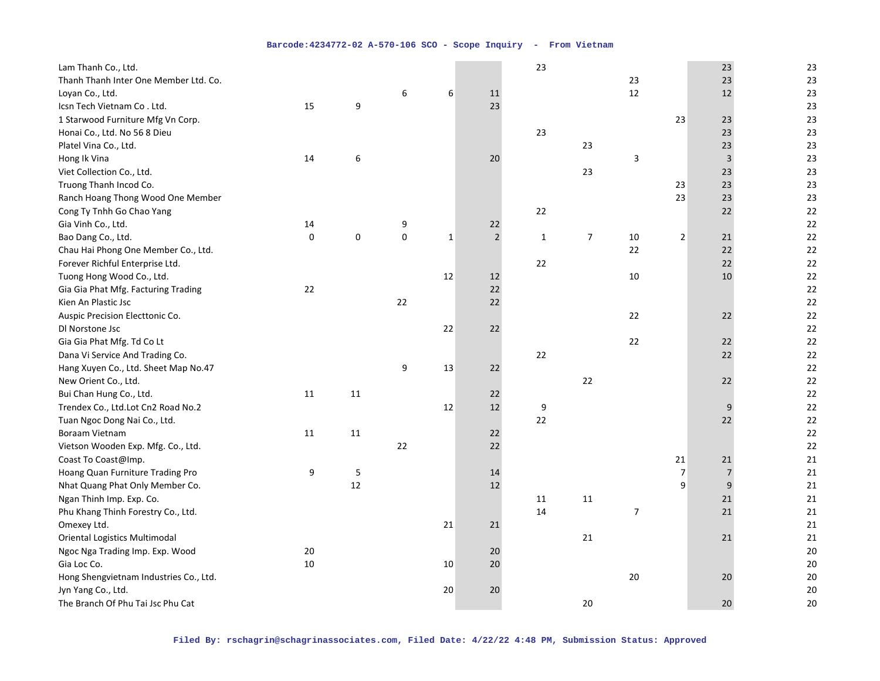| 23<br>Thanh Thanh Inter One Member Ltd. Co.<br>23<br>23<br>12<br>23<br>6<br>6<br>11<br>12<br>Loyan Co., Ltd.<br>9<br>23<br>23<br>15<br>Icsn Tech Vietnam Co. Ltd.<br>1 Starwood Furniture Mfg Vn Corp.<br>23<br>23<br>23<br>23<br>23<br>23<br>Honai Co., Ltd. No 56 8 Dieu<br>23<br>23<br>23<br>Platel Vina Co., Ltd.<br>6<br>3<br>3<br>23<br>Hong Ik Vina<br>14<br>20<br>23<br>23<br>23<br>Viet Collection Co., Ltd.<br>23<br>23<br>23<br>Truong Thanh Incod Co.<br>23<br>23<br>23<br>Ranch Hoang Thong Wood One Member<br>22<br>22<br>22<br>Cong Ty Tnhh Go Chao Yang<br>22<br>Gia Vinh Co., Ltd.<br>14<br>9<br>22<br>$\mathsf 0$<br>$\overline{2}$<br>$\pmb{0}$<br>$\overline{7}$<br>0<br>$\overline{2}$<br>22<br>Bao Dang Co., Ltd.<br>$\mathbf{1}$<br>10<br>21<br>$\mathbf{1}$<br>22<br>22<br>22<br>Chau Hai Phong One Member Co., Ltd.<br>22<br>22<br>22<br>Forever Richful Enterprise Ltd.<br>12<br>22<br>Tuong Hong Wood Co., Ltd.<br>12<br>10<br>10<br>22<br>22<br>22<br>Gia Gia Phat Mfg. Facturing Trading<br>Kien An Plastic Jsc<br>22<br>22<br>22<br>22<br>Auspic Precision Electtonic Co.<br>22<br>22<br>22<br>22<br>22<br>DI Norstone Jsc<br>22<br>22<br>Gia Gia Phat Mfg. Td Co Lt<br>22<br>22<br>22<br>22<br>Dana Vi Service And Trading Co.<br>9<br>22<br>Hang Xuyen Co., Ltd. Sheet Map No.47<br>13<br>22<br>$22\,$<br>22<br>New Orient Co., Ltd.<br>22<br>22<br>Bui Chan Hung Co., Ltd.<br>11<br>11<br>22<br>12<br>9<br>22<br>Trendex Co., Ltd.Lot Cn2 Road No.2<br>12<br>9<br>22<br>22<br>Tuan Ngoc Dong Nai Co., Ltd.<br>22<br>22<br>Boraam Vietnam<br>11<br>11<br>22 | Lam Thanh Co., Ltd.                |  |    |  | 23 |  | 23 | 23 |
|---------------------------------------------------------------------------------------------------------------------------------------------------------------------------------------------------------------------------------------------------------------------------------------------------------------------------------------------------------------------------------------------------------------------------------------------------------------------------------------------------------------------------------------------------------------------------------------------------------------------------------------------------------------------------------------------------------------------------------------------------------------------------------------------------------------------------------------------------------------------------------------------------------------------------------------------------------------------------------------------------------------------------------------------------------------------------------------------------------------------------------------------------------------------------------------------------------------------------------------------------------------------------------------------------------------------------------------------------------------------------------------------------------------------------------------------------------------------------------------------------------------------------------------------------------------------------------------------|------------------------------------|--|----|--|----|--|----|----|
|                                                                                                                                                                                                                                                                                                                                                                                                                                                                                                                                                                                                                                                                                                                                                                                                                                                                                                                                                                                                                                                                                                                                                                                                                                                                                                                                                                                                                                                                                                                                                                                             |                                    |  |    |  |    |  |    |    |
|                                                                                                                                                                                                                                                                                                                                                                                                                                                                                                                                                                                                                                                                                                                                                                                                                                                                                                                                                                                                                                                                                                                                                                                                                                                                                                                                                                                                                                                                                                                                                                                             |                                    |  |    |  |    |  |    |    |
|                                                                                                                                                                                                                                                                                                                                                                                                                                                                                                                                                                                                                                                                                                                                                                                                                                                                                                                                                                                                                                                                                                                                                                                                                                                                                                                                                                                                                                                                                                                                                                                             |                                    |  |    |  |    |  |    |    |
|                                                                                                                                                                                                                                                                                                                                                                                                                                                                                                                                                                                                                                                                                                                                                                                                                                                                                                                                                                                                                                                                                                                                                                                                                                                                                                                                                                                                                                                                                                                                                                                             |                                    |  |    |  |    |  |    |    |
|                                                                                                                                                                                                                                                                                                                                                                                                                                                                                                                                                                                                                                                                                                                                                                                                                                                                                                                                                                                                                                                                                                                                                                                                                                                                                                                                                                                                                                                                                                                                                                                             |                                    |  |    |  |    |  |    |    |
|                                                                                                                                                                                                                                                                                                                                                                                                                                                                                                                                                                                                                                                                                                                                                                                                                                                                                                                                                                                                                                                                                                                                                                                                                                                                                                                                                                                                                                                                                                                                                                                             |                                    |  |    |  |    |  |    |    |
|                                                                                                                                                                                                                                                                                                                                                                                                                                                                                                                                                                                                                                                                                                                                                                                                                                                                                                                                                                                                                                                                                                                                                                                                                                                                                                                                                                                                                                                                                                                                                                                             |                                    |  |    |  |    |  |    |    |
|                                                                                                                                                                                                                                                                                                                                                                                                                                                                                                                                                                                                                                                                                                                                                                                                                                                                                                                                                                                                                                                                                                                                                                                                                                                                                                                                                                                                                                                                                                                                                                                             |                                    |  |    |  |    |  |    |    |
|                                                                                                                                                                                                                                                                                                                                                                                                                                                                                                                                                                                                                                                                                                                                                                                                                                                                                                                                                                                                                                                                                                                                                                                                                                                                                                                                                                                                                                                                                                                                                                                             |                                    |  |    |  |    |  |    |    |
|                                                                                                                                                                                                                                                                                                                                                                                                                                                                                                                                                                                                                                                                                                                                                                                                                                                                                                                                                                                                                                                                                                                                                                                                                                                                                                                                                                                                                                                                                                                                                                                             |                                    |  |    |  |    |  |    |    |
|                                                                                                                                                                                                                                                                                                                                                                                                                                                                                                                                                                                                                                                                                                                                                                                                                                                                                                                                                                                                                                                                                                                                                                                                                                                                                                                                                                                                                                                                                                                                                                                             |                                    |  |    |  |    |  |    |    |
|                                                                                                                                                                                                                                                                                                                                                                                                                                                                                                                                                                                                                                                                                                                                                                                                                                                                                                                                                                                                                                                                                                                                                                                                                                                                                                                                                                                                                                                                                                                                                                                             |                                    |  |    |  |    |  |    |    |
|                                                                                                                                                                                                                                                                                                                                                                                                                                                                                                                                                                                                                                                                                                                                                                                                                                                                                                                                                                                                                                                                                                                                                                                                                                                                                                                                                                                                                                                                                                                                                                                             |                                    |  |    |  |    |  |    |    |
|                                                                                                                                                                                                                                                                                                                                                                                                                                                                                                                                                                                                                                                                                                                                                                                                                                                                                                                                                                                                                                                                                                                                                                                                                                                                                                                                                                                                                                                                                                                                                                                             |                                    |  |    |  |    |  |    |    |
|                                                                                                                                                                                                                                                                                                                                                                                                                                                                                                                                                                                                                                                                                                                                                                                                                                                                                                                                                                                                                                                                                                                                                                                                                                                                                                                                                                                                                                                                                                                                                                                             |                                    |  |    |  |    |  |    |    |
|                                                                                                                                                                                                                                                                                                                                                                                                                                                                                                                                                                                                                                                                                                                                                                                                                                                                                                                                                                                                                                                                                                                                                                                                                                                                                                                                                                                                                                                                                                                                                                                             |                                    |  |    |  |    |  |    |    |
|                                                                                                                                                                                                                                                                                                                                                                                                                                                                                                                                                                                                                                                                                                                                                                                                                                                                                                                                                                                                                                                                                                                                                                                                                                                                                                                                                                                                                                                                                                                                                                                             |                                    |  |    |  |    |  |    |    |
|                                                                                                                                                                                                                                                                                                                                                                                                                                                                                                                                                                                                                                                                                                                                                                                                                                                                                                                                                                                                                                                                                                                                                                                                                                                                                                                                                                                                                                                                                                                                                                                             |                                    |  |    |  |    |  |    |    |
|                                                                                                                                                                                                                                                                                                                                                                                                                                                                                                                                                                                                                                                                                                                                                                                                                                                                                                                                                                                                                                                                                                                                                                                                                                                                                                                                                                                                                                                                                                                                                                                             |                                    |  |    |  |    |  |    |    |
|                                                                                                                                                                                                                                                                                                                                                                                                                                                                                                                                                                                                                                                                                                                                                                                                                                                                                                                                                                                                                                                                                                                                                                                                                                                                                                                                                                                                                                                                                                                                                                                             |                                    |  |    |  |    |  |    |    |
|                                                                                                                                                                                                                                                                                                                                                                                                                                                                                                                                                                                                                                                                                                                                                                                                                                                                                                                                                                                                                                                                                                                                                                                                                                                                                                                                                                                                                                                                                                                                                                                             |                                    |  |    |  |    |  |    |    |
|                                                                                                                                                                                                                                                                                                                                                                                                                                                                                                                                                                                                                                                                                                                                                                                                                                                                                                                                                                                                                                                                                                                                                                                                                                                                                                                                                                                                                                                                                                                                                                                             |                                    |  |    |  |    |  |    |    |
|                                                                                                                                                                                                                                                                                                                                                                                                                                                                                                                                                                                                                                                                                                                                                                                                                                                                                                                                                                                                                                                                                                                                                                                                                                                                                                                                                                                                                                                                                                                                                                                             |                                    |  |    |  |    |  |    |    |
|                                                                                                                                                                                                                                                                                                                                                                                                                                                                                                                                                                                                                                                                                                                                                                                                                                                                                                                                                                                                                                                                                                                                                                                                                                                                                                                                                                                                                                                                                                                                                                                             |                                    |  |    |  |    |  |    |    |
|                                                                                                                                                                                                                                                                                                                                                                                                                                                                                                                                                                                                                                                                                                                                                                                                                                                                                                                                                                                                                                                                                                                                                                                                                                                                                                                                                                                                                                                                                                                                                                                             |                                    |  |    |  |    |  |    |    |
|                                                                                                                                                                                                                                                                                                                                                                                                                                                                                                                                                                                                                                                                                                                                                                                                                                                                                                                                                                                                                                                                                                                                                                                                                                                                                                                                                                                                                                                                                                                                                                                             |                                    |  |    |  |    |  |    |    |
|                                                                                                                                                                                                                                                                                                                                                                                                                                                                                                                                                                                                                                                                                                                                                                                                                                                                                                                                                                                                                                                                                                                                                                                                                                                                                                                                                                                                                                                                                                                                                                                             |                                    |  |    |  |    |  |    |    |
|                                                                                                                                                                                                                                                                                                                                                                                                                                                                                                                                                                                                                                                                                                                                                                                                                                                                                                                                                                                                                                                                                                                                                                                                                                                                                                                                                                                                                                                                                                                                                                                             |                                    |  |    |  |    |  |    |    |
| 22                                                                                                                                                                                                                                                                                                                                                                                                                                                                                                                                                                                                                                                                                                                                                                                                                                                                                                                                                                                                                                                                                                                                                                                                                                                                                                                                                                                                                                                                                                                                                                                          | Vietson Wooden Exp. Mfg. Co., Ltd. |  | 22 |  |    |  |    | 22 |
| 21<br>Coast To Coast@Imp.<br>21<br>21                                                                                                                                                                                                                                                                                                                                                                                                                                                                                                                                                                                                                                                                                                                                                                                                                                                                                                                                                                                                                                                                                                                                                                                                                                                                                                                                                                                                                                                                                                                                                       |                                    |  |    |  |    |  |    |    |
| 9<br>5<br>$\overline{7}$<br>Hoang Quan Furniture Trading Pro<br>14<br>$\overline{7}$<br>21                                                                                                                                                                                                                                                                                                                                                                                                                                                                                                                                                                                                                                                                                                                                                                                                                                                                                                                                                                                                                                                                                                                                                                                                                                                                                                                                                                                                                                                                                                  |                                    |  |    |  |    |  |    |    |
| 9<br>12<br>12<br>9<br>Nhat Quang Phat Only Member Co.<br>21                                                                                                                                                                                                                                                                                                                                                                                                                                                                                                                                                                                                                                                                                                                                                                                                                                                                                                                                                                                                                                                                                                                                                                                                                                                                                                                                                                                                                                                                                                                                 |                                    |  |    |  |    |  |    |    |
| 21<br>Ngan Thinh Imp. Exp. Co.<br>11<br>21<br>11                                                                                                                                                                                                                                                                                                                                                                                                                                                                                                                                                                                                                                                                                                                                                                                                                                                                                                                                                                                                                                                                                                                                                                                                                                                                                                                                                                                                                                                                                                                                            |                                    |  |    |  |    |  |    |    |
| 14<br>$\overline{7}$<br>21<br>Phu Khang Thinh Forestry Co., Ltd.<br>21                                                                                                                                                                                                                                                                                                                                                                                                                                                                                                                                                                                                                                                                                                                                                                                                                                                                                                                                                                                                                                                                                                                                                                                                                                                                                                                                                                                                                                                                                                                      |                                    |  |    |  |    |  |    |    |
| Omexey Ltd.<br>21<br>21<br>21                                                                                                                                                                                                                                                                                                                                                                                                                                                                                                                                                                                                                                                                                                                                                                                                                                                                                                                                                                                                                                                                                                                                                                                                                                                                                                                                                                                                                                                                                                                                                               |                                    |  |    |  |    |  |    |    |
| <b>Oriental Logistics Multimodal</b><br>21<br>21<br>21                                                                                                                                                                                                                                                                                                                                                                                                                                                                                                                                                                                                                                                                                                                                                                                                                                                                                                                                                                                                                                                                                                                                                                                                                                                                                                                                                                                                                                                                                                                                      |                                    |  |    |  |    |  |    |    |
| 20<br>Ngoc Nga Trading Imp. Exp. Wood<br>20<br>20                                                                                                                                                                                                                                                                                                                                                                                                                                                                                                                                                                                                                                                                                                                                                                                                                                                                                                                                                                                                                                                                                                                                                                                                                                                                                                                                                                                                                                                                                                                                           |                                    |  |    |  |    |  |    |    |
| 10<br>20<br>Gia Loc Co.<br>10<br>20                                                                                                                                                                                                                                                                                                                                                                                                                                                                                                                                                                                                                                                                                                                                                                                                                                                                                                                                                                                                                                                                                                                                                                                                                                                                                                                                                                                                                                                                                                                                                         |                                    |  |    |  |    |  |    |    |
| 20<br>Hong Shengvietnam Industries Co., Ltd.<br>20<br>20                                                                                                                                                                                                                                                                                                                                                                                                                                                                                                                                                                                                                                                                                                                                                                                                                                                                                                                                                                                                                                                                                                                                                                                                                                                                                                                                                                                                                                                                                                                                    |                                    |  |    |  |    |  |    |    |
| 20<br>20<br>20                                                                                                                                                                                                                                                                                                                                                                                                                                                                                                                                                                                                                                                                                                                                                                                                                                                                                                                                                                                                                                                                                                                                                                                                                                                                                                                                                                                                                                                                                                                                                                              | Jyn Yang Co., Ltd.                 |  |    |  |    |  |    |    |
| 20<br>The Branch Of Phu Tai Jsc Phu Cat<br>20<br>20                                                                                                                                                                                                                                                                                                                                                                                                                                                                                                                                                                                                                                                                                                                                                                                                                                                                                                                                                                                                                                                                                                                                                                                                                                                                                                                                                                                                                                                                                                                                         |                                    |  |    |  |    |  |    |    |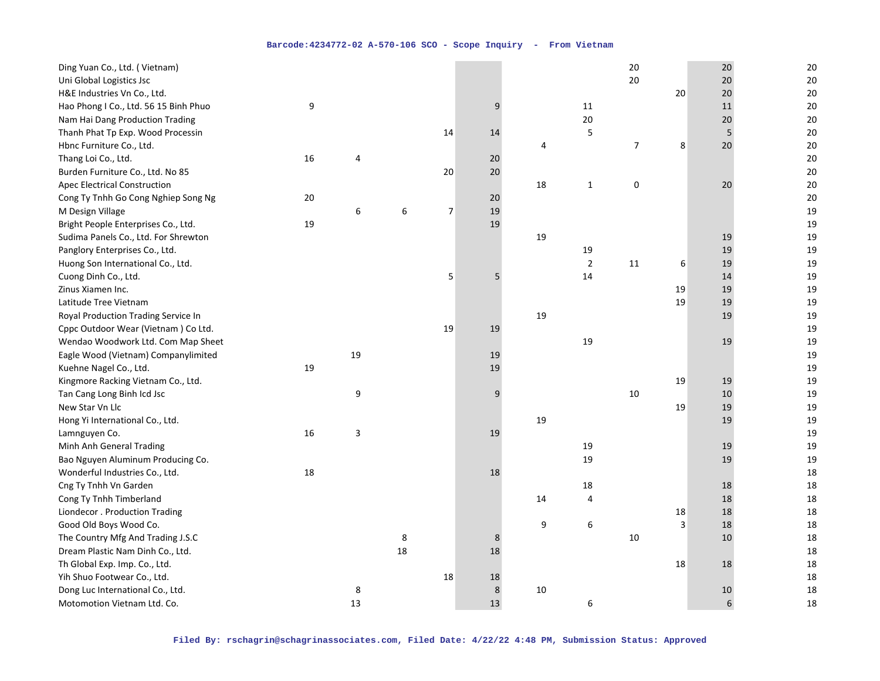| 20<br>Uni Global Logistics Jsc<br>20<br>20<br>H&E Industries Vn Co., Ltd.<br>20<br>20<br>20<br>Hao Phong I Co., Ltd. 56 15 Binh Phuo<br>9<br>20<br>9<br>11<br>11<br>Nam Hai Dang Production Trading<br>20<br>20<br>20<br>5<br>14<br>5<br>20<br>Thanh Phat Tp Exp. Wood Processin<br>14<br>$\overline{7}$<br>8<br>20<br>20<br>Hbnc Furniture Co., Ltd.<br>4<br>16<br>20<br>20<br>Thang Loi Co., Ltd.<br>$\overline{4}$<br>20<br>20<br>Burden Furniture Co., Ltd. No 85<br>20<br>18<br>$\mathbf 1$<br>$\pmb{0}$<br>20<br>20<br><b>Apec Electrical Construction</b> |
|------------------------------------------------------------------------------------------------------------------------------------------------------------------------------------------------------------------------------------------------------------------------------------------------------------------------------------------------------------------------------------------------------------------------------------------------------------------------------------------------------------------------------------------------------------------|
|                                                                                                                                                                                                                                                                                                                                                                                                                                                                                                                                                                  |
|                                                                                                                                                                                                                                                                                                                                                                                                                                                                                                                                                                  |
|                                                                                                                                                                                                                                                                                                                                                                                                                                                                                                                                                                  |
|                                                                                                                                                                                                                                                                                                                                                                                                                                                                                                                                                                  |
|                                                                                                                                                                                                                                                                                                                                                                                                                                                                                                                                                                  |
|                                                                                                                                                                                                                                                                                                                                                                                                                                                                                                                                                                  |
|                                                                                                                                                                                                                                                                                                                                                                                                                                                                                                                                                                  |
|                                                                                                                                                                                                                                                                                                                                                                                                                                                                                                                                                                  |
|                                                                                                                                                                                                                                                                                                                                                                                                                                                                                                                                                                  |
| 20<br>Cong Ty Tnhh Go Cong Nghiep Song Ng<br>20<br>20                                                                                                                                                                                                                                                                                                                                                                                                                                                                                                            |
| 6<br>$\overline{7}$<br>19<br>19<br>M Design Village<br>6                                                                                                                                                                                                                                                                                                                                                                                                                                                                                                         |
| 19<br>19<br>Bright People Enterprises Co., Ltd.<br>19                                                                                                                                                                                                                                                                                                                                                                                                                                                                                                            |
| Sudima Panels Co., Ltd. For Shrewton<br>19<br>19<br>19                                                                                                                                                                                                                                                                                                                                                                                                                                                                                                           |
| 19<br>19<br>Panglory Enterprises Co., Ltd.<br>19                                                                                                                                                                                                                                                                                                                                                                                                                                                                                                                 |
| $\overline{2}$<br>11<br>6<br>19<br>19<br>Huong Son International Co., Ltd.                                                                                                                                                                                                                                                                                                                                                                                                                                                                                       |
| 5<br>5<br>14<br>19<br>Cuong Dinh Co., Ltd.<br>14                                                                                                                                                                                                                                                                                                                                                                                                                                                                                                                 |
| 19<br>19<br>Zinus Xiamen Inc.<br>19                                                                                                                                                                                                                                                                                                                                                                                                                                                                                                                              |
| 19<br>19<br>19<br>Latitude Tree Vietnam                                                                                                                                                                                                                                                                                                                                                                                                                                                                                                                          |
| 19<br>19<br>19<br>Royal Production Trading Service In                                                                                                                                                                                                                                                                                                                                                                                                                                                                                                            |
| 19<br>Cppc Outdoor Wear (Vietnam) Co Ltd.<br>19<br>19                                                                                                                                                                                                                                                                                                                                                                                                                                                                                                            |
| 19<br>Wendao Woodwork Ltd. Com Map Sheet<br>19<br>19                                                                                                                                                                                                                                                                                                                                                                                                                                                                                                             |
| 19<br>Eagle Wood (Vietnam) Companylimited<br>19<br>19                                                                                                                                                                                                                                                                                                                                                                                                                                                                                                            |
| 19<br>19<br>19<br>Kuehne Nagel Co., Ltd.                                                                                                                                                                                                                                                                                                                                                                                                                                                                                                                         |
| 19<br>Kingmore Racking Vietnam Co., Ltd.<br>19<br>19                                                                                                                                                                                                                                                                                                                                                                                                                                                                                                             |
| Tan Cang Long Binh Icd Jsc<br>9<br>9<br>10<br>10<br>19                                                                                                                                                                                                                                                                                                                                                                                                                                                                                                           |
| 19<br>New Star Vn Llc<br>19<br>19                                                                                                                                                                                                                                                                                                                                                                                                                                                                                                                                |
| 19<br>19<br>19<br>Hong Yi International Co., Ltd.                                                                                                                                                                                                                                                                                                                                                                                                                                                                                                                |
| 19<br>16<br>3<br>Lamnguyen Co.<br>19                                                                                                                                                                                                                                                                                                                                                                                                                                                                                                                             |
| Minh Anh General Trading<br>19<br>19<br>19                                                                                                                                                                                                                                                                                                                                                                                                                                                                                                                       |
| 19<br>19<br>Bao Nguyen Aluminum Producing Co.<br>19                                                                                                                                                                                                                                                                                                                                                                                                                                                                                                              |
| 18<br>18<br>Wonderful Industries Co., Ltd.<br>18                                                                                                                                                                                                                                                                                                                                                                                                                                                                                                                 |
| 18<br>Cng Ty Tnhh Vn Garden<br>18<br>18                                                                                                                                                                                                                                                                                                                                                                                                                                                                                                                          |
| 18<br>18<br>Cong Ty Tnhh Timberland<br>14<br>4                                                                                                                                                                                                                                                                                                                                                                                                                                                                                                                   |
| 18<br>18<br>Liondecor . Production Trading<br>18                                                                                                                                                                                                                                                                                                                                                                                                                                                                                                                 |
| 18<br>9<br>6<br>3<br>18<br>Good Old Boys Wood Co.                                                                                                                                                                                                                                                                                                                                                                                                                                                                                                                |
| 8<br>10<br>10<br>18<br>The Country Mfg And Trading J.S.C<br>8                                                                                                                                                                                                                                                                                                                                                                                                                                                                                                    |
| 18<br>18<br>18<br>Dream Plastic Nam Dinh Co., Ltd.                                                                                                                                                                                                                                                                                                                                                                                                                                                                                                               |
| 18<br>18<br>Th Global Exp. Imp. Co., Ltd.<br>18                                                                                                                                                                                                                                                                                                                                                                                                                                                                                                                  |
| 18<br>Yih Shuo Footwear Co., Ltd.<br>18<br>18                                                                                                                                                                                                                                                                                                                                                                                                                                                                                                                    |
| $\,$ 8 $\,$<br>18<br>Dong Luc International Co., Ltd.<br>8<br>10<br>10                                                                                                                                                                                                                                                                                                                                                                                                                                                                                           |
| 13<br>13<br>Motomotion Vietnam Ltd. Co.<br>6<br>18<br>6                                                                                                                                                                                                                                                                                                                                                                                                                                                                                                          |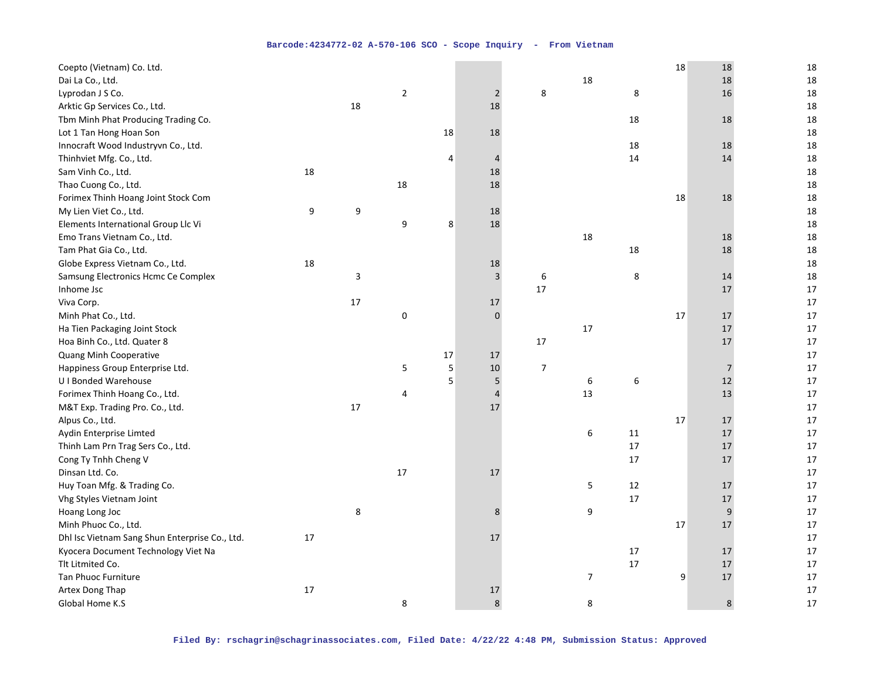| Coepto (Vietnam) Co. Ltd.                      |    |    |                |    |                |                |                  |        | 18 | 18             | 18 |
|------------------------------------------------|----|----|----------------|----|----------------|----------------|------------------|--------|----|----------------|----|
| Dai La Co., Ltd.                               |    |    |                |    |                |                | 18               |        |    | 18             | 18 |
| Lyprodan J S Co.                               |    |    | $\overline{2}$ |    | $\overline{2}$ | 8              |                  | 8      |    | 16             | 18 |
| Arktic Gp Services Co., Ltd.                   |    | 18 |                |    | 18             |                |                  |        |    |                | 18 |
| Tbm Minh Phat Producing Trading Co.            |    |    |                |    |                |                |                  | 18     |    | 18             | 18 |
| Lot 1 Tan Hong Hoan Son                        |    |    |                | 18 | 18             |                |                  |        |    |                | 18 |
| Innocraft Wood Industryvn Co., Ltd.            |    |    |                |    |                |                |                  | 18     |    | 18             | 18 |
| Thinhviet Mfg. Co., Ltd.                       |    |    |                | 4  | $\overline{4}$ |                |                  | 14     |    | 14             | 18 |
| Sam Vinh Co., Ltd.                             | 18 |    |                |    | 18             |                |                  |        |    |                | 18 |
| Thao Cuong Co., Ltd.                           |    |    | 18             |    | 18             |                |                  |        |    |                | 18 |
| Forimex Thinh Hoang Joint Stock Com            |    |    |                |    |                |                |                  |        | 18 | 18             | 18 |
| My Lien Viet Co., Ltd.                         | 9  | 9  |                |    | 18             |                |                  |        |    |                | 18 |
| Elements International Group Llc Vi            |    |    | 9              | 8  | 18             |                |                  |        |    |                | 18 |
| Emo Trans Vietnam Co., Ltd.                    |    |    |                |    |                |                | 18               |        |    | 18             | 18 |
| Tam Phat Gia Co., Ltd.                         |    |    |                |    |                |                |                  | 18     |    | 18             | 18 |
| Globe Express Vietnam Co., Ltd.                | 18 |    |                |    | 18             |                |                  |        |    |                | 18 |
| Samsung Electronics Hcmc Ce Complex            |    | 3  |                |    | $\overline{3}$ | 6              |                  | 8      |    | 14             | 18 |
| Inhome Jsc                                     |    |    |                |    |                | 17             |                  |        |    | 17             | 17 |
| Viva Corp.                                     |    | 17 |                |    | 17             |                |                  |        |    |                | 17 |
| Minh Phat Co., Ltd.                            |    |    | $\pmb{0}$      |    | $\mathbf{0}$   |                |                  |        | 17 | 17             | 17 |
| Ha Tien Packaging Joint Stock                  |    |    |                |    |                |                | 17               |        |    | 17             | 17 |
| Hoa Binh Co., Ltd. Quater 8                    |    |    |                |    |                | 17             |                  |        |    | 17             | 17 |
| Quang Minh Cooperative                         |    |    |                | 17 | 17             |                |                  |        |    |                | 17 |
| Happiness Group Enterprise Ltd.                |    |    | 5              | 5  | 10             | $\overline{7}$ |                  |        |    | $\overline{7}$ | 17 |
| <b>UI Bonded Warehouse</b>                     |    |    |                | 5  | 5              |                | $\boldsymbol{6}$ | 6      |    | 12             | 17 |
| Forimex Thinh Hoang Co., Ltd.                  |    |    | 4              |    | $\overline{4}$ |                | 13               |        |    | 13             | 17 |
| M&T Exp. Trading Pro. Co., Ltd.                |    | 17 |                |    | 17             |                |                  |        |    |                | 17 |
| Alpus Co., Ltd.                                |    |    |                |    |                |                |                  |        | 17 | 17             | 17 |
| Aydin Enterprise Limted                        |    |    |                |    |                |                | 6                | 11     |    | 17             | 17 |
| Thinh Lam Prn Trag Sers Co., Ltd.              |    |    |                |    |                |                |                  | 17     |    | 17             | 17 |
| Cong Ty Tnhh Cheng V                           |    |    |                |    |                |                |                  | 17     |    | 17             | 17 |
| Dinsan Ltd. Co.                                |    |    | 17             |    | 17             |                |                  |        |    |                | 17 |
| Huy Toan Mfg. & Trading Co.                    |    |    |                |    |                |                | $\mathsf S$      | 12     |    | 17             | 17 |
| Vhg Styles Vietnam Joint                       |    |    |                |    |                |                |                  | 17     |    | 17             | 17 |
| Hoang Long Joc                                 |    | 8  |                |    | 8              |                | 9                |        |    | 9              | 17 |
| Minh Phuoc Co., Ltd.                           |    |    |                |    |                |                |                  |        | 17 | 17             | 17 |
| Dhl Isc Vietnam Sang Shun Enterprise Co., Ltd. | 17 |    |                |    | 17             |                |                  |        |    |                | 17 |
| Kyocera Document Technology Viet Na            |    |    |                |    |                |                |                  | $17\,$ |    | 17             | 17 |
| Tlt Litmited Co.                               |    |    |                |    |                |                |                  | 17     |    | 17             | 17 |
| Tan Phuoc Furniture                            |    |    |                |    |                |                | $\boldsymbol{7}$ |        | 9  | 17             | 17 |
| Artex Dong Thap                                | 17 |    |                |    | $17$           |                |                  |        |    |                | 17 |
| Global Home K.S                                |    |    | 8              |    | 8              |                | 8                |        |    | 8              | 17 |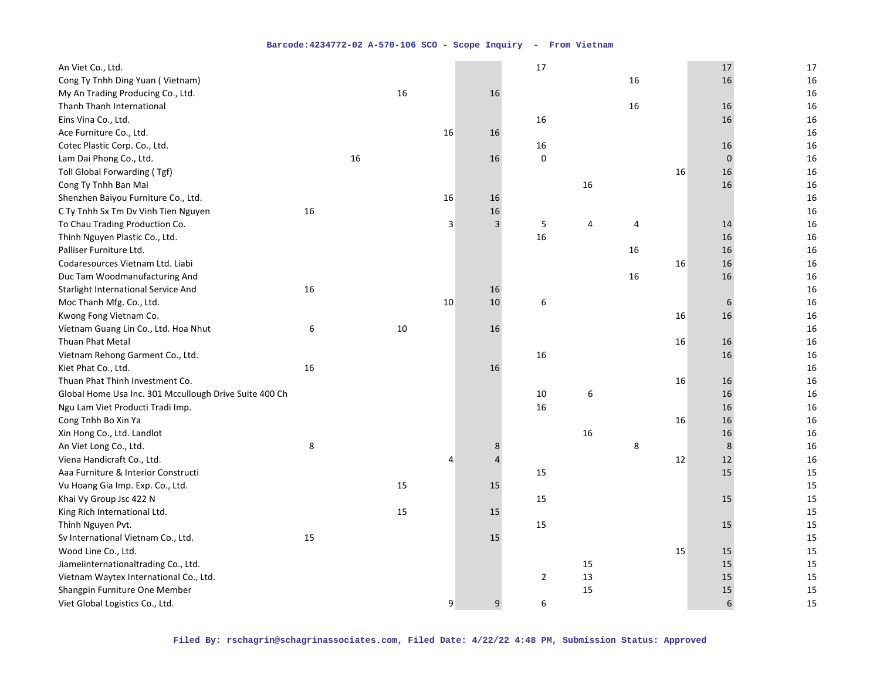| An Viet Co., Ltd.                                      |    |    |    |                |                | 17             |    |    |    | 17       | 17 |
|--------------------------------------------------------|----|----|----|----------------|----------------|----------------|----|----|----|----------|----|
| Cong Ty Tnhh Ding Yuan (Vietnam)                       |    |    |    |                |                |                |    | 16 |    | 16       | 16 |
| My An Trading Producing Co., Ltd.                      |    |    | 16 |                | 16             |                |    |    |    |          | 16 |
| Thanh Thanh International                              |    |    |    |                |                |                |    | 16 |    | 16       | 16 |
| Eins Vina Co., Ltd.                                    |    |    |    |                |                | 16             |    |    |    | 16       | 16 |
| Ace Furniture Co., Ltd.                                |    |    |    | 16             | 16             |                |    |    |    |          | 16 |
| Cotec Plastic Corp. Co., Ltd.                          |    |    |    |                |                | 16             |    |    |    | 16       | 16 |
| Lam Dai Phong Co., Ltd.                                |    | 16 |    |                | 16             | $\Omega$       |    |    |    | $\Omega$ | 16 |
| Toll Global Forwarding (Tgf)                           |    |    |    |                |                |                |    |    | 16 | 16       | 16 |
| Cong Ty Tnhh Ban Mai                                   |    |    |    |                |                |                | 16 |    |    | 16       | 16 |
| Shenzhen Baiyou Furniture Co., Ltd.                    |    |    |    | 16             | 16             |                |    |    |    |          | 16 |
| C Ty Tnhh Sx Tm Dv Vinh Tien Nguyen                    | 16 |    |    |                | 16             |                |    |    |    |          | 16 |
| To Chau Trading Production Co.                         |    |    |    | 3              | $\overline{3}$ | 5              | 4  | 4  |    | 14       | 16 |
| Thinh Nguyen Plastic Co., Ltd.                         |    |    |    |                |                | 16             |    |    |    | 16       | 16 |
| Palliser Furniture Ltd.                                |    |    |    |                |                |                |    | 16 |    | 16       | 16 |
| Codaresources Vietnam Ltd. Liabi                       |    |    |    |                |                |                |    |    | 16 | 16       | 16 |
| Duc Tam Woodmanufacturing And                          |    |    |    |                |                |                |    | 16 |    | 16       | 16 |
| Starlight International Service And                    | 16 |    |    |                | 16             |                |    |    |    |          | 16 |
| Moc Thanh Mfg. Co., Ltd.                               |    |    |    | 10             | 10             | 6              |    |    |    | 6        | 16 |
| Kwong Fong Vietnam Co.                                 |    |    |    |                |                |                |    |    | 16 | 16       | 16 |
| Vietnam Guang Lin Co., Ltd. Hoa Nhut                   | 6  |    | 10 |                | 16             |                |    |    |    |          | 16 |
| Thuan Phat Metal                                       |    |    |    |                |                |                |    |    | 16 | 16       | 16 |
| Vietnam Rehong Garment Co., Ltd.                       |    |    |    |                |                | 16             |    |    |    | 16       | 16 |
| Kiet Phat Co., Ltd.                                    | 16 |    |    |                | 16             |                |    |    |    |          | 16 |
| Thuan Phat Thinh Investment Co.                        |    |    |    |                |                |                |    |    | 16 | 16       | 16 |
| Global Home Usa Inc. 301 Mccullough Drive Suite 400 Ch |    |    |    |                |                | 10             | 6  |    |    | 16       | 16 |
| Ngu Lam Viet Producti Tradi Imp.                       |    |    |    |                |                | 16             |    |    |    | 16       | 16 |
| Cong Tnhh Bo Xin Ya                                    |    |    |    |                |                |                |    |    | 16 | 16       | 16 |
| Xin Hong Co., Ltd. Landlot                             |    |    |    |                |                |                | 16 |    |    | 16       | 16 |
| An Viet Long Co., Ltd.                                 | 8  |    |    |                | $\bf 8$        |                |    | 8  |    | 8        | 16 |
| Viena Handicraft Co., Ltd.                             |    |    |    | $\overline{4}$ | $\overline{4}$ |                |    |    | 12 | 12       | 16 |
| Aaa Furniture & Interior Constructi                    |    |    |    |                |                | 15             |    |    |    | 15       | 15 |
| Vu Hoang Gia Imp. Exp. Co., Ltd.                       |    |    | 15 |                | 15             |                |    |    |    |          | 15 |
| Khai Vy Group Jsc 422 N                                |    |    |    |                |                | 15             |    |    |    | 15       | 15 |
| King Rich International Ltd.                           |    |    | 15 |                | 15             |                |    |    |    |          | 15 |
| Thinh Nguyen Pvt.                                      |    |    |    |                |                | 15             |    |    |    | 15       | 15 |
| Sv International Vietnam Co., Ltd.                     | 15 |    |    |                | 15             |                |    |    |    |          | 15 |
| Wood Line Co., Ltd.                                    |    |    |    |                |                |                |    |    | 15 | 15       | 15 |
| Jiameiinternationaltrading Co., Ltd.                   |    |    |    |                |                |                | 15 |    |    | 15       | 15 |
| Vietnam Waytex International Co., Ltd.                 |    |    |    |                |                | $\overline{2}$ | 13 |    |    | 15       | 15 |
| Shangpin Furniture One Member                          |    |    |    |                |                |                | 15 |    |    | 15       | 15 |
| Viet Global Logistics Co., Ltd.                        |    |    |    | 9              | $\mathsf g$    | 6              |    |    |    | 6        | 15 |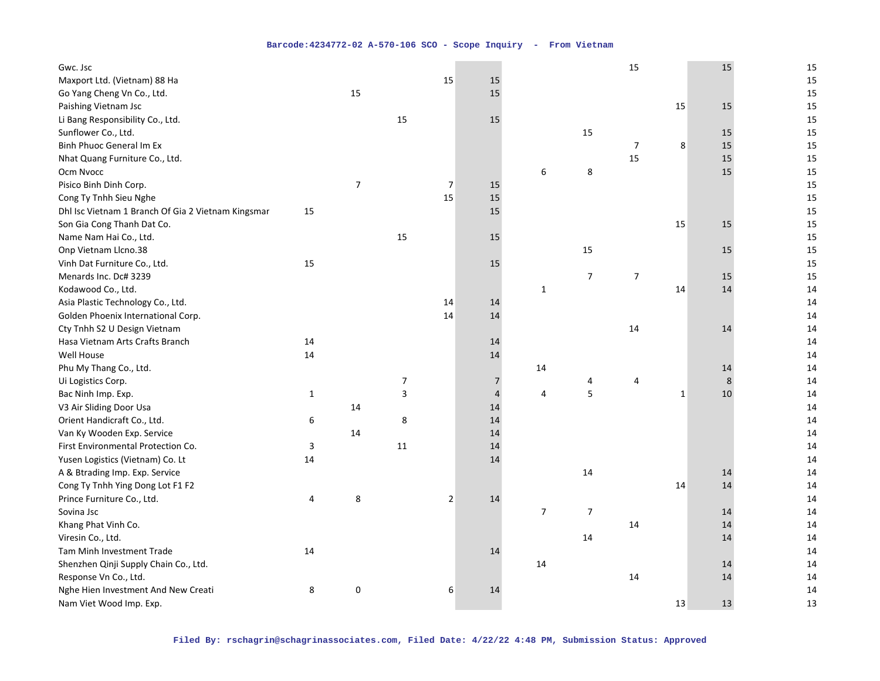| Gwc. Jsc                                           |              |                          |                |                |                |                |                  | 15             |    | 15 | 15 |
|----------------------------------------------------|--------------|--------------------------|----------------|----------------|----------------|----------------|------------------|----------------|----|----|----|
| Maxport Ltd. (Vietnam) 88 Ha                       |              |                          |                | 15             | 15             |                |                  |                |    |    | 15 |
| Go Yang Cheng Vn Co., Ltd.                         |              | 15                       |                |                | 15             |                |                  |                |    |    | 15 |
| Paishing Vietnam Jsc                               |              |                          |                |                |                |                |                  |                | 15 | 15 | 15 |
| Li Bang Responsibility Co., Ltd.                   |              |                          | 15             |                | 15             |                |                  |                |    |    | 15 |
| Sunflower Co., Ltd.                                |              |                          |                |                |                |                | 15               |                |    | 15 | 15 |
| Binh Phuoc General Im Ex                           |              |                          |                |                |                |                |                  | $\overline{7}$ | 8  | 15 | 15 |
| Nhat Quang Furniture Co., Ltd.                     |              |                          |                |                |                |                |                  | 15             |    | 15 | 15 |
| Ocm Nvocc                                          |              |                          |                |                |                | 6              | 8                |                |    | 15 | 15 |
| Pisico Binh Dinh Corp.                             |              | $\overline{\phantom{a}}$ |                | $\overline{7}$ | 15             |                |                  |                |    |    | 15 |
| Cong Ty Tnhh Sieu Nghe                             |              |                          |                | 15             | 15             |                |                  |                |    |    | 15 |
| Dhl Isc Vietnam 1 Branch Of Gia 2 Vietnam Kingsmar | 15           |                          |                |                | 15             |                |                  |                |    |    | 15 |
| Son Gia Cong Thanh Dat Co.                         |              |                          |                |                |                |                |                  |                | 15 | 15 | 15 |
| Name Nam Hai Co., Ltd.                             |              |                          | 15             |                | 15             |                |                  |                |    |    | 15 |
| Onp Vietnam Llcno.38                               |              |                          |                |                |                |                | 15               |                |    | 15 | 15 |
| Vinh Dat Furniture Co., Ltd.                       | 15           |                          |                |                | 15             |                |                  |                |    |    | 15 |
| Menards Inc. Dc# 3239                              |              |                          |                |                |                |                | $\overline{7}$   | $\overline{7}$ |    | 15 | 15 |
| Kodawood Co., Ltd.                                 |              |                          |                |                |                | $\mathbf{1}$   |                  |                | 14 | 14 | 14 |
| Asia Plastic Technology Co., Ltd.                  |              |                          |                | 14             | 14             |                |                  |                |    |    | 14 |
| Golden Phoenix International Corp.                 |              |                          |                | 14             | 14             |                |                  |                |    |    | 14 |
| Cty Tnhh S2 U Design Vietnam                       |              |                          |                |                |                |                |                  | 14             |    | 14 | 14 |
| Hasa Vietnam Arts Crafts Branch                    | 14           |                          |                |                | 14             |                |                  |                |    |    | 14 |
| Well House                                         | 14           |                          |                |                | 14             |                |                  |                |    |    | 14 |
| Phu My Thang Co., Ltd.                             |              |                          |                |                |                | 14             |                  |                |    | 14 | 14 |
| Ui Logistics Corp.                                 |              |                          | $\overline{7}$ |                | $\overline{7}$ |                | 4                | 4              |    | 8  | 14 |
| Bac Ninh Imp. Exp.                                 | $\mathbf{1}$ |                          | 3              |                | $\overline{4}$ | 4              | 5                |                | 1  | 10 | 14 |
| V3 Air Sliding Door Usa                            |              | 14                       |                |                | 14             |                |                  |                |    |    | 14 |
| Orient Handicraft Co., Ltd.                        | 6            |                          | 8              |                | 14             |                |                  |                |    |    | 14 |
| Van Ky Wooden Exp. Service                         |              | 14                       |                |                | 14             |                |                  |                |    |    | 14 |
| First Environmental Protection Co.                 | 3            |                          | 11             |                | 14             |                |                  |                |    |    | 14 |
| Yusen Logistics (Vietnam) Co. Lt                   | 14           |                          |                |                | 14             |                |                  |                |    |    | 14 |
| A & Btrading Imp. Exp. Service                     |              |                          |                |                |                |                | 14               |                |    | 14 | 14 |
| Cong Ty Tnhh Ying Dong Lot F1 F2                   |              |                          |                |                |                |                |                  |                | 14 | 14 | 14 |
| Prince Furniture Co., Ltd.                         | 4            | 8                        |                | $\overline{2}$ | 14             |                |                  |                |    |    | 14 |
| Sovina Jsc                                         |              |                          |                |                |                | $\overline{7}$ | $\boldsymbol{7}$ |                |    | 14 | 14 |
| Khang Phat Vinh Co.                                |              |                          |                |                |                |                |                  | 14             |    | 14 | 14 |
| Viresin Co., Ltd.                                  |              |                          |                |                |                |                | 14               |                |    | 14 | 14 |
| Tam Minh Investment Trade                          | 14           |                          |                |                | 14             |                |                  |                |    |    | 14 |
| Shenzhen Qinji Supply Chain Co., Ltd.              |              |                          |                |                |                | 14             |                  |                |    | 14 | 14 |
| Response Vn Co., Ltd.                              |              |                          |                |                |                |                |                  | 14             |    | 14 | 14 |
| Nghe Hien Investment And New Creati                | 8            | 0                        |                | 6              | 14             |                |                  |                |    |    | 14 |
| Nam Viet Wood Imp. Exp.                            |              |                          |                |                |                |                |                  |                | 13 | 13 | 13 |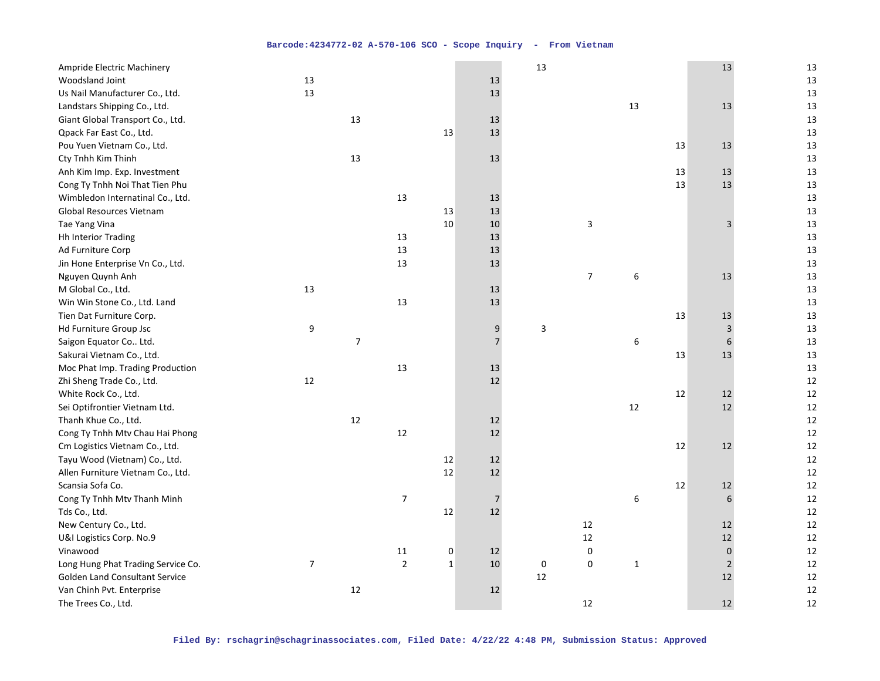| Ampride Electric Machinery            |                |                |                  |              |                | 13 |                |              |    | 13             | 13 |
|---------------------------------------|----------------|----------------|------------------|--------------|----------------|----|----------------|--------------|----|----------------|----|
| Woodsland Joint                       | 13             |                |                  |              | 13             |    |                |              |    |                | 13 |
| Us Nail Manufacturer Co., Ltd.        | 13             |                |                  |              | 13             |    |                |              |    |                | 13 |
| Landstars Shipping Co., Ltd.          |                |                |                  |              |                |    |                | 13           |    | 13             | 13 |
| Giant Global Transport Co., Ltd.      |                | 13             |                  |              | 13             |    |                |              |    |                | 13 |
| Qpack Far East Co., Ltd.              |                |                |                  | 13           | 13             |    |                |              |    |                | 13 |
| Pou Yuen Vietnam Co., Ltd.            |                |                |                  |              |                |    |                |              | 13 | 13             | 13 |
| Cty Tnhh Kim Thinh                    |                | 13             |                  |              | 13             |    |                |              |    |                | 13 |
| Anh Kim Imp. Exp. Investment          |                |                |                  |              |                |    |                |              | 13 | 13             | 13 |
| Cong Ty Tnhh Noi That Tien Phu        |                |                |                  |              |                |    |                |              | 13 | 13             | 13 |
| Wimbledon Internatinal Co., Ltd.      |                |                | 13               |              | 13             |    |                |              |    |                | 13 |
| Global Resources Vietnam              |                |                |                  | 13           | 13             |    |                |              |    |                | 13 |
| Tae Yang Vina                         |                |                |                  | 10           | 10             |    | 3              |              |    | 3              | 13 |
| <b>Hh Interior Trading</b>            |                |                | 13               |              | 13             |    |                |              |    |                | 13 |
| Ad Furniture Corp                     |                |                | 13               |              | 13             |    |                |              |    |                | 13 |
| Jin Hone Enterprise Vn Co., Ltd.      |                |                | 13               |              | 13             |    |                |              |    |                | 13 |
| Nguyen Quynh Anh                      |                |                |                  |              |                |    | $\overline{7}$ | 6            |    | 13             | 13 |
| M Global Co., Ltd.                    | 13             |                |                  |              | 13             |    |                |              |    |                | 13 |
| Win Win Stone Co., Ltd. Land          |                |                | 13               |              | 13             |    |                |              |    |                | 13 |
| Tien Dat Furniture Corp.              |                |                |                  |              |                |    |                |              | 13 | 13             | 13 |
| Hd Furniture Group Jsc                | 9              |                |                  |              | 9              | 3  |                |              |    | 3              | 13 |
| Saigon Equator Co Ltd.                |                | $\overline{7}$ |                  |              | $\overline{7}$ |    |                | 6            |    | 6              | 13 |
| Sakurai Vietnam Co., Ltd.             |                |                |                  |              |                |    |                |              | 13 | 13             | 13 |
| Moc Phat Imp. Trading Production      |                |                | 13               |              | 13             |    |                |              |    |                | 13 |
| Zhi Sheng Trade Co., Ltd.             | 12             |                |                  |              | 12             |    |                |              |    |                | 12 |
| White Rock Co., Ltd.                  |                |                |                  |              |                |    |                |              | 12 | 12             | 12 |
| Sei Optifrontier Vietnam Ltd.         |                |                |                  |              |                |    |                | 12           |    | 12             | 12 |
| Thanh Khue Co., Ltd.                  |                | 12             |                  |              | 12             |    |                |              |    |                | 12 |
| Cong Ty Tnhh Mtv Chau Hai Phong       |                |                | 12               |              | 12             |    |                |              |    |                | 12 |
| Cm Logistics Vietnam Co., Ltd.        |                |                |                  |              |                |    |                |              | 12 | 12             | 12 |
| Tayu Wood (Vietnam) Co., Ltd.         |                |                |                  | 12           | 12             |    |                |              |    |                | 12 |
| Allen Furniture Vietnam Co., Ltd.     |                |                |                  | 12           | 12             |    |                |              |    |                | 12 |
| Scansia Sofa Co.                      |                |                |                  |              |                |    |                |              | 12 | 12             | 12 |
| Cong Ty Tnhh Mtv Thanh Minh           |                |                | $\boldsymbol{7}$ |              | $\overline{7}$ |    |                | 6            |    | 6              | 12 |
| Tds Co., Ltd.                         |                |                |                  | 12           | 12             |    |                |              |    |                | 12 |
| New Century Co., Ltd.                 |                |                |                  |              |                |    | 12             |              |    | 12             | 12 |
| U&I Logistics Corp. No.9              |                |                |                  |              |                |    | $12\,$         |              |    | 12             | 12 |
| Vinawood                              |                |                | 11               | 0            | 12             |    | $\pmb{0}$      |              |    | $\mathbf 0$    | 12 |
| Long Hung Phat Trading Service Co.    | $\overline{7}$ |                | $\mathbf 2$      | $\mathbf{1}$ | 10             | 0  | $\pmb{0}$      | $\mathbf{1}$ |    | $\overline{2}$ | 12 |
| <b>Golden Land Consultant Service</b> |                |                |                  |              |                | 12 |                |              |    | 12             | 12 |
| Van Chinh Pvt. Enterprise             |                | 12             |                  |              | 12             |    |                |              |    |                | 12 |
| The Trees Co., Ltd.                   |                |                |                  |              |                |    | 12             |              |    | 12             | 12 |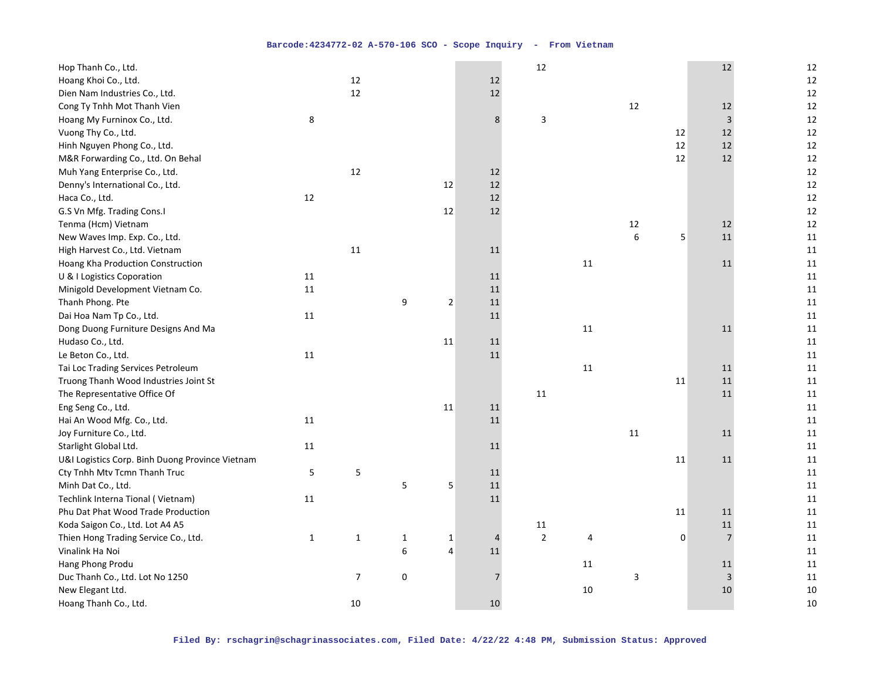| Hop Thanh Co., Ltd.                             |              |                |              |                |                | 12             |        |                |    | 12             | 12     |
|-------------------------------------------------|--------------|----------------|--------------|----------------|----------------|----------------|--------|----------------|----|----------------|--------|
| Hoang Khoi Co., Ltd.                            |              | 12             |              |                | 12             |                |        |                |    |                | 12     |
| Dien Nam Industries Co., Ltd.                   |              | 12             |              |                | 12             |                |        |                |    |                | 12     |
| Cong Ty Tnhh Mot Thanh Vien                     |              |                |              |                |                |                |        | 12             |    | 12             | 12     |
| Hoang My Furninox Co., Ltd.                     | 8            |                |              |                | 8              | 3              |        |                |    | $\mathbf{3}$   | 12     |
| Vuong Thy Co., Ltd.                             |              |                |              |                |                |                |        |                | 12 | 12             | 12     |
| Hinh Nguyen Phong Co., Ltd.                     |              |                |              |                |                |                |        |                | 12 | 12             | 12     |
| M&R Forwarding Co., Ltd. On Behal               |              |                |              |                |                |                |        |                | 12 | 12             | 12     |
| Muh Yang Enterprise Co., Ltd.                   |              | 12             |              |                | 12             |                |        |                |    |                | 12     |
| Denny's International Co., Ltd.                 |              |                |              | 12             | 12             |                |        |                |    |                | 12     |
| Haca Co., Ltd.                                  | 12           |                |              |                | 12             |                |        |                |    |                | 12     |
| G.S Vn Mfg. Trading Cons.I                      |              |                |              | 12             | 12             |                |        |                |    |                | 12     |
| Tenma (Hcm) Vietnam                             |              |                |              |                |                |                |        | 12             |    | 12             | 12     |
| New Waves Imp. Exp. Co., Ltd.                   |              |                |              |                |                |                |        | $6\phantom{a}$ | 5  | 11             | 11     |
| High Harvest Co., Ltd. Vietnam                  |              | 11             |              |                | 11             |                |        |                |    |                | 11     |
| Hoang Kha Production Construction               |              |                |              |                |                |                | $11\,$ |                |    | 11             | 11     |
| U & I Logistics Coporation                      | 11           |                |              |                | 11             |                |        |                |    |                | $11\,$ |
| Minigold Development Vietnam Co.                | 11           |                |              |                | 11             |                |        |                |    |                | 11     |
| Thanh Phong. Pte                                |              |                | 9            | $\overline{2}$ | $11\,$         |                |        |                |    |                | 11     |
| Dai Hoa Nam Tp Co., Ltd.                        | 11           |                |              |                | 11             |                |        |                |    |                | 11     |
| Dong Duong Furniture Designs And Ma             |              |                |              |                |                |                | 11     |                |    | 11             | 11     |
| Hudaso Co., Ltd.                                |              |                |              | 11             | 11             |                |        |                |    |                | 11     |
| Le Beton Co., Ltd.                              | 11           |                |              |                | 11             |                |        |                |    |                | 11     |
| Tai Loc Trading Services Petroleum              |              |                |              |                |                |                | $11\,$ |                |    | 11             | $11\,$ |
| Truong Thanh Wood Industries Joint St           |              |                |              |                |                |                |        |                | 11 | 11             | 11     |
| The Representative Office Of                    |              |                |              |                |                | $11\,$         |        |                |    | 11             | 11     |
| Eng Seng Co., Ltd.                              |              |                |              | 11             | 11             |                |        |                |    |                | 11     |
| Hai An Wood Mfg. Co., Ltd.                      | 11           |                |              |                | 11             |                |        |                |    |                | 11     |
| Joy Furniture Co., Ltd.                         |              |                |              |                |                |                |        | 11             |    | 11             | 11     |
| Starlight Global Ltd.                           | 11           |                |              |                | 11             |                |        |                |    |                | 11     |
| U&I Logistics Corp. Binh Duong Province Vietnam |              |                |              |                |                |                |        |                | 11 | 11             | 11     |
| Cty Tnhh Mtv Tcmn Thanh Truc                    | 5            | 5              |              |                | 11             |                |        |                |    |                | 11     |
| Minh Dat Co., Ltd.                              |              |                | 5            | 5              | $11\,$         |                |        |                |    |                | 11     |
| Techlink Interna Tional (Vietnam)               | 11           |                |              |                | 11             |                |        |                |    |                | 11     |
| Phu Dat Phat Wood Trade Production              |              |                |              |                |                |                |        |                | 11 | 11             | 11     |
| Koda Saigon Co., Ltd. Lot A4 A5                 |              |                |              |                |                | 11             |        |                |    | 11             | 11     |
| Thien Hong Trading Service Co., Ltd.            | $\mathbf{1}$ | $\mathbf{1}$   | $\mathbf{1}$ | $\mathbf{1}$   | $\overline{4}$ | $\overline{2}$ | 4      |                | 0  | $\overline{7}$ | 11     |
| Vinalink Ha Noi                                 |              |                | 6            | $\overline{4}$ | 11             |                |        |                |    |                | 11     |
| Hang Phong Produ                                |              |                |              |                |                |                | 11     |                |    | 11             | 11     |
| Duc Thanh Co., Ltd. Lot No 1250                 |              | $\overline{7}$ | 0            |                | $\overline{7}$ |                |        | 3              |    | $\overline{3}$ | 11     |
| New Elegant Ltd.                                |              |                |              |                |                |                | 10     |                |    | 10             | 10     |
| Hoang Thanh Co., Ltd.                           |              | 10             |              |                | 10             |                |        |                |    |                | 10     |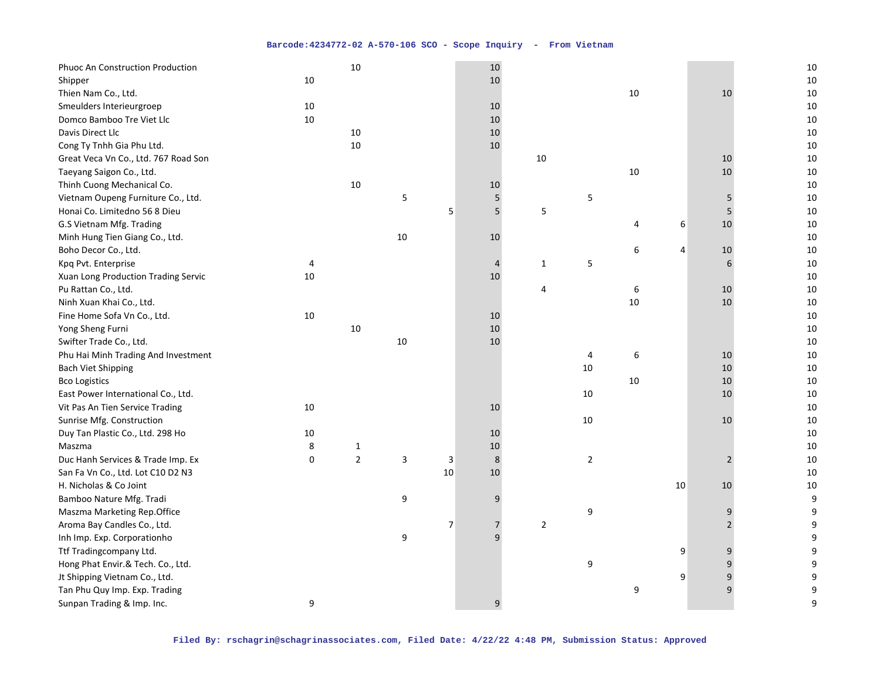| Phuoc An Construction Production     |    | 10             |    |                | 10             |              |    |                  |    |                | 10               |
|--------------------------------------|----|----------------|----|----------------|----------------|--------------|----|------------------|----|----------------|------------------|
| Shipper                              | 10 |                |    |                | 10             |              |    |                  |    |                | $10\,$           |
| Thien Nam Co., Ltd.                  |    |                |    |                |                |              |    | 10               |    | 10             | $10\,$           |
| Smeulders Interieurgroep             | 10 |                |    |                | 10             |              |    |                  |    |                | 10               |
| Domco Bamboo Tre Viet Llc            | 10 |                |    |                | $10\,$         |              |    |                  |    |                | $10\,$           |
| Davis Direct Llc                     |    | $10\,$         |    |                | 10             |              |    |                  |    |                | 10               |
| Cong Ty Tnhh Gia Phu Ltd.            |    | 10             |    |                | 10             |              |    |                  |    |                | $10\,$           |
| Great Veca Vn Co., Ltd. 767 Road Son |    |                |    |                |                | 10           |    |                  |    | 10             | 10               |
| Taeyang Saigon Co., Ltd.             |    |                |    |                |                |              |    | $10\,$           |    | 10             | $10\,$           |
| Thinh Cuong Mechanical Co.           |    | 10             |    |                | 10             |              |    |                  |    |                | $10\,$           |
| Vietnam Oupeng Furniture Co., Ltd.   |    |                | 5  |                | 5              |              | 5  |                  |    | 5              | 10               |
| Honai Co. Limitedno 56 8 Dieu        |    |                |    | 5              | 5              | 5            |    |                  |    | 5              | $10\,$           |
| G.S Vietnam Mfg. Trading             |    |                |    |                |                |              |    | 4                | 6  | 10             | $10\,$           |
| Minh Hung Tien Giang Co., Ltd.       |    |                | 10 |                | 10             |              |    |                  |    |                | 10               |
| Boho Decor Co., Ltd.                 |    |                |    |                |                |              |    | 6                | 4  | 10             | 10               |
| Kpq Pvt. Enterprise                  | 4  |                |    |                | 4              | $\mathbf{1}$ | 5  |                  |    | 6              | 10               |
| Xuan Long Production Trading Servic  | 10 |                |    |                | 10             |              |    |                  |    |                | 10               |
| Pu Rattan Co., Ltd.                  |    |                |    |                |                | 4            |    | $\boldsymbol{6}$ |    | 10             | 10               |
| Ninh Xuan Khai Co., Ltd.             |    |                |    |                |                |              |    | 10               |    | 10             | $10\,$           |
| Fine Home Sofa Vn Co., Ltd.          | 10 |                |    |                | 10             |              |    |                  |    |                | 10               |
| Yong Sheng Furni                     |    | 10             |    |                | 10             |              |    |                  |    |                | $10\,$           |
| Swifter Trade Co., Ltd.              |    |                | 10 |                | 10             |              |    |                  |    |                | 10               |
| Phu Hai Minh Trading And Investment  |    |                |    |                |                |              | 4  | 6                |    | 10             | $10\,$           |
| <b>Bach Viet Shipping</b>            |    |                |    |                |                |              | 10 |                  |    | 10             | 10               |
| <b>Bco Logistics</b>                 |    |                |    |                |                |              |    | 10               |    | 10             | 10               |
| East Power International Co., Ltd.   |    |                |    |                |                |              | 10 |                  |    | 10             | 10               |
| Vit Pas An Tien Service Trading      | 10 |                |    |                | 10             |              |    |                  |    |                | $10\,$           |
| Sunrise Mfg. Construction            |    |                |    |                |                |              | 10 |                  |    | 10             | $10\,$           |
| Duy Tan Plastic Co., Ltd. 298 Ho     | 10 |                |    |                | 10             |              |    |                  |    |                | 10               |
| Maszma                               | 8  | $\mathbf{1}$   |    |                | $10\,$         |              |    |                  |    |                | 10               |
| Duc Hanh Services & Trade Imp. Ex    | 0  | $\overline{2}$ | 3  | 3              | $\bf 8$        |              | 2  |                  |    | $\overline{2}$ | 10               |
| San Fa Vn Co., Ltd. Lot C10 D2 N3    |    |                |    | 10             | 10             |              |    |                  |    |                | $10\,$           |
| H. Nicholas & Co Joint               |    |                |    |                |                |              |    |                  | 10 | 10             | $10\,$           |
| Bamboo Nature Mfg. Tradi             |    |                | 9  |                | 9              |              |    |                  |    |                | $\boldsymbol{9}$ |
| Maszma Marketing Rep.Office          |    |                |    |                |                |              | 9  |                  |    | 9              | 9                |
| Aroma Bay Candles Co., Ltd.          |    |                |    | $\overline{7}$ | $\overline{7}$ | $\mathbf 2$  |    |                  |    | $\overline{2}$ | 9                |
| Inh Imp. Exp. Corporationho          |    |                | 9  |                | 9              |              |    |                  |    |                | 9                |
| Ttf Tradingcompany Ltd.              |    |                |    |                |                |              |    |                  | 9  | 9              | 9                |
| Hong Phat Envir.& Tech. Co., Ltd.    |    |                |    |                |                |              | 9  |                  |    | 9              | 9                |
| Jt Shipping Vietnam Co., Ltd.        |    |                |    |                |                |              |    |                  | 9  | 9              | 9                |
| Tan Phu Quy Imp. Exp. Trading        |    |                |    |                |                |              |    | 9                |    | 9              | 9                |
| Sunpan Trading & Imp. Inc.           | 9  |                |    |                | 9              |              |    |                  |    |                | 9                |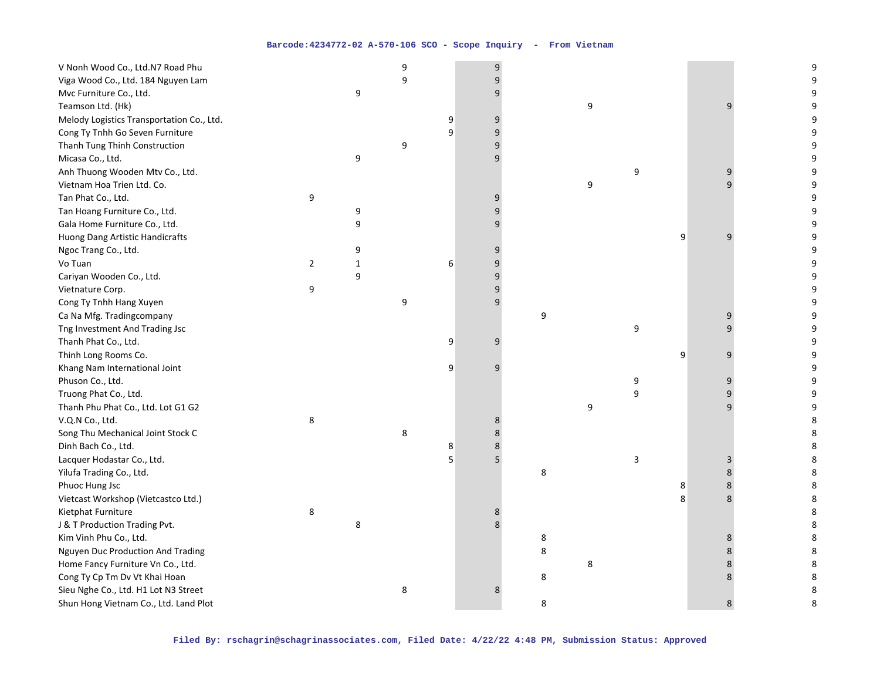| V Nonh Wood Co., Ltd.N7 Road Phu          |                |              | 9 |   | 9 |   |   |                           |   |              | 9       |
|-------------------------------------------|----------------|--------------|---|---|---|---|---|---------------------------|---|--------------|---------|
| Viga Wood Co., Ltd. 184 Nguyen Lam        |                |              | 9 |   | 9 |   |   |                           |   |              | 9       |
| Mvc Furniture Co., Ltd.                   |                | 9            |   |   | 9 |   |   |                           |   |              | 9       |
| Teamson Ltd. (Hk)                         |                |              |   |   |   |   | 9 |                           |   | 9            | 9       |
| Melody Logistics Transportation Co., Ltd. |                |              |   | 9 | 9 |   |   |                           |   |              | 9       |
| Cong Ty Tnhh Go Seven Furniture           |                |              |   | 9 | 9 |   |   |                           |   |              | 9       |
| Thanh Tung Thinh Construction             |                |              | 9 |   | 9 |   |   |                           |   |              | 9       |
| Micasa Co., Ltd.                          |                | 9            |   |   | 9 |   |   |                           |   |              | 9       |
| Anh Thuong Wooden Mtv Co., Ltd.           |                |              |   |   |   |   |   | 9                         |   | 9            | 9       |
| Vietnam Hoa Trien Ltd. Co.                |                |              |   |   |   |   | 9 |                           |   | q            | 9       |
| Tan Phat Co., Ltd.                        | 9              |              |   |   | 9 |   |   |                           |   |              | 9       |
| Tan Hoang Furniture Co., Ltd.             |                | 9            |   |   | 9 |   |   |                           |   |              | 9       |
| Gala Home Furniture Co., Ltd.             |                | 9            |   |   | 9 |   |   |                           |   |              | 9       |
| Huong Dang Artistic Handicrafts           |                |              |   |   |   |   |   |                           | 9 | 9            | 9       |
| Ngoc Trang Co., Ltd.                      |                | 9            |   |   | 9 |   |   |                           |   |              | 9       |
| Vo Tuan                                   | $\overline{2}$ | $\mathbf{1}$ |   | 6 | 9 |   |   |                           |   |              | 9       |
| Cariyan Wooden Co., Ltd.                  |                | 9            |   |   | 9 |   |   |                           |   |              | 9       |
| Vietnature Corp.                          | 9              |              |   |   | 9 |   |   |                           |   |              | 9       |
| Cong Ty Tnhh Hang Xuyen                   |                |              | 9 |   | 9 |   |   |                           |   |              | 9       |
| Ca Na Mfg. Tradingcompany                 |                |              |   |   |   | 9 |   |                           |   | 9            | 9       |
| Tng Investment And Trading Jsc            |                |              |   |   |   |   |   | 9                         |   | $\mathsf{q}$ | 9       |
| Thanh Phat Co., Ltd.                      |                |              |   | 9 | 9 |   |   |                           |   |              | 9       |
| Thinh Long Rooms Co.                      |                |              |   |   |   |   |   |                           | 9 | 9            | 9       |
| Khang Nam International Joint             |                |              |   | 9 | 9 |   |   |                           |   |              | 9       |
| Phuson Co., Ltd.                          |                |              |   |   |   |   |   | 9                         |   | 9            | 9       |
| Truong Phat Co., Ltd.                     |                |              |   |   |   |   |   | 9                         |   | 9            | 9       |
| Thanh Phu Phat Co., Ltd. Lot G1 G2        |                |              |   |   |   |   | 9 |                           |   | 9            | 9       |
| V.Q.N Co., Ltd.                           | 8              |              |   |   | 8 |   |   |                           |   |              | 8       |
| Song Thu Mechanical Joint Stock C         |                |              | 8 |   | 8 |   |   |                           |   |              | 8       |
| Dinh Bach Co., Ltd.                       |                |              |   | 8 | 8 |   |   |                           |   |              | 8       |
| Lacquer Hodastar Co., Ltd.                |                |              |   | 5 | 5 |   |   | $\ensuremath{\mathsf{3}}$ |   | 3            | 8       |
| Yilufa Trading Co., Ltd.                  |                |              |   |   |   | 8 |   |                           |   | 8            | 8       |
| Phuoc Hung Jsc                            |                |              |   |   |   |   |   |                           | 8 | 8            | 8       |
| Vietcast Workshop (Vietcastco Ltd.)       |                |              |   |   |   |   |   |                           | 8 | 8            | 8       |
| Kietphat Furniture                        | 8              |              |   |   | 8 |   |   |                           |   |              | $\,8\,$ |
| J & T Production Trading Pvt.             |                | 8            |   |   | 8 |   |   |                           |   |              | 8       |
| Kim Vinh Phu Co., Ltd.                    |                |              |   |   |   | 8 |   |                           |   | 8            | 8       |
| Nguyen Duc Production And Trading         |                |              |   |   |   | 8 |   |                           |   | 8            | 8       |
| Home Fancy Furniture Vn Co., Ltd.         |                |              |   |   |   |   | 8 |                           |   | 8            | 8       |
| Cong Ty Cp Tm Dv Vt Khai Hoan             |                |              |   |   |   | 8 |   |                           |   | 8            | 8       |
| Sieu Nghe Co., Ltd. H1 Lot N3 Street      |                |              | 8 |   | 8 |   |   |                           |   |              | 8       |
| Shun Hong Vietnam Co., Ltd. Land Plot     |                |              |   |   |   | 8 |   |                           |   | 8            | 8       |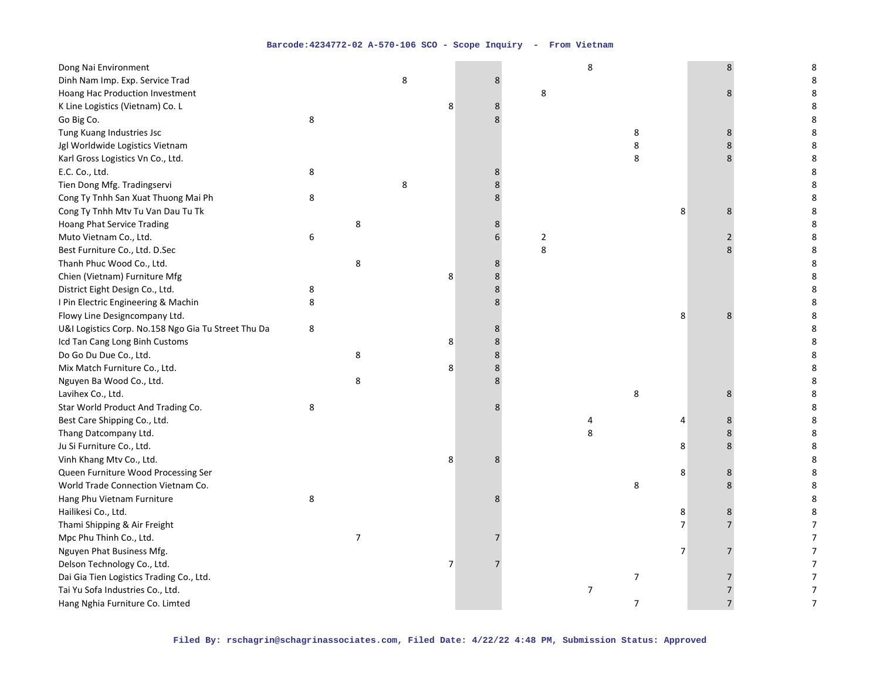| Dong Nai Environment                                |   |                |   |   |         |            | 8 |                  |                | 8                       | 8                |
|-----------------------------------------------------|---|----------------|---|---|---------|------------|---|------------------|----------------|-------------------------|------------------|
| Dinh Nam Imp. Exp. Service Trad                     |   |                | 8 |   | 8       |            |   |                  |                |                         | 8                |
| Hoang Hac Production Investment                     |   |                |   |   |         | 8          |   |                  |                | 8                       | 8                |
| K Line Logistics (Vietnam) Co. L                    |   |                |   | 8 | 8       |            |   |                  |                |                         | 8                |
| Go Big Co.                                          | 8 |                |   |   | 8       |            |   |                  |                |                         | 8                |
| Tung Kuang Industries Jsc                           |   |                |   |   |         |            |   | 8                |                | 8                       | 8                |
| Jgl Worldwide Logistics Vietnam                     |   |                |   |   |         |            |   | 8                |                | 8                       | 8                |
| Karl Gross Logistics Vn Co., Ltd.                   |   |                |   |   |         |            |   | 8                |                | $\mathsf{\overline{8}}$ | 8                |
| E.C. Co., Ltd.                                      | 8 |                |   |   | 8       |            |   |                  |                |                         | 8                |
| Tien Dong Mfg. Tradingservi                         |   |                | 8 |   | 8       |            |   |                  |                |                         | 8                |
| Cong Ty Tnhh San Xuat Thuong Mai Ph                 | 8 |                |   |   | 8       |            |   |                  |                |                         | 8                |
| Cong Ty Tnhh Mtv Tu Van Dau Tu Tk                   |   |                |   |   |         |            |   |                  | 8              | 8                       | 8                |
| <b>Hoang Phat Service Trading</b>                   |   | 8              |   |   | 8       |            |   |                  |                |                         | 8                |
| Muto Vietnam Co., Ltd.                              | 6 |                |   |   | 6       | $\sqrt{2}$ |   |                  |                | $\overline{2}$          | 8                |
| Best Furniture Co., Ltd. D.Sec                      |   |                |   |   |         | 8          |   |                  |                | 8                       | 8                |
| Thanh Phuc Wood Co., Ltd.                           |   | 8              |   |   | 8       |            |   |                  |                |                         | 8                |
| Chien (Vietnam) Furniture Mfg                       |   |                |   | 8 | 8       |            |   |                  |                |                         | 8                |
| District Eight Design Co., Ltd.                     | 8 |                |   |   | 8       |            |   |                  |                |                         | 8                |
| I Pin Electric Engineering & Machin                 | 8 |                |   |   | 8       |            |   |                  |                |                         | 8                |
| Flowy Line Designcompany Ltd.                       |   |                |   |   |         |            |   |                  | 8              | 8                       | 8                |
| U&I Logistics Corp. No.158 Ngo Gia Tu Street Thu Da | 8 |                |   |   | 8       |            |   |                  |                |                         | 8                |
| Icd Tan Cang Long Binh Customs                      |   |                |   | 8 | 8       |            |   |                  |                |                         | 8                |
| Do Go Du Due Co., Ltd.                              |   | 8              |   |   | $\,8\,$ |            |   |                  |                |                         | 8                |
| Mix Match Furniture Co., Ltd.                       |   |                |   | 8 | 8       |            |   |                  |                |                         | 8                |
| Nguyen Ba Wood Co., Ltd.                            |   | 8              |   |   | 8       |            |   |                  |                |                         | 8                |
| Lavihex Co., Ltd.                                   |   |                |   |   |         |            |   | 8                |                | 8                       | 8                |
| Star World Product And Trading Co.                  | 8 |                |   |   | 8       |            |   |                  |                |                         | 8                |
| Best Care Shipping Co., Ltd.                        |   |                |   |   |         |            | 4 |                  | 4              | 8                       | 8                |
| Thang Datcompany Ltd.                               |   |                |   |   |         |            | 8 |                  |                | 8                       | 8                |
| Ju Si Furniture Co., Ltd.                           |   |                |   |   |         |            |   |                  | 8              | 8                       | 8                |
| Vinh Khang Mtv Co., Ltd.                            |   |                |   | 8 | 8       |            |   |                  |                |                         | 8                |
| Queen Furniture Wood Processing Ser                 |   |                |   |   |         |            |   |                  | 8              | 8                       | 8                |
| World Trade Connection Vietnam Co.                  |   |                |   |   |         |            |   | 8                |                | 8                       | 8                |
| Hang Phu Vietnam Furniture                          | 8 |                |   |   | 8       |            |   |                  |                |                         | 8                |
| Hailikesi Co., Ltd.                                 |   |                |   |   |         |            |   |                  | 8              | 8                       | 8                |
| Thami Shipping & Air Freight                        |   |                |   |   |         |            |   |                  | $\overline{7}$ |                         | $\overline{7}$   |
| Mpc Phu Thinh Co., Ltd.                             |   | $\overline{7}$ |   |   | 7       |            |   |                  |                |                         | $\boldsymbol{7}$ |
| Nguyen Phat Business Mfg.                           |   |                |   |   |         |            |   |                  | 7              | $\overline{7}$          | $\overline{7}$   |
| Delson Technology Co., Ltd.                         |   |                |   | 7 |         |            |   |                  |                |                         | $\boldsymbol{7}$ |
| Dai Gia Tien Logistics Trading Co., Ltd.            |   |                |   |   |         |            |   | $\boldsymbol{7}$ |                | 7                       | $\boldsymbol{7}$ |
| Tai Yu Sofa Industries Co., Ltd.                    |   |                |   |   |         |            | 7 |                  |                |                         | $\boldsymbol{7}$ |
| Hang Nghia Furniture Co. Limted                     |   |                |   |   |         |            |   | $\overline{7}$   |                | $\overline{7}$          | 7                |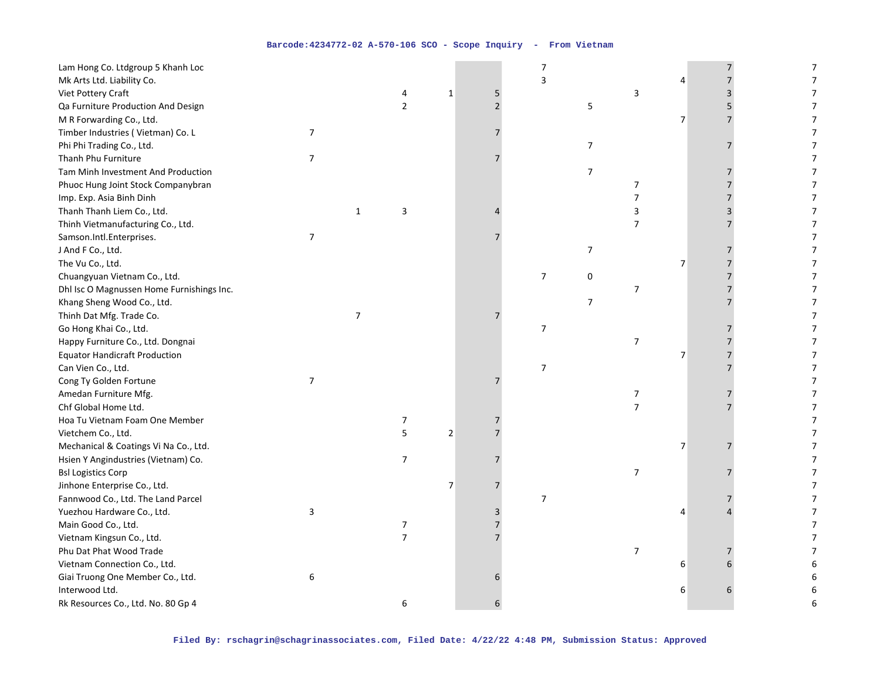| Lam Hong Co. Ltdgroup 5 Khanh Loc         |                |                |                |                |                | 7                |                |                  |                |   | 7              |
|-------------------------------------------|----------------|----------------|----------------|----------------|----------------|------------------|----------------|------------------|----------------|---|----------------|
| Mk Arts Ltd. Liability Co.                |                |                |                |                |                | 3                |                |                  | 4              |   | 7              |
| Viet Pottery Craft                        |                |                | 4              | $\mathbf 1$    | 5              |                  |                | 3                |                | 3 | $\overline{7}$ |
| Qa Furniture Production And Design        |                |                | $\overline{2}$ |                | $\overline{2}$ |                  | 5              |                  |                | 5 | $\overline{7}$ |
| M R Forwarding Co., Ltd.                  |                |                |                |                |                |                  |                |                  | 7              |   | 7              |
| Timber Industries (Vietman) Co. L         | $\overline{7}$ |                |                |                |                |                  |                |                  |                |   | $\overline{7}$ |
| Phi Phi Trading Co., Ltd.                 |                |                |                |                |                |                  | $\overline{7}$ |                  |                |   | $\overline{7}$ |
| Thanh Phu Furniture                       | $\overline{7}$ |                |                |                |                |                  |                |                  |                |   | $\overline{7}$ |
| Tam Minh Investment And Production        |                |                |                |                |                |                  | $\overline{7}$ |                  |                |   | $\overline{7}$ |
| Phuoc Hung Joint Stock Companybran        |                |                |                |                |                |                  |                | $\overline{7}$   |                |   | 7              |
| Imp. Exp. Asia Binh Dinh                  |                |                |                |                |                |                  |                | 7                |                |   | $\overline{7}$ |
| Thanh Thanh Liem Co., Ltd.                |                | $\mathbf{1}$   | 3              |                |                |                  |                | 3                |                | 3 | $\overline{7}$ |
| Thinh Vietmanufacturing Co., Ltd.         |                |                |                |                |                |                  |                | $\overline{7}$   |                |   | $\overline{7}$ |
| Samson.Intl.Enterprises.                  | $\overline{7}$ |                |                |                |                |                  |                |                  |                |   | $\overline{7}$ |
| J And F Co., Ltd.                         |                |                |                |                |                |                  | $\overline{7}$ |                  |                |   | 7              |
| The Vu Co., Ltd.                          |                |                |                |                |                |                  |                |                  | 7              |   | $\overline{7}$ |
| Chuangyuan Vietnam Co., Ltd.              |                |                |                |                |                | $\boldsymbol{7}$ | 0              |                  |                |   | 7              |
| Dhl Isc O Magnussen Home Furnishings Inc. |                |                |                |                |                |                  |                | $\boldsymbol{7}$ |                |   | $\overline{7}$ |
| Khang Sheng Wood Co., Ltd.                |                |                |                |                |                |                  | $\overline{7}$ |                  |                |   | 7              |
| Thinh Dat Mfg. Trade Co.                  |                | $\overline{7}$ |                |                | 7              |                  |                |                  |                |   | $\overline{7}$ |
| Go Hong Khai Co., Ltd.                    |                |                |                |                |                | 7                |                |                  |                |   | $\overline{7}$ |
| Happy Furniture Co., Ltd. Dongnai         |                |                |                |                |                |                  |                | $\overline{7}$   |                |   | $\overline{7}$ |
| <b>Equator Handicraft Production</b>      |                |                |                |                |                |                  |                |                  | 7              |   | 7              |
| Can Vien Co., Ltd.                        |                |                |                |                |                | $\overline{7}$   |                |                  |                |   | 7              |
| Cong Ty Golden Fortune                    | $\overline{7}$ |                |                |                |                |                  |                |                  |                |   | $\overline{7}$ |
| Amedan Furniture Mfg.                     |                |                |                |                |                |                  |                | $\boldsymbol{7}$ |                |   | $\overline{7}$ |
| Chf Global Home Ltd.                      |                |                |                |                |                |                  |                | $\overline{7}$   |                |   | 7              |
| Hoa Tu Vietnam Foam One Member            |                |                | 7              |                |                |                  |                |                  |                |   | 7              |
| Vietchem Co., Ltd.                        |                |                | 5              | $\overline{2}$ |                |                  |                |                  |                |   | $\overline{7}$ |
| Mechanical & Coatings Vi Na Co., Ltd.     |                |                |                |                |                |                  |                |                  | $\overline{7}$ |   | $\overline{7}$ |
| Hsien Y Angindustries (Vietnam) Co.       |                |                | 7              |                |                |                  |                |                  |                |   | $\overline{7}$ |
| <b>Bsl Logistics Corp</b>                 |                |                |                |                |                |                  |                | $\boldsymbol{7}$ |                |   | 7              |
| Jinhone Enterprise Co., Ltd.              |                |                |                | $\overline{7}$ | 7              |                  |                |                  |                |   | 7              |
| Fannwood Co., Ltd. The Land Parcel        |                |                |                |                |                | $\overline{7}$   |                |                  |                |   | 7              |
| Yuezhou Hardware Co., Ltd.                | 3              |                |                |                | 3              |                  |                |                  | 4              |   | 7              |
| Main Good Co., Ltd.                       |                |                | 7              |                | 7              |                  |                |                  |                |   | $\overline{7}$ |
| Vietnam Kingsun Co., Ltd.                 |                |                | $\overline{7}$ |                |                |                  |                |                  |                |   | 7              |
| Phu Dat Phat Wood Trade                   |                |                |                |                |                |                  |                | $\overline{7}$   |                |   | $\overline{7}$ |
| Vietnam Connection Co., Ltd.              |                |                |                |                |                |                  |                |                  | 6              |   |                |
| Giai Truong One Member Co., Ltd.          | 6              |                |                |                |                |                  |                |                  |                |   |                |
| Interwood Ltd.                            |                |                |                |                |                |                  |                |                  | 6              |   | 6              |
| Rk Resources Co., Ltd. No. 80 Gp 4        |                |                | 6              |                |                |                  |                |                  |                |   | 6              |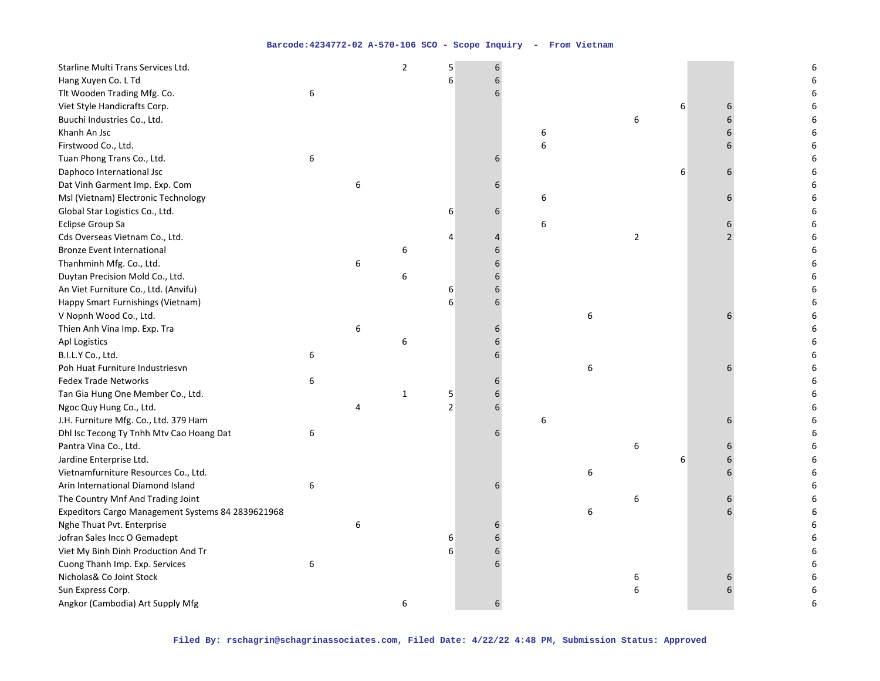| Starline Multi Trans Services Ltd.                |   |   | $\overline{2}$ | 5              | 6 |   |   |                |   |   | 6 |
|---------------------------------------------------|---|---|----------------|----------------|---|---|---|----------------|---|---|---|
| Hang Xuyen Co. L Td                               |   |   |                | 6              | 6 |   |   |                |   |   |   |
| Tlt Wooden Trading Mfg. Co.                       | 6 |   |                |                | 6 |   |   |                |   |   |   |
| Viet Style Handicrafts Corp.                      |   |   |                |                |   |   |   |                | 6 | 6 | 6 |
| Buuchi Industries Co., Ltd.                       |   |   |                |                |   |   |   | 6              |   | 6 | 6 |
| Khanh An Jsc                                      |   |   |                |                |   | 6 |   |                |   |   | 6 |
| Firstwood Co., Ltd.                               |   |   |                |                |   | 6 |   |                |   |   |   |
| Tuan Phong Trans Co., Ltd.                        | 6 |   |                |                | 6 |   |   |                |   |   | 6 |
| Daphoco International Jsc                         |   |   |                |                |   |   |   |                | 6 | 6 | 6 |
| Dat Vinh Garment Imp. Exp. Com                    |   | 6 |                |                | 6 |   |   |                |   |   | 6 |
| Msl (Vietnam) Electronic Technology               |   |   |                |                |   | 6 |   |                |   | 6 | 6 |
| Global Star Logistics Co., Ltd.                   |   |   |                | 6              | 6 |   |   |                |   |   | 6 |
| Eclipse Group Sa                                  |   |   |                |                |   | 6 |   |                |   | 6 | 6 |
| Cds Overseas Vietnam Co., Ltd.                    |   |   |                | 4              | 4 |   |   | $\overline{2}$ |   |   | 6 |
| <b>Bronze Event International</b>                 |   |   | 6              |                | 6 |   |   |                |   |   | 6 |
| Thanhminh Mfg. Co., Ltd.                          |   | 6 |                |                | 6 |   |   |                |   |   |   |
| Duytan Precision Mold Co., Ltd.                   |   |   | 6              |                | 6 |   |   |                |   |   |   |
| An Viet Furniture Co., Ltd. (Anvifu)              |   |   |                | 6              | 6 |   |   |                |   |   |   |
| Happy Smart Furnishings (Vietnam)                 |   |   |                | 6              | 6 |   |   |                |   |   | 6 |
| V Nopnh Wood Co., Ltd.                            |   |   |                |                |   |   | 6 |                |   | 6 | 6 |
| Thien Anh Vina Imp. Exp. Tra                      |   | 6 |                |                | 6 |   |   |                |   |   | 6 |
| Apl Logistics                                     |   |   | 6              |                |   |   |   |                |   |   |   |
| B.I.L.Y Co., Ltd.                                 | 6 |   |                |                | 6 |   |   |                |   |   |   |
| Poh Huat Furniture Industriesvn                   |   |   |                |                |   |   | 6 |                |   |   |   |
| <b>Fedex Trade Networks</b>                       | 6 |   |                |                | 6 |   |   |                |   |   |   |
| Tan Gia Hung One Member Co., Ltd.                 |   |   | 1              | 5              | 6 |   |   |                |   |   |   |
| Ngoc Quy Hung Co., Ltd.                           |   | 4 |                | $\overline{2}$ | 6 |   |   |                |   |   |   |
| J.H. Furniture Mfg. Co., Ltd. 379 Ham             |   |   |                |                |   | 6 |   |                |   | 6 | 6 |
| Dhl Isc Tecong Ty Tnhh Mtv Cao Hoang Dat          | 6 |   |                |                | 6 |   |   |                |   |   | 6 |
| Pantra Vina Co., Ltd.                             |   |   |                |                |   |   |   | 6              |   |   | 6 |
| Jardine Enterprise Ltd.                           |   |   |                |                |   |   |   |                | 6 |   | 6 |
| Vietnamfurniture Resources Co., Ltd.              |   |   |                |                |   |   | 6 |                |   | 6 | 6 |
| Arin International Diamond Island                 | 6 |   |                |                | 6 |   |   |                |   |   | 6 |
| The Country Mnf And Trading Joint                 |   |   |                |                |   |   |   | 6              |   |   | 6 |
| Expeditors Cargo Management Systems 84 2839621968 |   |   |                |                |   |   | 6 |                |   |   | 6 |
| Nghe Thuat Pvt. Enterprise                        |   | 6 |                |                | 6 |   |   |                |   |   | 6 |
| Jofran Sales Incc O Gemadept                      |   |   |                | 6              | 6 |   |   |                |   |   | 6 |
| Viet My Binh Dinh Production And Tr               |   |   |                | 6              | 6 |   |   |                |   |   | 6 |
| Cuong Thanh Imp. Exp. Services                    | 6 |   |                |                | 6 |   |   |                |   |   | 6 |
| Nicholas& Co Joint Stock                          |   |   |                |                |   |   |   | 6              |   |   | 6 |
| Sun Express Corp.                                 |   |   |                |                |   |   |   | 6              |   | 6 | 6 |
| Angkor (Cambodia) Art Supply Mfg                  |   |   | 6              |                | 6 |   |   |                |   |   | 6 |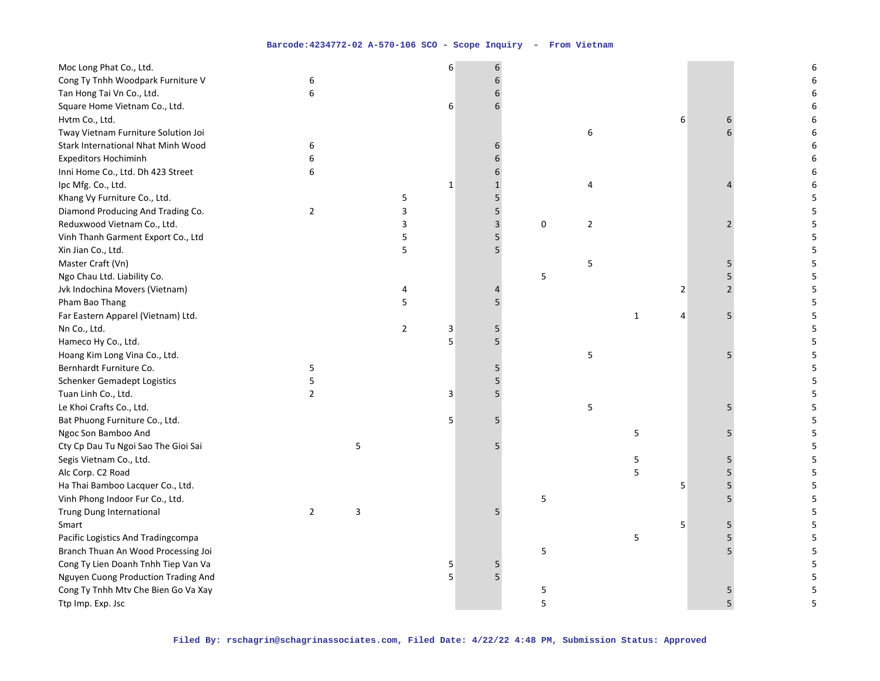| Moc Long Phat Co., Ltd.             |                |   |                | 6           | 6            |   |                |              |   |                | 6 |
|-------------------------------------|----------------|---|----------------|-------------|--------------|---|----------------|--------------|---|----------------|---|
| Cong Ty Tnhh Woodpark Furniture V   | 6              |   |                |             | 6            |   |                |              |   |                | 6 |
| Tan Hong Tai Vn Co., Ltd.           | 6              |   |                |             | 6            |   |                |              |   |                | 6 |
| Square Home Vietnam Co., Ltd.       |                |   |                | 6           | 6            |   |                |              |   |                | 6 |
| Hvtm Co., Ltd.                      |                |   |                |             |              |   |                |              | 6 | 6              | 6 |
| Tway Vietnam Furniture Solution Joi |                |   |                |             |              |   | 6              |              |   |                | 6 |
| Stark International Nhat Minh Wood  | 6              |   |                |             | 6            |   |                |              |   |                | 6 |
| <b>Expeditors Hochiminh</b>         | 6              |   |                |             | 6            |   |                |              |   |                | 6 |
| Inni Home Co., Ltd. Dh 423 Street   | 6              |   |                |             | 6            |   |                |              |   |                | 6 |
| Ipc Mfg. Co., Ltd.                  |                |   |                | $\mathbf 1$ | $\mathbf{1}$ |   | 4              |              |   |                | 6 |
| Khang Vy Furniture Co., Ltd.        |                |   | 5              |             | 5            |   |                |              |   |                | 5 |
| Diamond Producing And Trading Co.   | $\overline{2}$ |   | 3              |             | 5            |   |                |              |   |                | 5 |
| Reduxwood Vietnam Co., Ltd.         |                |   | 3              |             | 3            | 0 | $\overline{2}$ |              |   | $\mathfrak z$  | 5 |
| Vinh Thanh Garment Export Co., Ltd  |                |   | 5              |             | 5            |   |                |              |   |                | 5 |
| Xin Jian Co., Ltd.                  |                |   | 5              |             | 5            |   |                |              |   |                | 5 |
| Master Craft (Vn)                   |                |   |                |             |              |   | 5              |              |   | 5              | 5 |
| Ngo Chau Ltd. Liability Co.         |                |   |                |             |              | 5 |                |              |   | 5              | 5 |
| Jvk Indochina Movers (Vietnam)      |                |   | 4              |             | 4            |   |                |              | 2 | $\overline{2}$ | 5 |
| Pham Bao Thang                      |                |   | 5              |             | 5            |   |                |              |   |                | 5 |
| Far Eastern Apparel (Vietnam) Ltd.  |                |   |                |             |              |   |                | $\mathbf{1}$ | 4 | 5              | 5 |
| Nn Co., Ltd.                        |                |   | $\overline{2}$ | 3           | 5            |   |                |              |   |                | 5 |
| Hameco Hy Co., Ltd.                 |                |   |                | 5           | 5            |   |                |              |   |                | 5 |
| Hoang Kim Long Vina Co., Ltd.       |                |   |                |             |              |   | 5              |              |   | 5              | 5 |
| Bernhardt Furniture Co.             | 5              |   |                |             | 5            |   |                |              |   |                | 5 |
| <b>Schenker Gemadept Logistics</b>  | 5              |   |                |             | 5            |   |                |              |   |                | 5 |
| Tuan Linh Co., Ltd.                 | $\overline{2}$ |   |                | 3           | 5            |   |                |              |   |                | 5 |
| Le Khoi Crafts Co., Ltd.            |                |   |                |             |              |   | 5              |              |   | 5              | 5 |
| Bat Phuong Furniture Co., Ltd.      |                |   |                | 5           | 5            |   |                |              |   |                | 5 |
| Ngoc Son Bamboo And                 |                |   |                |             |              |   |                | 5            |   | 5              | 5 |
| Cty Cp Dau Tu Ngoi Sao The Gioi Sai |                | 5 |                |             | 5            |   |                |              |   |                | 5 |
| Segis Vietnam Co., Ltd.             |                |   |                |             |              |   |                | 5            |   | 5              | 5 |
| Alc Corp. C2 Road                   |                |   |                |             |              |   |                | 5            |   | 5              | 5 |
| Ha Thai Bamboo Lacquer Co., Ltd.    |                |   |                |             |              |   |                |              | 5 | 5              | 5 |
| Vinh Phong Indoor Fur Co., Ltd.     |                |   |                |             |              | 5 |                |              |   | 5              | 5 |
| Trung Dung International            | $\overline{2}$ | 3 |                |             | 5            |   |                |              |   |                | 5 |
| Smart                               |                |   |                |             |              |   |                |              | 5 | 5              | 5 |
| Pacific Logistics And Tradingcompa  |                |   |                |             |              |   |                | 5            |   | 5              | 5 |
| Branch Thuan An Wood Processing Joi |                |   |                |             |              | 5 |                |              |   |                | 5 |
| Cong Ty Lien Doanh Tnhh Tiep Van Va |                |   |                | 5           | 5            |   |                |              |   |                | 5 |
| Nguyen Cuong Production Trading And |                |   |                | 5           | 5            |   |                |              |   |                | 5 |
| Cong Ty Tnhh Mtv Che Bien Go Va Xay |                |   |                |             |              | 5 |                |              |   | 5              | 5 |
| Ttp Imp. Exp. Jsc                   |                |   |                |             |              | 5 |                |              |   | 5              | 5 |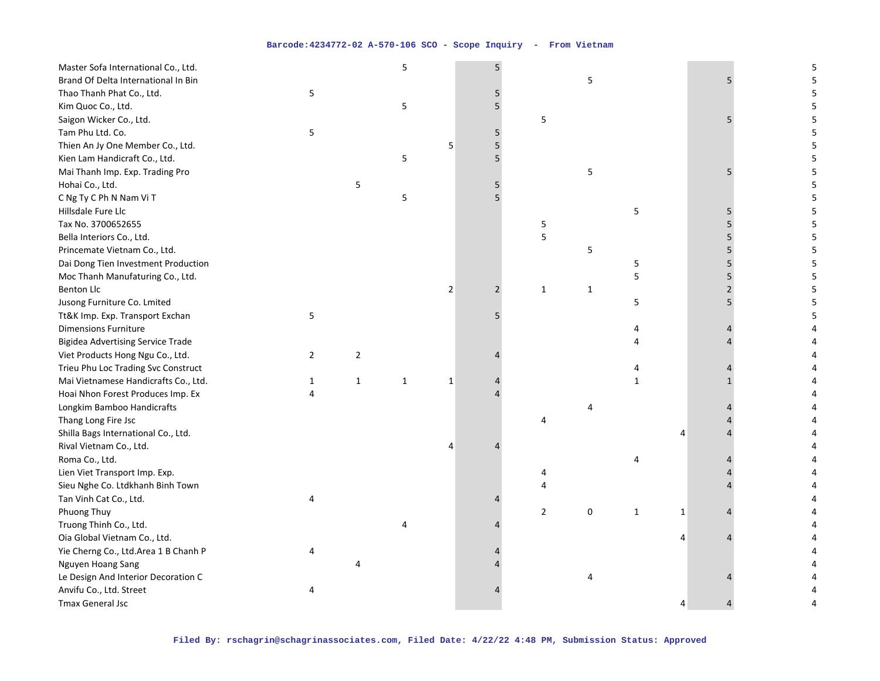| Master Sofa International Co., Ltd.      |                |                | 5            |                | 5              |                |              |              |   |   | 5 |
|------------------------------------------|----------------|----------------|--------------|----------------|----------------|----------------|--------------|--------------|---|---|---|
| Brand Of Delta International In Bin      |                |                |              |                |                |                | 5            |              |   | 5 |   |
| Thao Thanh Phat Co., Ltd.                | 5              |                |              |                |                |                |              |              |   |   |   |
| Kim Quoc Co., Ltd.                       |                |                | 5            |                | 5              |                |              |              |   |   |   |
| Saigon Wicker Co., Ltd.                  |                |                |              |                |                | 5              |              |              |   |   |   |
| Tam Phu Ltd. Co.                         | 5              |                |              |                | 5              |                |              |              |   |   |   |
| Thien An Jy One Member Co., Ltd.         |                |                |              | 5              | 5              |                |              |              |   |   |   |
| Kien Lam Handicraft Co., Ltd.            |                |                | 5            |                | 5              |                |              |              |   |   |   |
| Mai Thanh Imp. Exp. Trading Pro          |                |                |              |                |                |                | 5            |              |   | 5 | 5 |
| Hohai Co., Ltd.                          |                | 5              |              |                | 5              |                |              |              |   |   | 5 |
| C Ng Ty C Ph N Nam Vi T                  |                |                | 5            |                |                |                |              |              |   |   |   |
| Hillsdale Fure Llc                       |                |                |              |                |                |                |              | 5            |   | 5 |   |
| Tax No. 3700652655                       |                |                |              |                |                | 5              |              |              |   | 5 | 5 |
| Bella Interiors Co., Ltd.                |                |                |              |                |                | 5              |              |              |   | 5 | 5 |
| Princemate Vietnam Co., Ltd.             |                |                |              |                |                |                | 5            |              |   |   |   |
| Dai Dong Tien Investment Production      |                |                |              |                |                |                |              | 5            |   |   |   |
| Moc Thanh Manufaturing Co., Ltd.         |                |                |              |                |                |                |              | 5            |   | 5 | 5 |
| <b>Benton Llc</b>                        |                |                |              | $\overline{2}$ | $\overline{2}$ | $\mathbf{1}$   | $\mathbf{1}$ |              |   |   | 5 |
| Jusong Furniture Co. Lmited              |                |                |              |                |                |                |              | 5            |   |   |   |
| Tt&K Imp. Exp. Transport Exchan          | 5              |                |              |                | 5              |                |              |              |   |   |   |
| <b>Dimensions Furniture</b>              |                |                |              |                |                |                |              | Δ            |   |   |   |
| <b>Bigidea Advertising Service Trade</b> |                |                |              |                |                |                |              |              |   |   |   |
| Viet Products Hong Ngu Co., Ltd.         | $\overline{2}$ | $\overline{2}$ |              |                |                |                |              |              |   |   |   |
| Trieu Phu Loc Trading Svc Construct      |                |                |              |                |                |                |              |              |   |   |   |
| Mai Vietnamese Handicrafts Co., Ltd.     | $\mathbf{1}$   | $\mathbf{1}$   | $\mathbf{1}$ | $\mathbf{1}$   |                |                |              | $\mathbf{1}$ |   |   |   |
| Hoai Nhon Forest Produces Imp. Ex        | 4              |                |              |                |                |                |              |              |   |   |   |
| Longkim Bamboo Handicrafts               |                |                |              |                |                |                | 4            |              |   |   |   |
| Thang Long Fire Jsc                      |                |                |              |                |                | 4              |              |              |   |   |   |
| Shilla Bags International Co., Ltd.      |                |                |              |                |                |                |              |              | 4 |   |   |
| Rival Vietnam Co., Ltd.                  |                |                |              |                |                |                |              |              |   |   |   |
| Roma Co., Ltd.                           |                |                |              |                |                |                |              | 4            |   |   |   |
| Lien Viet Transport Imp. Exp.            |                |                |              |                |                | 4              |              |              |   |   |   |
| Sieu Nghe Co. Ltdkhanh Binh Town         |                |                |              |                |                | 4              |              |              |   |   |   |
| Tan Vinh Cat Co., Ltd.                   | 4              |                |              |                |                |                |              |              |   |   |   |
| Phuong Thuy                              |                |                |              |                |                | $\overline{2}$ | 0            | 1            | 1 |   |   |
| Truong Thinh Co., Ltd.                   |                |                |              |                |                |                |              |              |   |   |   |
| Oia Global Vietnam Co., Ltd.             |                |                |              |                |                |                |              |              | 4 |   |   |
| Yie Cherng Co., Ltd.Area 1 B Chanh P     | 4              |                |              |                |                |                |              |              |   |   |   |
| Nguyen Hoang Sang                        |                | 4              |              |                |                |                |              |              |   |   |   |
| Le Design And Interior Decoration C      |                |                |              |                |                |                | 4            |              |   |   |   |
| Anvifu Co., Ltd. Street                  | 4              |                |              |                |                |                |              |              |   |   |   |
| <b>Tmax General Jsc</b>                  |                |                |              |                |                |                |              |              | 4 |   |   |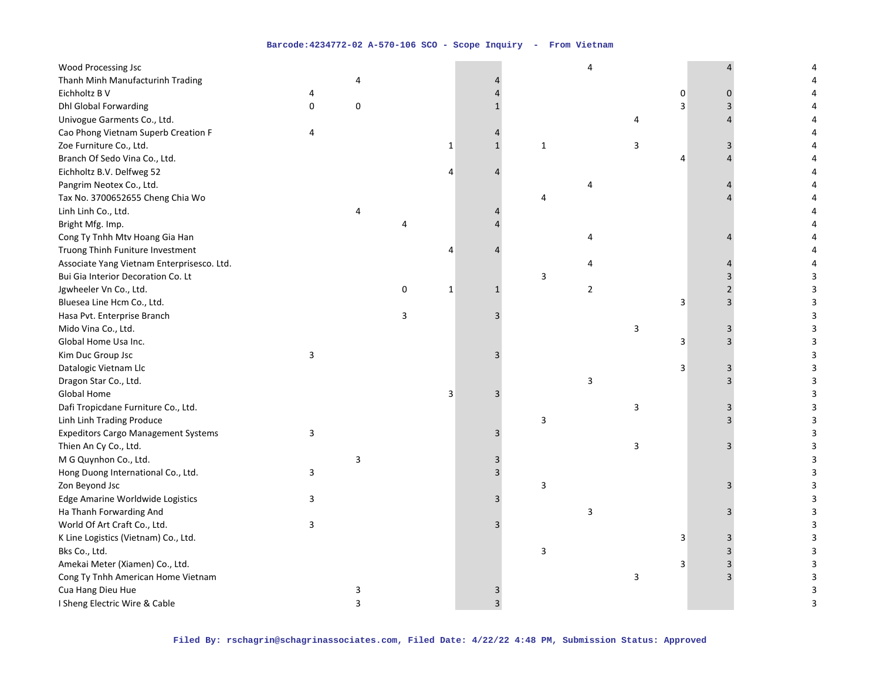| Thanh Minh Manufacturinh Trading<br>4<br>Eichholtz B V<br>0<br>4<br>0<br>Dhl Global Forwarding<br>0<br>0<br>3<br>3<br>4<br>Univogue Garments Co., Ltd.<br>4<br>Cao Phong Vietnam Superb Creation F<br>4<br>Zoe Furniture Co., Ltd.<br>$\mathbf 1$<br>$\mathbf 1$<br>$\mathbf{1}$<br>3<br>3<br>Branch Of Sedo Vina Co., Ltd.<br>4<br>Eichholtz B.V. Delfweg 52<br>4<br>Δ<br>Pangrim Neotex Co., Ltd.<br>4<br>Tax No. 3700652655 Cheng Chia Wo<br>4<br>Linh Linh Co., Ltd.<br>4<br>Bright Mfg. Imp.<br>4<br>Cong Ty Tnhh Mtv Hoang Gia Han<br>4<br>Truong Thinh Funiture Investment<br>4<br>Associate Yang Vietnam Enterprisesco. Ltd.<br>4<br>Bui Gia Interior Decoration Co. Lt<br>3<br>3<br>$\mathbf 1$<br>$\overline{2}$<br>Jgwheeler Vn Co., Ltd.<br>0<br>$\mathbf{1}$<br>$\overline{2}$<br>3<br>Bluesea Line Hcm Co., Ltd.<br>3<br>3<br>3<br>Hasa Pvt. Enterprise Branch<br>3<br>3<br>3<br>Mido Vina Co., Ltd.<br>3<br>3<br>3<br>Global Home Usa Inc.<br>3<br>3<br>3<br>3<br>Kim Duc Group Jsc<br>3<br>3<br>Datalogic Vietnam Llc<br>3<br>3<br>Dragon Star Co., Ltd.<br>3<br>3<br>Global Home<br>3<br>3<br>3<br>Dafi Tropicdane Furniture Co., Ltd.<br>3<br>3<br>3<br>3<br>Linh Linh Trading Produce<br>3<br><b>Expeditors Cargo Management Systems</b><br>3<br>3<br>3<br>Thien An Cy Co., Ltd.<br>3<br>3<br>3<br>M G Quynhon Co., Ltd.<br>3<br>3<br>3<br>Hong Duong International Co., Ltd.<br>3<br>3<br>3<br>Zon Beyond Jsc<br>Edge Amarine Worldwide Logistics<br>3<br>3<br>Ha Thanh Forwarding And<br>3<br>3<br>World Of Art Craft Co., Ltd.<br>3<br>3<br>3<br>K Line Logistics (Vietnam) Co., Ltd.<br>3<br>3<br>3<br>3<br>Bks Co., Ltd.<br>3<br>3<br>Amekai Meter (Xiamen) Co., Ltd.<br>$\overline{3}$<br>3<br>3<br>3<br>Cong Ty Tnhh American Home Vietnam<br>3<br>3<br>Cua Hang Dieu Hue<br>3<br>3<br>3 | <b>Wood Processing Jsc</b> |  |  |  | 4 |  |  |
|--------------------------------------------------------------------------------------------------------------------------------------------------------------------------------------------------------------------------------------------------------------------------------------------------------------------------------------------------------------------------------------------------------------------------------------------------------------------------------------------------------------------------------------------------------------------------------------------------------------------------------------------------------------------------------------------------------------------------------------------------------------------------------------------------------------------------------------------------------------------------------------------------------------------------------------------------------------------------------------------------------------------------------------------------------------------------------------------------------------------------------------------------------------------------------------------------------------------------------------------------------------------------------------------------------------------------------------------------------------------------------------------------------------------------------------------------------------------------------------------------------------------------------------------------------------------------------------------------------------------------------------------------------------------------------------------------------------------------------------------------------------------------------------------------------------------|----------------------------|--|--|--|---|--|--|
|                                                                                                                                                                                                                                                                                                                                                                                                                                                                                                                                                                                                                                                                                                                                                                                                                                                                                                                                                                                                                                                                                                                                                                                                                                                                                                                                                                                                                                                                                                                                                                                                                                                                                                                                                                                                                    |                            |  |  |  |   |  |  |
|                                                                                                                                                                                                                                                                                                                                                                                                                                                                                                                                                                                                                                                                                                                                                                                                                                                                                                                                                                                                                                                                                                                                                                                                                                                                                                                                                                                                                                                                                                                                                                                                                                                                                                                                                                                                                    |                            |  |  |  |   |  |  |
|                                                                                                                                                                                                                                                                                                                                                                                                                                                                                                                                                                                                                                                                                                                                                                                                                                                                                                                                                                                                                                                                                                                                                                                                                                                                                                                                                                                                                                                                                                                                                                                                                                                                                                                                                                                                                    |                            |  |  |  |   |  |  |
|                                                                                                                                                                                                                                                                                                                                                                                                                                                                                                                                                                                                                                                                                                                                                                                                                                                                                                                                                                                                                                                                                                                                                                                                                                                                                                                                                                                                                                                                                                                                                                                                                                                                                                                                                                                                                    |                            |  |  |  |   |  |  |
|                                                                                                                                                                                                                                                                                                                                                                                                                                                                                                                                                                                                                                                                                                                                                                                                                                                                                                                                                                                                                                                                                                                                                                                                                                                                                                                                                                                                                                                                                                                                                                                                                                                                                                                                                                                                                    |                            |  |  |  |   |  |  |
|                                                                                                                                                                                                                                                                                                                                                                                                                                                                                                                                                                                                                                                                                                                                                                                                                                                                                                                                                                                                                                                                                                                                                                                                                                                                                                                                                                                                                                                                                                                                                                                                                                                                                                                                                                                                                    |                            |  |  |  |   |  |  |
|                                                                                                                                                                                                                                                                                                                                                                                                                                                                                                                                                                                                                                                                                                                                                                                                                                                                                                                                                                                                                                                                                                                                                                                                                                                                                                                                                                                                                                                                                                                                                                                                                                                                                                                                                                                                                    |                            |  |  |  |   |  |  |
|                                                                                                                                                                                                                                                                                                                                                                                                                                                                                                                                                                                                                                                                                                                                                                                                                                                                                                                                                                                                                                                                                                                                                                                                                                                                                                                                                                                                                                                                                                                                                                                                                                                                                                                                                                                                                    |                            |  |  |  |   |  |  |
|                                                                                                                                                                                                                                                                                                                                                                                                                                                                                                                                                                                                                                                                                                                                                                                                                                                                                                                                                                                                                                                                                                                                                                                                                                                                                                                                                                                                                                                                                                                                                                                                                                                                                                                                                                                                                    |                            |  |  |  |   |  |  |
|                                                                                                                                                                                                                                                                                                                                                                                                                                                                                                                                                                                                                                                                                                                                                                                                                                                                                                                                                                                                                                                                                                                                                                                                                                                                                                                                                                                                                                                                                                                                                                                                                                                                                                                                                                                                                    |                            |  |  |  |   |  |  |
|                                                                                                                                                                                                                                                                                                                                                                                                                                                                                                                                                                                                                                                                                                                                                                                                                                                                                                                                                                                                                                                                                                                                                                                                                                                                                                                                                                                                                                                                                                                                                                                                                                                                                                                                                                                                                    |                            |  |  |  |   |  |  |
|                                                                                                                                                                                                                                                                                                                                                                                                                                                                                                                                                                                                                                                                                                                                                                                                                                                                                                                                                                                                                                                                                                                                                                                                                                                                                                                                                                                                                                                                                                                                                                                                                                                                                                                                                                                                                    |                            |  |  |  |   |  |  |
|                                                                                                                                                                                                                                                                                                                                                                                                                                                                                                                                                                                                                                                                                                                                                                                                                                                                                                                                                                                                                                                                                                                                                                                                                                                                                                                                                                                                                                                                                                                                                                                                                                                                                                                                                                                                                    |                            |  |  |  |   |  |  |
|                                                                                                                                                                                                                                                                                                                                                                                                                                                                                                                                                                                                                                                                                                                                                                                                                                                                                                                                                                                                                                                                                                                                                                                                                                                                                                                                                                                                                                                                                                                                                                                                                                                                                                                                                                                                                    |                            |  |  |  |   |  |  |
|                                                                                                                                                                                                                                                                                                                                                                                                                                                                                                                                                                                                                                                                                                                                                                                                                                                                                                                                                                                                                                                                                                                                                                                                                                                                                                                                                                                                                                                                                                                                                                                                                                                                                                                                                                                                                    |                            |  |  |  |   |  |  |
|                                                                                                                                                                                                                                                                                                                                                                                                                                                                                                                                                                                                                                                                                                                                                                                                                                                                                                                                                                                                                                                                                                                                                                                                                                                                                                                                                                                                                                                                                                                                                                                                                                                                                                                                                                                                                    |                            |  |  |  |   |  |  |
|                                                                                                                                                                                                                                                                                                                                                                                                                                                                                                                                                                                                                                                                                                                                                                                                                                                                                                                                                                                                                                                                                                                                                                                                                                                                                                                                                                                                                                                                                                                                                                                                                                                                                                                                                                                                                    |                            |  |  |  |   |  |  |
|                                                                                                                                                                                                                                                                                                                                                                                                                                                                                                                                                                                                                                                                                                                                                                                                                                                                                                                                                                                                                                                                                                                                                                                                                                                                                                                                                                                                                                                                                                                                                                                                                                                                                                                                                                                                                    |                            |  |  |  |   |  |  |
|                                                                                                                                                                                                                                                                                                                                                                                                                                                                                                                                                                                                                                                                                                                                                                                                                                                                                                                                                                                                                                                                                                                                                                                                                                                                                                                                                                                                                                                                                                                                                                                                                                                                                                                                                                                                                    |                            |  |  |  |   |  |  |
|                                                                                                                                                                                                                                                                                                                                                                                                                                                                                                                                                                                                                                                                                                                                                                                                                                                                                                                                                                                                                                                                                                                                                                                                                                                                                                                                                                                                                                                                                                                                                                                                                                                                                                                                                                                                                    |                            |  |  |  |   |  |  |
|                                                                                                                                                                                                                                                                                                                                                                                                                                                                                                                                                                                                                                                                                                                                                                                                                                                                                                                                                                                                                                                                                                                                                                                                                                                                                                                                                                                                                                                                                                                                                                                                                                                                                                                                                                                                                    |                            |  |  |  |   |  |  |
|                                                                                                                                                                                                                                                                                                                                                                                                                                                                                                                                                                                                                                                                                                                                                                                                                                                                                                                                                                                                                                                                                                                                                                                                                                                                                                                                                                                                                                                                                                                                                                                                                                                                                                                                                                                                                    |                            |  |  |  |   |  |  |
|                                                                                                                                                                                                                                                                                                                                                                                                                                                                                                                                                                                                                                                                                                                                                                                                                                                                                                                                                                                                                                                                                                                                                                                                                                                                                                                                                                                                                                                                                                                                                                                                                                                                                                                                                                                                                    |                            |  |  |  |   |  |  |
|                                                                                                                                                                                                                                                                                                                                                                                                                                                                                                                                                                                                                                                                                                                                                                                                                                                                                                                                                                                                                                                                                                                                                                                                                                                                                                                                                                                                                                                                                                                                                                                                                                                                                                                                                                                                                    |                            |  |  |  |   |  |  |
|                                                                                                                                                                                                                                                                                                                                                                                                                                                                                                                                                                                                                                                                                                                                                                                                                                                                                                                                                                                                                                                                                                                                                                                                                                                                                                                                                                                                                                                                                                                                                                                                                                                                                                                                                                                                                    |                            |  |  |  |   |  |  |
|                                                                                                                                                                                                                                                                                                                                                                                                                                                                                                                                                                                                                                                                                                                                                                                                                                                                                                                                                                                                                                                                                                                                                                                                                                                                                                                                                                                                                                                                                                                                                                                                                                                                                                                                                                                                                    |                            |  |  |  |   |  |  |
|                                                                                                                                                                                                                                                                                                                                                                                                                                                                                                                                                                                                                                                                                                                                                                                                                                                                                                                                                                                                                                                                                                                                                                                                                                                                                                                                                                                                                                                                                                                                                                                                                                                                                                                                                                                                                    |                            |  |  |  |   |  |  |
|                                                                                                                                                                                                                                                                                                                                                                                                                                                                                                                                                                                                                                                                                                                                                                                                                                                                                                                                                                                                                                                                                                                                                                                                                                                                                                                                                                                                                                                                                                                                                                                                                                                                                                                                                                                                                    |                            |  |  |  |   |  |  |
|                                                                                                                                                                                                                                                                                                                                                                                                                                                                                                                                                                                                                                                                                                                                                                                                                                                                                                                                                                                                                                                                                                                                                                                                                                                                                                                                                                                                                                                                                                                                                                                                                                                                                                                                                                                                                    |                            |  |  |  |   |  |  |
|                                                                                                                                                                                                                                                                                                                                                                                                                                                                                                                                                                                                                                                                                                                                                                                                                                                                                                                                                                                                                                                                                                                                                                                                                                                                                                                                                                                                                                                                                                                                                                                                                                                                                                                                                                                                                    |                            |  |  |  |   |  |  |
|                                                                                                                                                                                                                                                                                                                                                                                                                                                                                                                                                                                                                                                                                                                                                                                                                                                                                                                                                                                                                                                                                                                                                                                                                                                                                                                                                                                                                                                                                                                                                                                                                                                                                                                                                                                                                    |                            |  |  |  |   |  |  |
|                                                                                                                                                                                                                                                                                                                                                                                                                                                                                                                                                                                                                                                                                                                                                                                                                                                                                                                                                                                                                                                                                                                                                                                                                                                                                                                                                                                                                                                                                                                                                                                                                                                                                                                                                                                                                    |                            |  |  |  |   |  |  |
|                                                                                                                                                                                                                                                                                                                                                                                                                                                                                                                                                                                                                                                                                                                                                                                                                                                                                                                                                                                                                                                                                                                                                                                                                                                                                                                                                                                                                                                                                                                                                                                                                                                                                                                                                                                                                    |                            |  |  |  |   |  |  |
|                                                                                                                                                                                                                                                                                                                                                                                                                                                                                                                                                                                                                                                                                                                                                                                                                                                                                                                                                                                                                                                                                                                                                                                                                                                                                                                                                                                                                                                                                                                                                                                                                                                                                                                                                                                                                    |                            |  |  |  |   |  |  |
|                                                                                                                                                                                                                                                                                                                                                                                                                                                                                                                                                                                                                                                                                                                                                                                                                                                                                                                                                                                                                                                                                                                                                                                                                                                                                                                                                                                                                                                                                                                                                                                                                                                                                                                                                                                                                    |                            |  |  |  |   |  |  |
|                                                                                                                                                                                                                                                                                                                                                                                                                                                                                                                                                                                                                                                                                                                                                                                                                                                                                                                                                                                                                                                                                                                                                                                                                                                                                                                                                                                                                                                                                                                                                                                                                                                                                                                                                                                                                    |                            |  |  |  |   |  |  |
|                                                                                                                                                                                                                                                                                                                                                                                                                                                                                                                                                                                                                                                                                                                                                                                                                                                                                                                                                                                                                                                                                                                                                                                                                                                                                                                                                                                                                                                                                                                                                                                                                                                                                                                                                                                                                    |                            |  |  |  |   |  |  |
|                                                                                                                                                                                                                                                                                                                                                                                                                                                                                                                                                                                                                                                                                                                                                                                                                                                                                                                                                                                                                                                                                                                                                                                                                                                                                                                                                                                                                                                                                                                                                                                                                                                                                                                                                                                                                    |                            |  |  |  |   |  |  |
|                                                                                                                                                                                                                                                                                                                                                                                                                                                                                                                                                                                                                                                                                                                                                                                                                                                                                                                                                                                                                                                                                                                                                                                                                                                                                                                                                                                                                                                                                                                                                                                                                                                                                                                                                                                                                    |                            |  |  |  |   |  |  |
|                                                                                                                                                                                                                                                                                                                                                                                                                                                                                                                                                                                                                                                                                                                                                                                                                                                                                                                                                                                                                                                                                                                                                                                                                                                                                                                                                                                                                                                                                                                                                                                                                                                                                                                                                                                                                    |                            |  |  |  |   |  |  |
| $\overline{3}$<br>3<br>I Sheng Electric Wire & Cable<br>3                                                                                                                                                                                                                                                                                                                                                                                                                                                                                                                                                                                                                                                                                                                                                                                                                                                                                                                                                                                                                                                                                                                                                                                                                                                                                                                                                                                                                                                                                                                                                                                                                                                                                                                                                          |                            |  |  |  |   |  |  |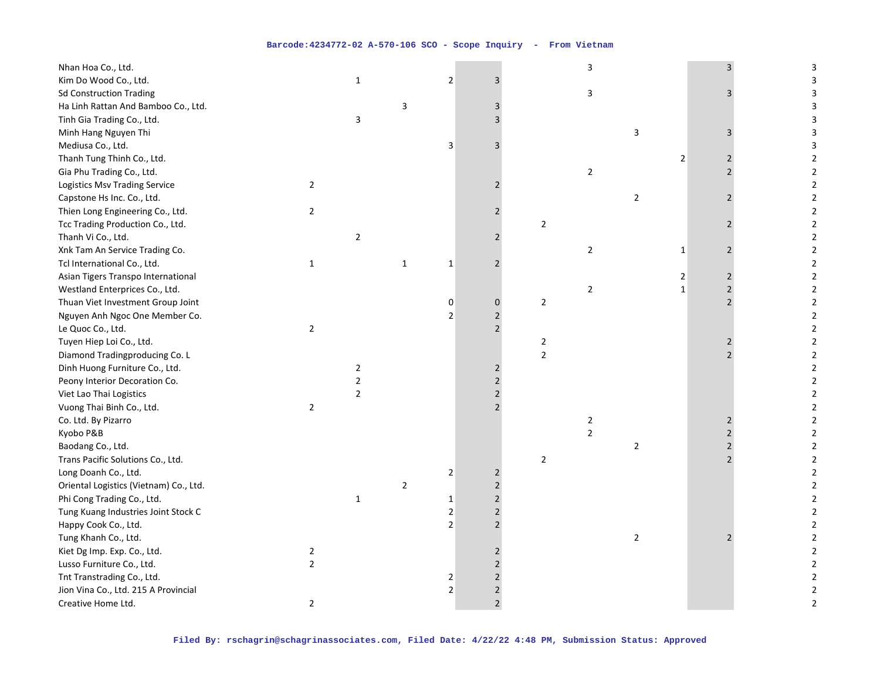| Nhan Hoa Co., Ltd.                     |                |                |                |                |                |                | 3              |                           |                | 3              | 3                       |
|----------------------------------------|----------------|----------------|----------------|----------------|----------------|----------------|----------------|---------------------------|----------------|----------------|-------------------------|
| Kim Do Wood Co., Ltd.                  |                | $\mathbf{1}$   |                | $\mathbf 2$    | 3              |                |                |                           |                |                |                         |
| <b>Sd Construction Trading</b>         |                |                |                |                |                |                | 3              |                           |                | 3              |                         |
| Ha Linh Rattan And Bamboo Co., Ltd.    |                |                | 3              |                | 3              |                |                |                           |                |                | 3                       |
| Tinh Gia Trading Co., Ltd.             |                | $\mathsf{3}$   |                |                | 3              |                |                |                           |                |                | 3                       |
| Minh Hang Nguyen Thi                   |                |                |                |                |                |                |                | $\ensuremath{\mathsf{3}}$ |                | 3              | 3                       |
| Mediusa Co., Ltd.                      |                |                |                | 3              | $\overline{3}$ |                |                |                           |                |                | 3                       |
| Thanh Tung Thinh Co., Ltd.             |                |                |                |                |                |                |                |                           | $\overline{2}$ | 2              | 2                       |
| Gia Phu Trading Co., Ltd.              |                |                |                |                |                |                | $\overline{c}$ |                           |                | $\mathfrak{p}$ | $\mathbf 2$             |
| <b>Logistics Msv Trading Service</b>   | $\overline{2}$ |                |                |                | $\overline{2}$ |                |                |                           |                |                | $\mathbf 2$             |
| Capstone Hs Inc. Co., Ltd.             |                |                |                |                |                |                |                | $\overline{2}$            |                | $\overline{2}$ | $\mathbf 2$             |
| Thien Long Engineering Co., Ltd.       | $\overline{2}$ |                |                |                | $\overline{2}$ |                |                |                           |                |                | $\mathbf 2$             |
| Tcc Trading Production Co., Ltd.       |                |                |                |                |                | $\sqrt{2}$     |                |                           |                | 2              | $\mathbf 2$             |
| Thanh Vi Co., Ltd.                     |                | $\overline{2}$ |                |                | $\overline{2}$ |                |                |                           |                |                | $\mathbf 2$             |
| Xnk Tam An Service Trading Co.         |                |                |                |                |                |                | $\overline{c}$ |                           | $\mathbf{1}$   |                | $\overline{\mathbf{c}}$ |
| Tcl International Co., Ltd.            | $\mathbf{1}$   |                | $\mathbf{1}$   | $\mathbf 1$    | $\overline{2}$ |                |                |                           |                |                | $\overline{2}$          |
| Asian Tigers Transpo International     |                |                |                |                |                |                |                |                           | 2              | $\overline{2}$ | $\overline{2}$          |
| Westland Enterprices Co., Ltd.         |                |                |                |                |                |                | $\overline{c}$ |                           | $\mathbf{1}$   | $\overline{2}$ | $\overline{2}$          |
| Thuan Viet Investment Group Joint      |                |                |                | $\mathbf 0$    | $\pmb{0}$      | $\mathbf 2$    |                |                           |                |                | $\sqrt{2}$              |
| Nguyen Anh Ngoc One Member Co.         |                |                |                | $\overline{2}$ | $\mathbf 2$    |                |                |                           |                |                | $\mathbf 2$             |
| Le Quoc Co., Ltd.                      | $\overline{2}$ |                |                |                | $\overline{2}$ |                |                |                           |                |                | $\overline{2}$          |
| Tuyen Hiep Loi Co., Ltd.               |                |                |                |                |                | $\overline{2}$ |                |                           |                | 2              | $\overline{2}$          |
| Diamond Tradingproducing Co. L         |                |                |                |                |                | $\overline{2}$ |                |                           |                |                | $\mathbf 2$             |
| Dinh Huong Furniture Co., Ltd.         |                | $\overline{2}$ |                |                | $\overline{2}$ |                |                |                           |                |                | $\mathbf 2$             |
| Peony Interior Decoration Co.          |                | $\overline{2}$ |                |                | $\overline{2}$ |                |                |                           |                |                | $\overline{2}$          |
| Viet Lao Thai Logistics                |                | $\overline{2}$ |                |                | $\overline{2}$ |                |                |                           |                |                | $\overline{2}$          |
| Vuong Thai Binh Co., Ltd.              | $\overline{2}$ |                |                |                | $\overline{2}$ |                |                |                           |                |                | $\overline{2}$          |
| Co. Ltd. By Pizarro                    |                |                |                |                |                |                | $\overline{2}$ |                           |                | 2              | $\mathbf 2$             |
| Kyobo P&B                              |                |                |                |                |                |                | $\overline{2}$ |                           |                |                | $\mathbf 2$             |
| Baodang Co., Ltd.                      |                |                |                |                |                |                |                | $\overline{2}$            |                |                | $\mathbf 2$             |
| Trans Pacific Solutions Co., Ltd.      |                |                |                |                |                | $\sqrt{2}$     |                |                           |                |                | $\overline{2}$          |
| Long Doanh Co., Ltd.                   |                |                |                | $\sqrt{2}$     | $\overline{2}$ |                |                |                           |                |                | $\sqrt{2}$              |
| Oriental Logistics (Vietnam) Co., Ltd. |                |                | $\overline{2}$ |                | $\overline{2}$ |                |                |                           |                |                | $\sqrt{2}$              |
| Phi Cong Trading Co., Ltd.             |                | $\mathbf{1}$   |                | $\mathbf{1}$   | $\overline{2}$ |                |                |                           |                |                | $\overline{2}$          |
| Tung Kuang Industries Joint Stock C    |                |                |                | $\overline{2}$ | $\overline{2}$ |                |                |                           |                |                | $\overline{2}$          |
| Happy Cook Co., Ltd.                   |                |                |                | $\overline{2}$ | $\overline{2}$ |                |                |                           |                |                | $\overline{2}$          |
| Tung Khanh Co., Ltd.                   |                |                |                |                |                |                |                | $\overline{2}$            |                |                | $\mathbf 2$             |
| Kiet Dg Imp. Exp. Co., Ltd.            | $\overline{2}$ |                |                |                | $\overline{2}$ |                |                |                           |                |                | $\mathbf 2$             |
| Lusso Furniture Co., Ltd.              | $\overline{2}$ |                |                |                | $\overline{2}$ |                |                |                           |                |                | $\sqrt{2}$              |
| Tnt Transtrading Co., Ltd.             |                |                |                | $\overline{2}$ | $\overline{2}$ |                |                |                           |                |                | $\overline{2}$          |
| Jion Vina Co., Ltd. 215 A Provincial   |                |                |                | $\sqrt{2}$     | $\overline{2}$ |                |                |                           |                |                | $\sqrt{2}$              |
| Creative Home Ltd.                     | $\overline{2}$ |                |                |                | $\overline{2}$ |                |                |                           |                |                | $\overline{2}$          |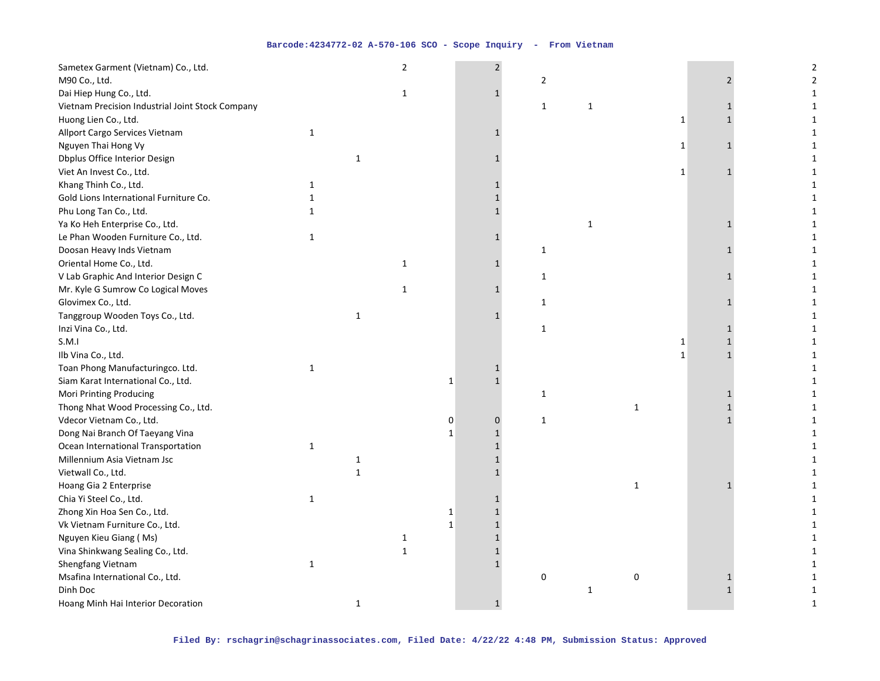| Sametex Garment (Vietnam) Co., Ltd.              |              |              | $\overline{2}$ |              | $\overline{2}$ |                |              |              |                              | 2              |
|--------------------------------------------------|--------------|--------------|----------------|--------------|----------------|----------------|--------------|--------------|------------------------------|----------------|
| M90 Co., Ltd.                                    |              |              |                |              |                | $\overline{2}$ |              |              | $\overline{2}$               | $\overline{2}$ |
| Dai Hiep Hung Co., Ltd.                          |              |              | 1              |              | $\mathbf{1}$   |                |              |              |                              | 1              |
| Vietnam Precision Industrial Joint Stock Company |              |              |                |              |                | $\mathbf{1}$   | $\mathbf{1}$ |              |                              | 1              |
| Huong Lien Co., Ltd.                             |              |              |                |              |                |                |              |              | 1<br>$\mathbf{1}$            | 1              |
| Allport Cargo Services Vietnam                   | $\mathbf{1}$ |              |                |              |                |                |              |              |                              | 1              |
| Nguyen Thai Hong Vy                              |              |              |                |              |                |                |              |              | $\mathbf{1}$<br>$\mathbf{1}$ | 1              |
| <b>Dbplus Office Interior Design</b>             |              | $\mathbf{1}$ |                |              |                |                |              |              |                              | $\mathbf{1}$   |
| Viet An Invest Co., Ltd.                         |              |              |                |              |                |                |              |              | $\mathbf{1}$<br>$\mathbf{1}$ | $\mathbf{1}$   |
| Khang Thinh Co., Ltd.                            | $\mathbf{1}$ |              |                |              |                |                |              |              |                              | $\mathbf{1}$   |
| Gold Lions International Furniture Co.           | $\mathbf{1}$ |              |                |              |                |                |              |              |                              | $\mathbf{1}$   |
| Phu Long Tan Co., Ltd.                           | $\mathbf{1}$ |              |                |              |                |                |              |              |                              | $\mathbf{1}$   |
| Ya Ko Heh Enterprise Co., Ltd.                   |              |              |                |              |                |                | 1            |              |                              | 1              |
| Le Phan Wooden Furniture Co., Ltd.               | $\mathbf{1}$ |              |                |              |                |                |              |              |                              | 1              |
| Doosan Heavy Inds Vietnam                        |              |              |                |              |                | $\mathbf 1$    |              |              |                              | 1              |
| Oriental Home Co., Ltd.                          |              |              | 1              |              | 1              |                |              |              |                              | $\mathbf{1}$   |
| V Lab Graphic And Interior Design C              |              |              |                |              |                | $\mathbf{1}$   |              |              |                              | $\mathbf{1}$   |
| Mr. Kyle G Sumrow Co Logical Moves               |              |              | $\mathbf{1}$   |              | $\mathbf{1}$   |                |              |              |                              | $\mathbf{1}$   |
| Glovimex Co., Ltd.                               |              |              |                |              |                | $\mathbf{1}$   |              |              |                              | $\mathbf{1}$   |
| Tanggroup Wooden Toys Co., Ltd.                  |              | $\mathbf{1}$ |                |              |                |                |              |              |                              | 1              |
| Inzi Vina Co., Ltd.                              |              |              |                |              |                | $\mathbf{1}$   |              |              |                              | $\mathbf{1}$   |
| S.M.I                                            |              |              |                |              |                |                |              |              | 1                            | $\mathbf{1}$   |
| Ilb Vina Co., Ltd.                               |              |              |                |              |                |                |              |              | $\mathbf{1}$<br>1            | 1              |
| Toan Phong Manufacturingco. Ltd.                 | $\mathbf{1}$ |              |                |              |                |                |              |              |                              | $\mathbf{1}$   |
| Siam Karat International Co., Ltd.               |              |              |                | $\mathbf{1}$ | $\mathbf{1}$   |                |              |              |                              | $\mathbf{1}$   |
| Mori Printing Producing                          |              |              |                |              |                | $\mathbf{1}$   |              |              |                              | $\mathbf{1}$   |
| Thong Nhat Wood Processing Co., Ltd.             |              |              |                |              |                |                |              | $\mathbf 1$  |                              | 1              |
| Vdecor Vietnam Co., Ltd.                         |              |              |                | 0            | 0              | $\mathbf{1}$   |              |              |                              | 1              |
| Dong Nai Branch Of Taeyang Vina                  |              |              |                | 1            | $\mathbf{1}$   |                |              |              |                              | $\mathbf{1}$   |
| Ocean International Transportation               | 1            |              |                |              |                |                |              |              |                              | 1              |
| Millennium Asia Vietnam Jsc                      |              | $\mathbf{1}$ |                |              |                |                |              |              |                              | 1              |
| Vietwall Co., Ltd.                               |              | $\mathbf{1}$ |                |              |                |                |              |              |                              | $\mathbf{1}$   |
| Hoang Gia 2 Enterprise                           |              |              |                |              |                |                |              | $\mathbf{1}$ |                              | $\mathbf{1}$   |
| Chia Yi Steel Co., Ltd.                          | $\mathbf{1}$ |              |                |              |                |                |              |              |                              | 1              |
| Zhong Xin Hoa Sen Co., Ltd.                      |              |              |                | $\mathbf{1}$ | $\mathbf{1}$   |                |              |              |                              | 1              |
| Vk Vietnam Furniture Co., Ltd.                   |              |              |                | $\mathbf{1}$ | $\mathbf{1}$   |                |              |              |                              | $\mathbf{1}$   |
| Nguyen Kieu Giang (Ms)                           |              |              | $\mathbf{1}$   |              |                |                |              |              |                              | 1              |
| Vina Shinkwang Sealing Co., Ltd.                 |              |              | $\mathbf 1$    |              |                |                |              |              |                              | 1              |
| Shengfang Vietnam                                | $\mathbf{1}$ |              |                |              | $\mathbf{1}$   |                |              |              |                              | 1              |
| Msafina International Co., Ltd.                  |              |              |                |              |                | $\mathbf 0$    |              | 0            |                              | $\mathbf{1}$   |
| Dinh Doc                                         |              |              |                |              |                |                | $\mathbf{1}$ |              |                              | $\mathbf{1}$   |
| Hoang Minh Hai Interior Decoration               |              | $\mathbf{1}$ |                |              |                |                |              |              |                              | $\mathbf{1}$   |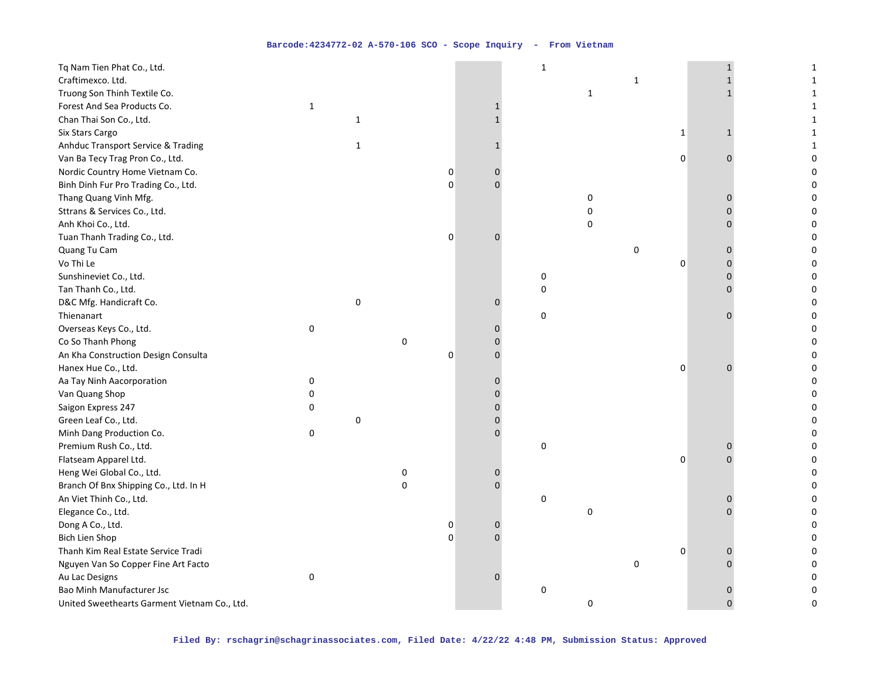| Tq Nam Tien Phat Co., Ltd.                   |              |              |   |   |                | $\mathbf 1$         |              |              |              |              | $\mathbf{1}$ |
|----------------------------------------------|--------------|--------------|---|---|----------------|---------------------|--------------|--------------|--------------|--------------|--------------|
| Craftimexco. Ltd.                            |              |              |   |   |                |                     |              | $\mathbf{1}$ |              |              | $\mathbf{1}$ |
| Truong Son Thinh Textile Co.                 |              |              |   |   |                |                     | $\mathbf{1}$ |              |              |              | 1            |
| Forest And Sea Products Co.                  | $\mathbf{1}$ |              |   |   | 1              |                     |              |              |              |              | 1            |
| Chan Thai Son Co., Ltd.                      |              | $\mathbf{1}$ |   |   | 1              |                     |              |              |              |              | 1            |
| Six Stars Cargo                              |              |              |   |   |                |                     |              |              | $\mathbf{1}$ | $\mathbf{1}$ | $\mathbf{1}$ |
| Anhduc Transport Service & Trading           |              | $\mathbf{1}$ |   |   | $\mathbf{1}$   |                     |              |              |              |              | $\mathbf{1}$ |
| Van Ba Tecy Trag Pron Co., Ltd.              |              |              |   |   |                |                     |              |              | 0            | $\Omega$     | 0            |
| Nordic Country Home Vietnam Co.              |              |              |   | 0 | 0              |                     |              |              |              |              | 0            |
| Binh Dinh Fur Pro Trading Co., Ltd.          |              |              |   | 0 | $\Omega$       |                     |              |              |              |              | 0            |
| Thang Quang Vinh Mfg.                        |              |              |   |   |                |                     | 0            |              |              |              | 0            |
| Sttrans & Services Co., Ltd.                 |              |              |   |   |                |                     | 0            |              |              |              | 0            |
| Anh Khoi Co., Ltd.                           |              |              |   |   |                |                     | 0            |              |              |              | 0            |
| Tuan Thanh Trading Co., Ltd.                 |              |              |   | 0 | 0              |                     |              |              |              |              | 0            |
| Quang Tu Cam                                 |              |              |   |   |                |                     |              | 0            |              | $\Omega$     | 0            |
| Vo Thi Le                                    |              |              |   |   |                |                     |              |              | 0            | $\Omega$     | 0            |
| Sunshineviet Co., Ltd.                       |              |              |   |   |                | 0                   |              |              |              | $\Omega$     | 0            |
| Tan Thanh Co., Ltd.                          |              |              |   |   |                | 0                   |              |              |              | $\Omega$     | 0            |
| D&C Mfg. Handicraft Co.                      |              | $\pmb{0}$    |   |   | 0              |                     |              |              |              |              | 0            |
| Thienanart                                   |              |              |   |   |                | 0                   |              |              |              | O            | 0            |
| Overseas Keys Co., Ltd.                      | 0            |              |   |   | $\Omega$       |                     |              |              |              |              | 0            |
| Co So Thanh Phong                            |              |              | 0 |   | $\Omega$       |                     |              |              |              |              | 0            |
| An Kha Construction Design Consulta          |              |              |   | 0 | 0              |                     |              |              |              |              | 0            |
| Hanex Hue Co., Ltd.                          |              |              |   |   |                |                     |              |              | 0            | $\Omega$     | 0            |
| Aa Tay Ninh Aacorporation                    | 0            |              |   |   | 0              |                     |              |              |              |              | 0            |
| Van Quang Shop                               | 0            |              |   |   | $\Omega$       |                     |              |              |              |              | $\Omega$     |
| Saigon Express 247                           | 0            |              |   |   | $\Omega$       |                     |              |              |              |              | 0            |
| Green Leaf Co., Ltd.                         |              | 0            |   |   | 0              |                     |              |              |              |              | 0            |
| Minh Dang Production Co.                     | 0            |              |   |   | $\Omega$       |                     |              |              |              |              | 0            |
| Premium Rush Co., Ltd.                       |              |              |   |   |                | 0                   |              |              |              | 0            | 0            |
| Flatseam Apparel Ltd.                        |              |              |   |   |                |                     |              |              | 0            |              | 0            |
| Heng Wei Global Co., Ltd.                    |              |              | 0 |   | 0              |                     |              |              |              |              | 0            |
| Branch Of Bnx Shipping Co., Ltd. In H        |              |              | 0 |   | $\overline{0}$ |                     |              |              |              |              | 0            |
| An Viet Thinh Co., Ltd.                      |              |              |   |   |                | 0                   |              |              |              |              | 0            |
| Elegance Co., Ltd.                           |              |              |   |   |                |                     | 0            |              |              |              | 0            |
| Dong A Co., Ltd.                             |              |              |   | 0 | 0              |                     |              |              |              |              | 0            |
| Bich Lien Shop                               |              |              |   | 0 | $\overline{0}$ |                     |              |              |              |              | 0            |
| Thanh Kim Real Estate Service Tradi          |              |              |   |   |                |                     |              |              | 0            | $\Omega$     | 0            |
| Nguyen Van So Copper Fine Art Facto          |              |              |   |   |                |                     |              | 0            |              | O            | 0            |
| Au Lac Designs                               | 0            |              |   |   | $\Omega$       |                     |              |              |              |              | 0            |
| Bao Minh Manufacturer Jsc                    |              |              |   |   |                | $\mathsf{O}\xspace$ |              |              |              | 0            | 0            |
| United Sweethearts Garment Vietnam Co., Ltd. |              |              |   |   |                |                     | 0            |              |              | $\Omega$     | 0            |